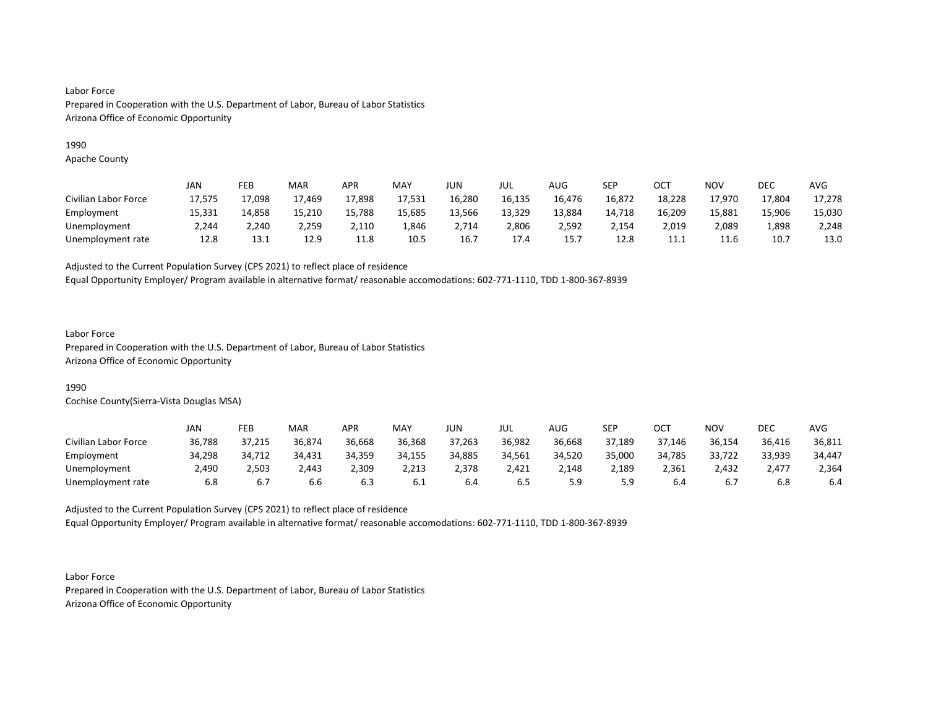## 1990

Apache County

|                      | JAN    | FEB    | <b>MAR</b> | APR    | <b>MAY</b> | JUN    | JUL    | <b>AUG</b> | SEP    | ОСТ    | NOV    | DEC    | <b>AVG</b> |
|----------------------|--------|--------|------------|--------|------------|--------|--------|------------|--------|--------|--------|--------|------------|
| Civilian Labor Force | 17,575 | 17,098 | 17,469     | 17,898 | 17,531     | 16,280 | 16,135 | 16,476     | 16,872 | 18,228 | 17,970 | 17,804 | 17,278     |
| Employment           | 15,331 | 14,858 | 15,210     | 15,788 | 15,685     | 13,566 | 13,329 | 13,884     | 14,718 | 16,209 | 15,881 | 15,906 | 15,030     |
| Unemployment         | 2.244  | 2.240  | 2.259      | 2,110  | 1,846      | 2.714  | 2,806  | 2.592      | 2,154  | 2,019  | 2,089  | 1,898  | 2,248      |
| Unemployment rate    | 12.8   | 13.1   | 12.9       | 11.8   | 10.5       | 16.7   | 17.4   | 15.7       | 12.8   | 11.1   | 11.6   | 10.7   | 13.0       |

Adjusted to the Current Population Survey (CPS 2021) to reflect place of residence

Equal Opportunity Employer/ Program available in alternative format/ reasonable accomodations: 602-771-1110, TDD 1-800-367-8939

## Labor Force

Prepared in Cooperation with the U.S. Department of Labor, Bureau of Labor Statistics Arizona Office of Economic Opportunity

## 1990

Cochise County(Sierra-Vista Douglas MSA)

|                      | JAN    | FEB    | <b>MAR</b> | APR    | <b>MAY</b> | JUN    | JUL    | AUG    | SEP    | ОСТ    | NOV    | DEC    | AVG    |
|----------------------|--------|--------|------------|--------|------------|--------|--------|--------|--------|--------|--------|--------|--------|
| Civilian Labor Force | 36,788 | 37,215 | 36,874     | 36,668 | 36,368     | 37,263 | 36,982 | 36.668 | 37,189 | 37,146 | 36,154 | 36,416 | 36,811 |
| Employment           | 34,298 | 34,712 | 34,431     | 34,359 | 34,155     | 34,885 | 34,561 | 34,520 | 35,000 | 34,785 | 33,722 | 33,939 | 34,447 |
| Unemployment         | 2,490  | 2,503  | 2,443      | 2,309  | 2,213      | 2,378  | 2,421  | 2,148  | 2,189  | 2,361  | 2,432  | 2,477  | 2,364  |
| Unemployment rate    | 6.8    |        | 6.6        | 6.3    | 6.1        | 6.4    | ხ.5    | 5.9    | 5.9    | 6.4    | b.,    | 6.8    | 6.4    |

Adjusted to the Current Population Survey (CPS 2021) to reflect place of residence Equal Opportunity Employer/ Program available in alternative format/ reasonable accomodations: 602-771-1110, TDD 1-800-367-8939

Labor Force Prepared in Cooperation with the U.S. Department of Labor, Bureau of Labor Statistics Arizona Office of Economic Opportunity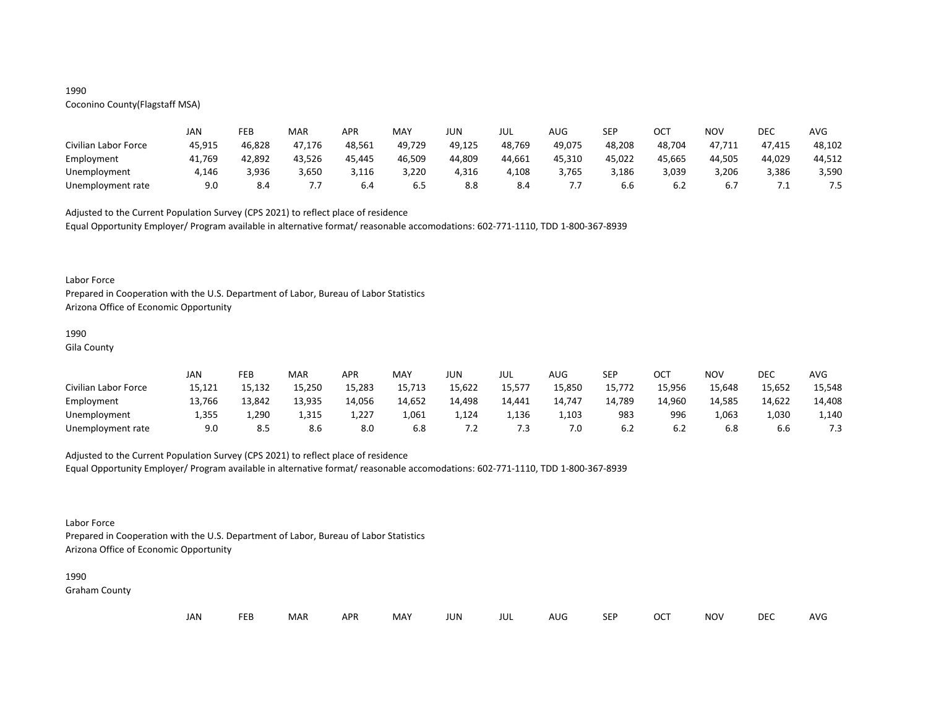## 1990

# Coconino County(Flagstaff MSA)

|                      | JAN    | FEB    | MAR    | <b>APR</b> | MAY    | JUN    | JUL    | AUG    | <b>SEP</b> | ОСТ    | NOV    | DEC    | AVG    |
|----------------------|--------|--------|--------|------------|--------|--------|--------|--------|------------|--------|--------|--------|--------|
| Civilian Labor Force | 45,915 | 46,828 | 47.176 | 48,561     | 49,729 | 49,125 | 48,769 | 49,075 | 48,208     | 48,704 | 47,711 | 47,415 | 48,102 |
| Employment           | 41,769 | 42,892 | 43,526 | 45,445     | 46,509 | 44,809 | 44,661 | 45,310 | 45,022     | 45,665 | 44.505 | 44,029 | 44,512 |
| Unemployment         | 4,146  | 3,936  | 3,650  | 3,116      | 3,220  | 4,316  | 4,108  | 3.765  | 3,186      | 3,039  | 3,206  | 3,386  | 3,590  |
| Unemployment rate    | 9.0    | 8.4    | .      | 6.4        | ხ.5    | 8.8    | 8.4    |        | 6.6        | ხ.∠    | 6.7    | .      | 7.5    |

Adjusted to the Current Population Survey (CPS 2021) to reflect place of residence

Equal Opportunity Employer/ Program available in alternative format/ reasonable accomodations: 602-771-1110, TDD 1-800-367-8939

#### Labor Force

Prepared in Cooperation with the U.S. Department of Labor, Bureau of Labor Statistics Arizona Office of Economic Opportunity

#### 1990

Gila County

|                      | JAN    | FEB    | MAR    | APR    | MAY    | JUN          | JUL    | AUG    | SEP    | ост    | NOV    | DEC    | AVG    |
|----------------------|--------|--------|--------|--------|--------|--------------|--------|--------|--------|--------|--------|--------|--------|
| Civilian Labor Force | 15,121 | 15,132 | 15,250 | 15,283 | 15,713 | 15,622       | 15,577 | 15,850 | 15,772 | 15,956 | 15,648 | 15,652 | 15,548 |
| Employment           | 13,766 | 13,842 | 13,935 | 14,056 | 14,652 | 14,498       | 14,441 | 14,747 | 14,789 | 14,960 | 14.585 | 14,622 | 14,408 |
| Unemployment         | 1,355  | 1,290  | 1,315  | 1,227  | 1,061  | 1,124        | 1,136  | 1,103  | 983    | 996    | 1,063  | 1,030  | 1,140  |
| Unemployment rate    | 9.0    | 8.5    | 8.6    | 8.0    | 6.8    | . . <u>.</u> | 7.3    | 7.0    | 6.2    | b.2    | 6.8    | 6.6    | د. ،   |

## Adjusted to the Current Population Survey (CPS 2021) to reflect place of residence

Equal Opportunity Employer/ Program available in alternative format/ reasonable accomodations: 602-771-1110, TDD 1-800-367-8939

## Labor Force

Prepared in Cooperation with the U.S. Department of Labor, Bureau of Labor Statistics Arizona Office of Economic Opportunity

#### 1990

Graham County

| JAN<br><b>FEB</b><br><b>OCT</b><br>MAR<br>MAY<br><b>APR</b><br><b>NOV</b><br>JUN<br><b>SEP</b><br>AUG<br>jul |  |  |  |  |  |  |  |  |  |  |  | DEC | <b>AVG</b> |
|--------------------------------------------------------------------------------------------------------------|--|--|--|--|--|--|--|--|--|--|--|-----|------------|
|--------------------------------------------------------------------------------------------------------------|--|--|--|--|--|--|--|--|--|--|--|-----|------------|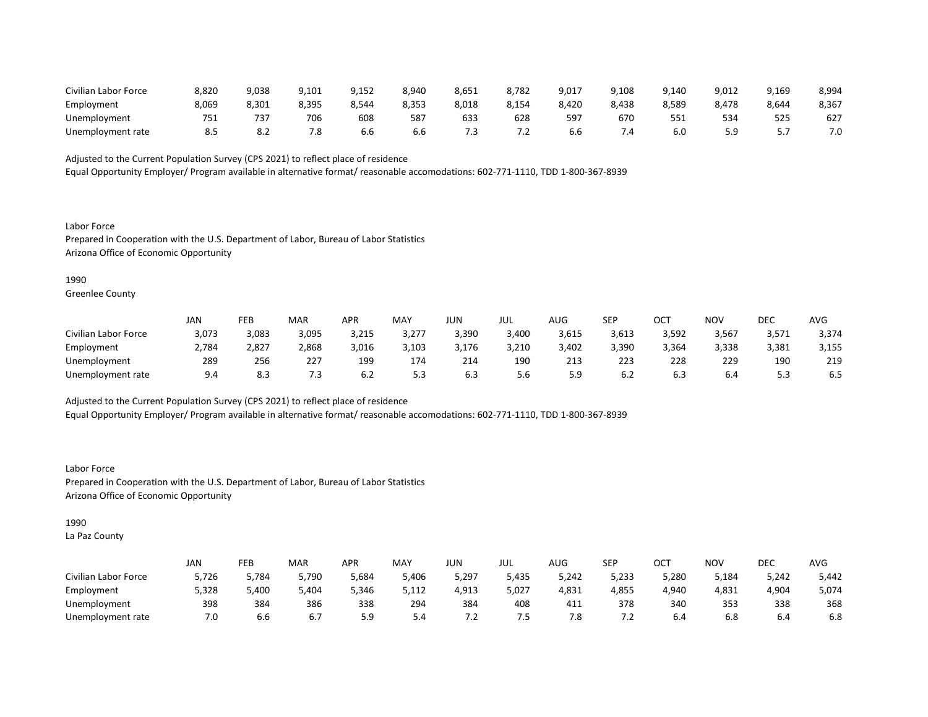| Civilian Labor Force | 8,820 | 9,038 | 9,101 | 9,152 | 8,940 | 8,651 | 8,782   | 9,017 | 9,108     | 9,140 | 9,012      | 9,169 | 8,994 |
|----------------------|-------|-------|-------|-------|-------|-------|---------|-------|-----------|-------|------------|-------|-------|
| Employment           | 8,069 | 8,301 | 8,395 | 8,544 | 8,353 | 8,018 | 8,154   | 8,420 | 8,438     | 8,589 | 8,478      | 8,644 | 8,367 |
| Unemployment         | 751   |       | 706   | 608   | 587   | 633   | 628     | 597   | 670       |       | 534        | 525   | 627   |
| Unemployment rate    | 8.5   | ٥.Z   | '.୪   | b.b   | 6.b   |       | $\cdot$ | b.b   | $4 \cdot$ | 6.0   | . Q<br>- - |       | 7.0   |

Equal Opportunity Employer/ Program available in alternative format/ reasonable accomodations: 602-771-1110, TDD 1-800-367-8939

Labor Force Prepared in Cooperation with the U.S. Department of Labor, Bureau of Labor Statistics Arizona Office of Economic Opportunity

### 1990

Greenlee County

|                      | <b>JAN</b> | FEB   | <b>MAR</b> | APR   | MAY   | JUN   | JUL   | AUG   | <b>SEP</b> | ост   | NOV   | DEC   | AVG   |
|----------------------|------------|-------|------------|-------|-------|-------|-------|-------|------------|-------|-------|-------|-------|
| Civilian Labor Force | 3,073      | 3,083 | 3,095      | 3,215 | 3,277 | 3,390 | 3,400 | 3,615 | 3,613      | 3,592 | 3,567 | 3,571 | 3,374 |
| Employment           | 2,784      | 2,827 | 2,868      | 3,016 | 3,103 | 3,176 | 3,210 | 3,402 | 3,390      | 3,364 | 3,338 | 3,381 | 3,155 |
| Unemployment         | 289        | 256   | 227        | 199   | 174   | 214   | 190   | 213   | 223        | 228   | 229   | 190   | 219   |
| Unemployment rate    | 9.4        | 8.3   | 7.3        | b.∠   | 5.3   | 0.3   | 5.6   | 5.9   | 6.2        | O.3   | b.4   |       | .ა    |

Adjusted to the Current Population Survey (CPS 2021) to reflect place of residence

Equal Opportunity Employer/ Program available in alternative format/ reasonable accomodations: 602-771-1110, TDD 1-800-367-8939

Labor Force Prepared in Cooperation with the U.S. Department of Labor, Bureau of Labor Statistics Arizona Office of Economic Opportunity

## 1990

La Paz County

|                      | JAN   | FEB   | MAR   | <b>APR</b> | <b>MAY</b> | JUN   | JUL   | $\sqrt{1+\sqrt{2}}$<br>AUG | <b>SEP</b> | ⌒⌒⊤<br>UC. | <b>NOV</b> | DEC   | <b>AVG</b> |
|----------------------|-------|-------|-------|------------|------------|-------|-------|----------------------------|------------|------------|------------|-------|------------|
| Civilian Labor Force | 5,726 | 5,784 | 5,790 | 5,684      | 5,406      | 5,297 | 5,435 | 5,242                      | 5,233      | 5,280      | 5,184      | 5,242 | 5,442      |
| Employment           | 5,328 | 5,400 | 404,د | 5,346      | 5,112      | 4,913 | 5,027 | 4,831                      | 4,855      | 4,940      | 4,831      | 4,904 | 5,074      |
| Unemployment         | 398   | 384   | 386   | 338        | 294        | 384   | 408   | 411                        | 378        | 340        | 353        | 338   | 368        |
| Unemployment rate    | 7.0   | b.b   | 6.7   | <u></u>    | <b>D.4</b> | ے.    | כ. ז  | 7.8                        | .          | 6.4        | 6.8        | 6.4   | 6.8        |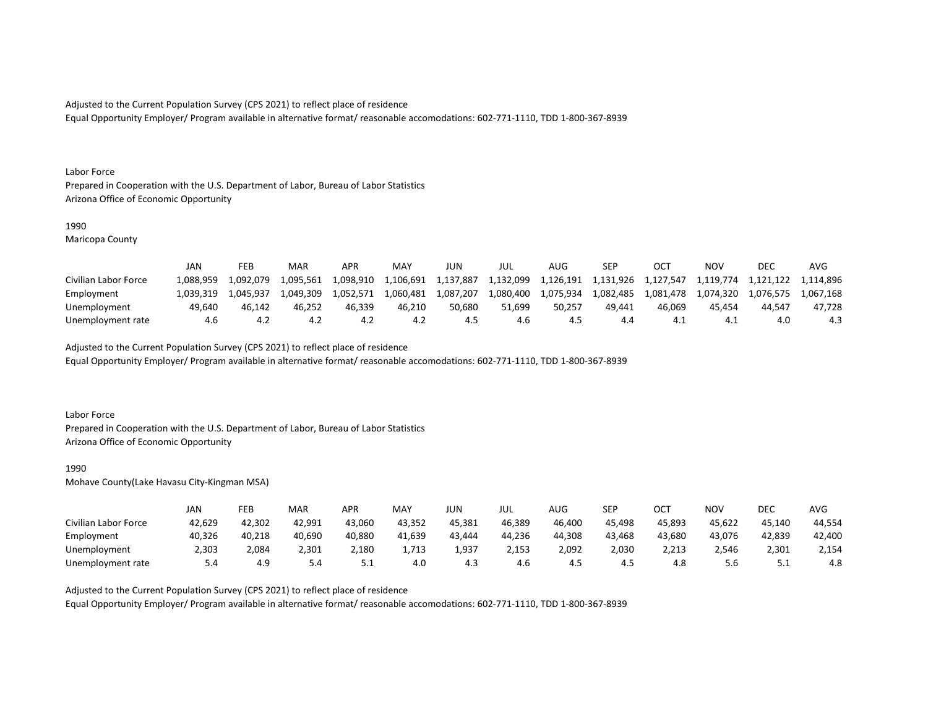Equal Opportunity Employer/ Program available in alternative format/ reasonable accomodations: 602-771-1110, TDD 1-800-367-8939

#### Labor Force

Prepared in Cooperation with the U.S. Department of Labor, Bureau of Labor Statistics Arizona Office of Economic Opportunity

#### 1990

Maricopa County

|                      | JAN       | FEB       | MAR       | APR       | <b>MAY</b> | JUN       | JUL       | AUG       | SEP       | OC1       | NOV       | DEC       | AVG       |
|----------------------|-----------|-----------|-----------|-----------|------------|-----------|-----------|-----------|-----------|-----------|-----------|-----------|-----------|
| Civilian Labor Force | .088.959  | 1,092,079 | 1.095.561 | 1,098,910 | 1,106,691  | 1,137,887 | 1,132,099 | 1,126,191 | 1.131.926 | 1,127,547 | 1,119,774 | 1,121,122 | 1.114.896 |
| Employment           | 1.039.319 | 1.045.937 | 1.049.309 | 1.052.571 | 1.060.481  | 1,087,207 | 1,080,400 | 1,075,934 | 1.082.485 | 1.081.478 | 1.074.320 | 1,076,575 | 1.067.168 |
| Unemployment         | 49.640    | 46.142    | 46.252    | 46.339    | 46.210     | 50.680    | 51.699    | 50.257    | 49.441    | 46.069    | 45.454    | 44.547    | 47.728    |
| Unemployment rate    | 4.6       |           |           | 4.Z       | 4.2        | 4.5       | 4.6       |           | 4.4       |           | 4.⊥       |           | 4.3       |

Adjusted to the Current Population Survey (CPS 2021) to reflect place of residence

Equal Opportunity Employer/ Program available in alternative format/ reasonable accomodations: 602-771-1110, TDD 1-800-367-8939

### Labor Force

Prepared in Cooperation with the U.S. Department of Labor, Bureau of Labor Statistics Arizona Office of Economic Opportunity

#### 1990

Mohave County(Lake Havasu City-Kingman MSA)

|                      | JAN    | FEB    | MAR    | APR        | <b>MAY</b> | JUN    | JUL    | AUG    | SEP    | ОСТ    | NO۱    | DEC      | AVG    |
|----------------------|--------|--------|--------|------------|------------|--------|--------|--------|--------|--------|--------|----------|--------|
| Civilian Labor Force | 42,629 | 42,302 | 42,991 | 43,060     | 43,352     | 45,381 | 46,389 | 46,400 | 45,498 | 45,893 | 45,622 | 45,140   | 44,554 |
| Employment           | 40,326 | 40,218 | 40,690 | 40,880     | 41,639     | 43,444 | 44,236 | 44,308 | 43,468 | 43,680 | 43,076 | 42,839   | 42,400 |
| Unemployment         | 2,303  | 2,084  | 2,301  | 2,180      | 1,713      | 1,937  | 2,153  | 2,092  | 2,030  | 2,213  | 2,546  | 2,301    | 2,154  |
| Unemployment rate    | 5.4    | 4.9    | 5.4    | <u>J.L</u> | 4.0        | 4.3    | 4.6    | 4.J    | 4.5    | 4.8    | 5.6    | <u>.</u> | 4.8    |

Adjusted to the Current Population Survey (CPS 2021) to reflect place of residence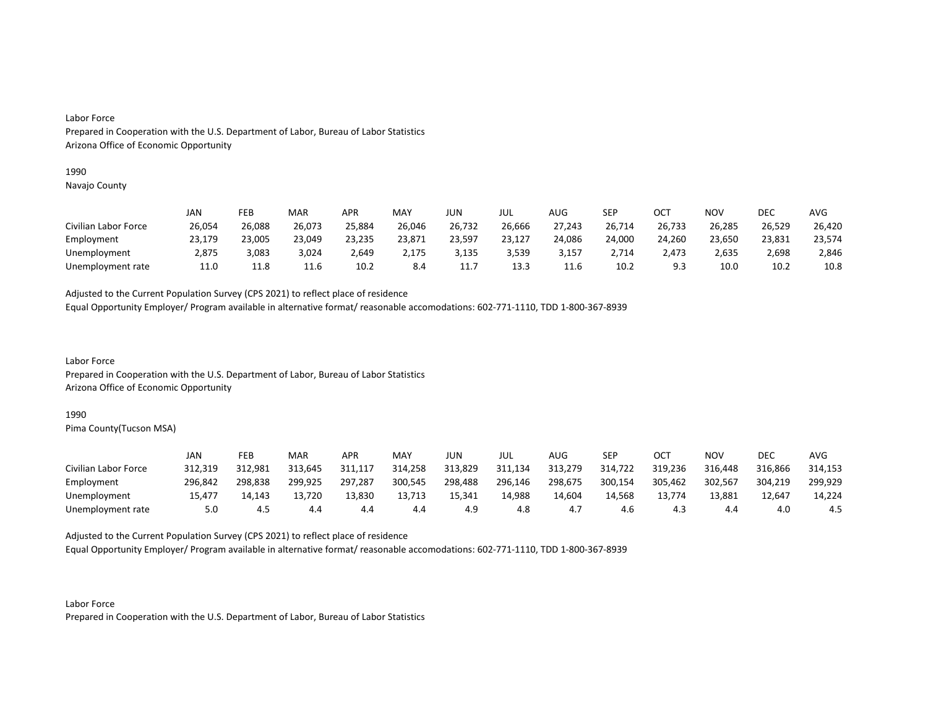### 1990

Navajo County

|                      | JAN    | FEB    | MAR    | <b>APR</b> | MAY    | JUN     | JUL    | AUG    | SEP    | ОСТ     | NOV    | <b>DEC</b> | AVG    |
|----------------------|--------|--------|--------|------------|--------|---------|--------|--------|--------|---------|--------|------------|--------|
| Civilian Labor Force | 26,054 | 26,088 | 26,073 | 25,884     | 26,046 | 26,732  | 26,666 | 27,243 | 26,714 | 26,733  | 26,285 | 26,529     | 26,420 |
| Employment           | 23,179 | 23,005 | 23,049 | 23,235     | 23,871 | 23,597  | 23,127 | 24,086 | 24,000 | 24,260  | 23,650 | 23,831     | 23,574 |
| Unemployment         | 2,875  | 3,083  | 3,024  | 2,649      | 2,175  | 3,135   | 3,539  | 3,157  | 2,714  | 2,473   | 2,635  | 2,698      | 2,846  |
| Unemployment rate    | 11.0   | 11.8   | 11.6   | 10.2       | 8.4    | <b></b> | 13.3   | 11.6   | 10.2   | a a<br> | 10.0   | 10.2       | 10.8   |

Adjusted to the Current Population Survey (CPS 2021) to reflect place of residence

Equal Opportunity Employer/ Program available in alternative format/ reasonable accomodations: 602-771-1110, TDD 1-800-367-8939

Labor Force Prepared in Cooperation with the U.S. Department of Labor, Bureau of Labor Statistics Arizona Office of Economic Opportunity

### 1990

Pima County(Tucson MSA)

|                      | JAN     | FEB     | MAR     | APR     | MAY     | JUN     | JUL     | AUG     | <b>SEP</b> | ост     | NOV     | DEC     | AVG     |
|----------------------|---------|---------|---------|---------|---------|---------|---------|---------|------------|---------|---------|---------|---------|
| Civilian Labor Force | 312,319 | 312,981 | 313,645 | 311.117 | 314,258 | 313,829 | 311,134 | 313,279 | 314,722    | 319,236 | 316,448 | 316.866 | 314,153 |
| Employment           | 296.842 | 298.838 | 299.925 | 297.287 | 300,545 | 298,488 | 296,146 | 298,675 | 300,154    | 305,462 | 302,567 | 304.219 | 299.929 |
| Unemployment         | 15,477  | 14.143  | 13,720  | 13,830  | 13,713  | 15,341  | 14,988  | 14,604  | 14,568     | 13,774  | 13,881  | 12,647  | 14,224  |
| Unemployment rate    | 5.0     | 4.5     | 4.4     | 4.4     | 4.4     |         | 4.8     | 4.,     | 4.6        | 4.3     | 4.4     | 4.0     | 4.5     |

Adjusted to the Current Population Survey (CPS 2021) to reflect place of residence

Equal Opportunity Employer/ Program available in alternative format/ reasonable accomodations: 602-771-1110, TDD 1-800-367-8939

Labor Force Prepared in Cooperation with the U.S. Department of Labor, Bureau of Labor Statistics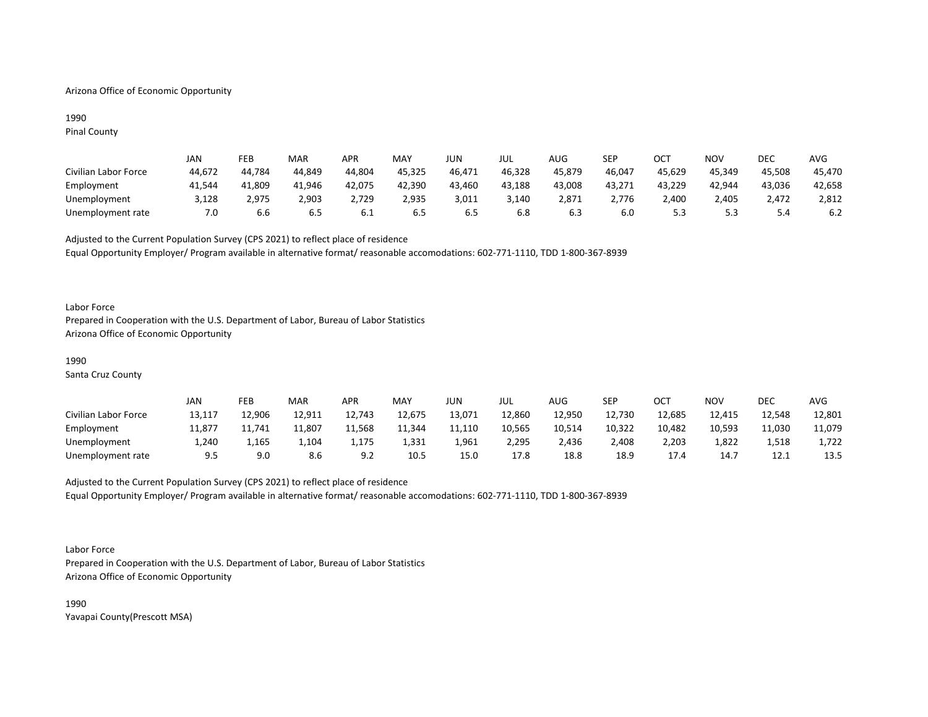## Arizona Office of Economic Opportunity

## 1990 Pinal County

|                      | Jan    | FEB    | MAR    | APR    | MAY    | JUN    | JUL    | AUG.   | SEP    | ост    | NOV    | DEC    | AVG    |
|----------------------|--------|--------|--------|--------|--------|--------|--------|--------|--------|--------|--------|--------|--------|
| Civilian Labor Force | 44,672 | 44.784 | 44.849 | 44,804 | 45,325 | 46,471 | 46,328 | 45,879 | 46,047 | 45,629 | 45,349 | 45,508 | 45,470 |
| Employment           | 41,544 | 41,809 | 41,946 | 42,075 | 42,390 | 43,460 | 43,188 | 43,008 | 43,271 | 43,229 | 42,944 | 43,036 | 42,658 |
| Unemployment         | 3,128  | 2.975  | 2,903  | 2,729  | 2,935  | 3,011  | 3,140  | 2,871  | 2.776  | 2.400  | 2.405  | 2,472  | 2,812  |
| Unemployment rate    | 7.0    | b.b    | 6.5    | 0.1    | ხ.5    | 6.5    | 6.8    | 6.3    | 6.0    |        | ر.ر    | 5.4    | 6.2    |

Adjusted to the Current Population Survey (CPS 2021) to reflect place of residence Equal Opportunity Employer/ Program available in alternative format/ reasonable accomodations: 602-771-1110, TDD 1-800-367-8939

### Labor Force

Prepared in Cooperation with the U.S. Department of Labor, Bureau of Labor Statistics Arizona Office of Economic Opportunity

#### 1990

Santa Cruz County

|                      | JAN    | FEB    | MAR    | APR    | <b>MAY</b> | JUN    | JUL    | AUG    | SEP    | ост    | NOV    | DEC    | AVG    |
|----------------------|--------|--------|--------|--------|------------|--------|--------|--------|--------|--------|--------|--------|--------|
| Civilian Labor Force | 13,117 | 12,906 | 12,911 | 12,743 | 12,675     | 13,071 | 12,860 | 12,950 | 12,730 | 12,685 | 12,415 | 12,548 | 12,801 |
| Employment           | 11,877 | 11,741 | 11,807 | 11,568 | 11,344     | 11,110 | 10,565 | 10,514 | 10,322 | 10,482 | 10,593 | 11,030 | 11,079 |
| Unemployment         | 1,240  | 1,165  | 1,104  | 1,175  | 1,331      | 1,961  | 2,295  | 2,436  | 2,408  | 2,203  | 1,822  | 1,518  | 1,722  |
| Unemployment rate    | 9.5    | 9.0    | 8.6    | Q 7    | 10.5       | 15.0   | 17.8   | 18.8   | 18.9   | 17.4   | 14.7   | 12.1   | 13.5   |

# Adjusted to the Current Population Survey (CPS 2021) to reflect place of residence Equal Opportunity Employer/ Program available in alternative format/ reasonable accomodations: 602-771-1110, TDD 1-800-367-8939

Labor Force

Prepared in Cooperation with the U.S. Department of Labor, Bureau of Labor Statistics Arizona Office of Economic Opportunity

1990 Yavapai County(Prescott MSA)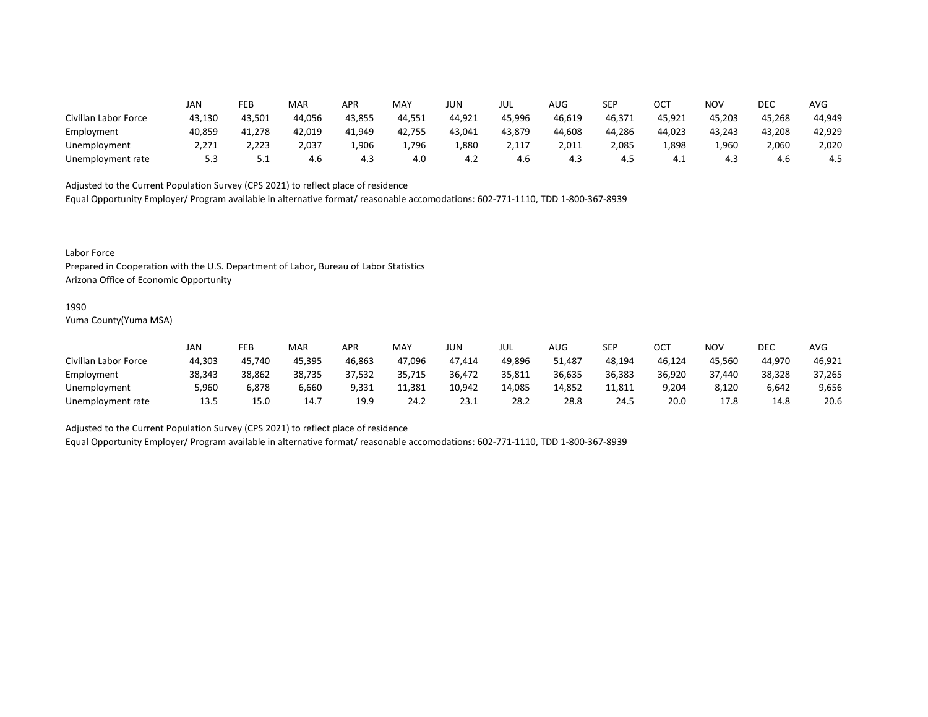|                      | JAN    | FEB      | MAR    | APR    | MAY    | JUN    | JUL    | AUG    | <b>SEP</b> | ОСТ    | NOV    | DEC    | AVG    |
|----------------------|--------|----------|--------|--------|--------|--------|--------|--------|------------|--------|--------|--------|--------|
| Civilian Labor Force | 43,130 | 43,501   | 44,056 | 43,855 | 44,551 | 44,921 | 45,996 | 46,619 | 46,371     | 45,921 | 45,203 | 45,268 | 44,949 |
| Employment           | 40,859 | 41,278   | 42,019 | 41,949 | 42,755 | 43,041 | 43,879 | 44,608 | 44,286     | 44,023 | 43,243 | 43,208 | 42,929 |
| Unemployment         | 2,271  | 2,223    | 2,037  | 1,906  | 1,796  | 1,880  | 2,117  | 2,011  | 2,085      | 1,898  | 1,960  | 2,060  | 2,020  |
| Unemployment rate    | 5.3    | <u>.</u> | 4.6    | 4.3    | 4.0    | 4.Z    | 4.6    | 4.3    | 4.5        | 4.⊥    | 4.3    | 4.b    | 4.5    |

Equal Opportunity Employer/ Program available in alternative format/ reasonable accomodations: 602-771-1110, TDD 1-800-367-8939

Labor Force

Prepared in Cooperation with the U.S. Department of Labor, Bureau of Labor Statistics Arizona Office of Economic Opportunity

#### 1990

Yuma County(Yuma MSA)

|                      | JAN    | FEB    | <b>MAR</b> | APR    | MAY    | JUN    | JUL    | AUG    | SEP    | ОСТ    | NOV    | DEC    | AVG    |
|----------------------|--------|--------|------------|--------|--------|--------|--------|--------|--------|--------|--------|--------|--------|
| Civilian Labor Force | 44,303 | 45,740 | 45,395     | 46,863 | 47,096 | 47.414 | 49,896 | 51,487 | 48,194 | 46,124 | 45,560 | 44,970 | 46,921 |
| Employment           | 38,343 | 38,862 | 38,735     | 37,532 | 35,715 | 36,472 | 35,811 | 36,635 | 36,383 | 36,920 | 37,440 | 38,328 | 37,265 |
| Unemployment         | 5,960  | 6,878  | 6,660      | 9,331  | 11,381 | 10,942 | 14,085 | 14,852 | 11,811 | 9,204  | 8,120  | 6,642  | 9,656  |
| Unemployment rate    | 13.5   | 15.0   | 14.7       | 19.9   | 24.2   | 23.1   | 28.2   | 28.8   | 24.5   | 20.0   | 17.8   | 14.8   | 20.6   |

Adjusted to the Current Population Survey (CPS 2021) to reflect place of residence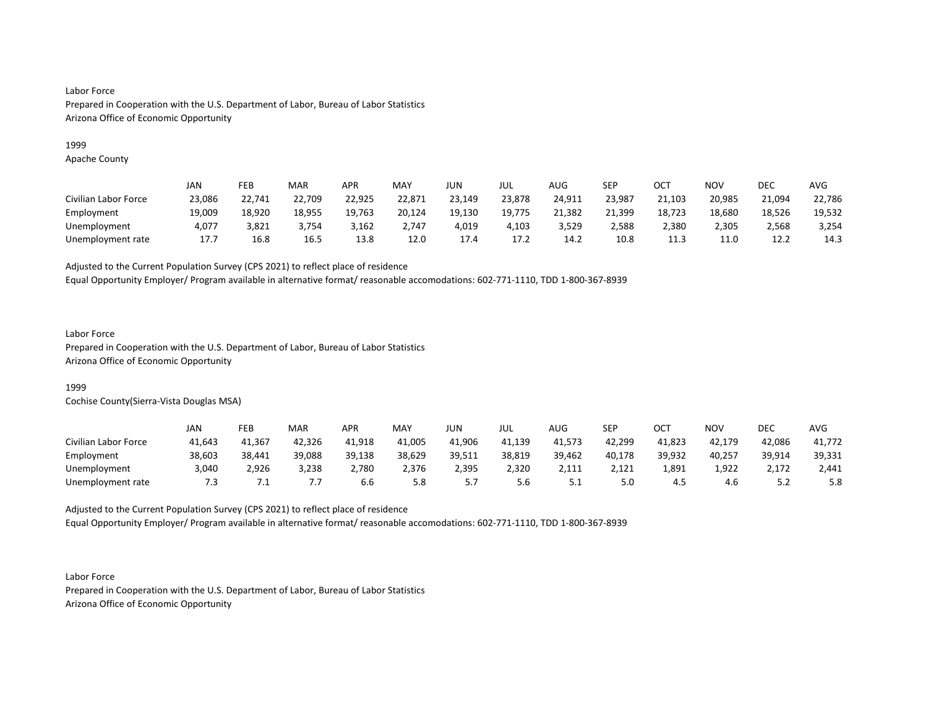## 1999

Apache County

|                      | JAN    | FEB    | <b>MAR</b> | APR    | <b>MAY</b> | JUN    | JUL    | <b>AUG</b> | SEP    | ОСТ    | NOV    | DEC    | <b>AVG</b> |
|----------------------|--------|--------|------------|--------|------------|--------|--------|------------|--------|--------|--------|--------|------------|
| Civilian Labor Force | 23,086 | 22,741 | 22,709     | 22,925 | 22,871     | 23,149 | 23,878 | 24,911     | 23,987 | 21,103 | 20,985 | 21,094 | 22,786     |
| Employment           | 19,009 | 18,920 | 18,955     | 19,763 | 20,124     | 19,130 | 19,775 | 21,382     | 21,399 | 18,723 | 18,680 | 18,526 | 19,532     |
| Unemployment         | 4,077  | 3.821  | 3.754      | 3,162  | 2.747      | 4,019  | 4.103  | 3,529      | 2,588  | 2.380  | 2,305  | 2,568  | 3,254      |
| Unemployment rate    | 17.7   | 16.8   | 16.5       | 13.8   | 12.0       | 17.4   | 17.2   | 14.2       | 10.8   | 11.3   | 11.0   | 12.2   | 14.3       |

Adjusted to the Current Population Survey (CPS 2021) to reflect place of residence

Equal Opportunity Employer/ Program available in alternative format/ reasonable accomodations: 602-771-1110, TDD 1-800-367-8939

## Labor Force

Prepared in Cooperation with the U.S. Department of Labor, Bureau of Labor Statistics Arizona Office of Economic Opportunity

## 1999

Cochise County(Sierra-Vista Douglas MSA)

|                      | JAN    | FEB    | <b>MAR</b> | APR    | MAY    | JUN    | JUL    | AUG      | SEP    | ост    | NOV    | DEC     | AVG    |
|----------------------|--------|--------|------------|--------|--------|--------|--------|----------|--------|--------|--------|---------|--------|
| Civilian Labor Force | 41,643 | 41,367 | 42,326     | 41.918 | 41,005 | 41,906 | 41,139 | 41,573   | 42,299 | 41,823 | 42,179 | 42,086  | 41,772 |
| Employment           | 38,603 | 38,441 | 39,088     | 39,138 | 38,629 | 39,511 | 38,819 | 39,462   | 40,178 | 39,932 | 40,257 | 39,914  | 39,331 |
| Unemployment         | 3,040  | 2,926  | 3,238      | 2,780  | 2,376  | 2,395  | 2,320  | 2,111    | 2,121  | 1,891  | 1,922  | 2,172   | 2,441  |
| Unemployment rate    | 7.3    |        | .,         | 6.6    | 5.8    |        | 5.6    | <u>.</u> | 5.0    | -4.5   | 4.6    | <u></u> | 5.8    |

Adjusted to the Current Population Survey (CPS 2021) to reflect place of residence Equal Opportunity Employer/ Program available in alternative format/ reasonable accomodations: 602-771-1110, TDD 1-800-367-8939

Labor Force Prepared in Cooperation with the U.S. Department of Labor, Bureau of Labor Statistics Arizona Office of Economic Opportunity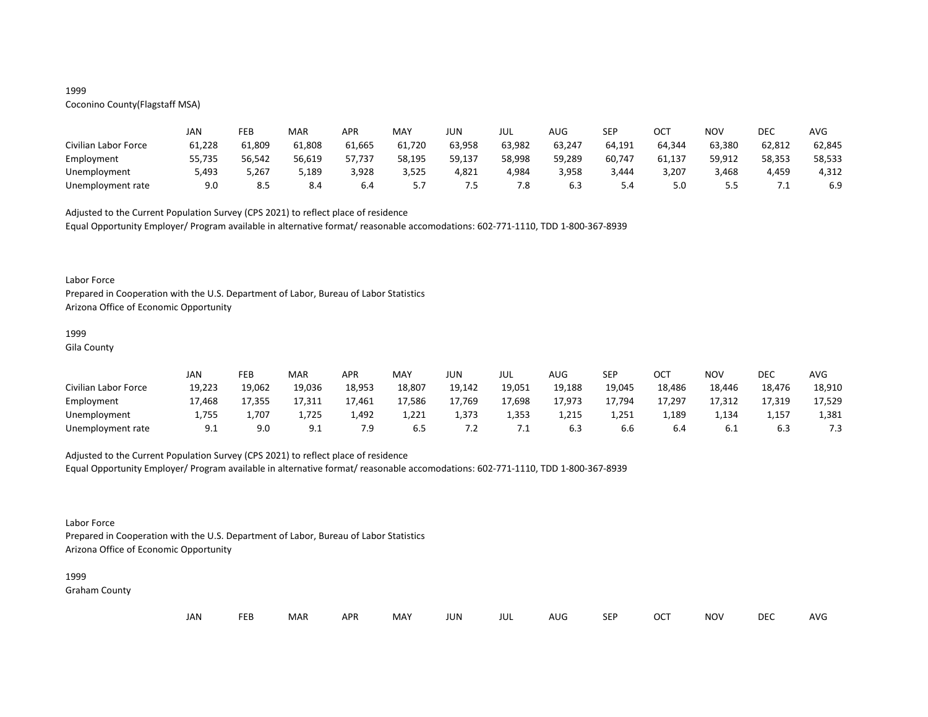## 1999

# Coconino County(Flagstaff MSA)

|                      | JAN    | FEB    | MAR    | <b>APR</b> | MAY    | JUN    | JUL    | AUG    | SEP    | ОСТ    | NOV    | DEC    | AVG    |
|----------------------|--------|--------|--------|------------|--------|--------|--------|--------|--------|--------|--------|--------|--------|
| Civilian Labor Force | 61,228 | 61,809 | 61,808 | 61,665     | 61,720 | 63,958 | 63,982 | 63,247 | 64,191 | 64,344 | 63,380 | 62,812 | 62,845 |
| Employment           | 55,735 | 56,542 | 56,619 | 57,737     | 58,195 | 59,137 | 58,998 | 59,289 | 60,747 | 61,137 | 59,912 | 58,353 | 58,533 |
| Unemployment         | 5,493  | 5,267  | 5,189  | 3,928      | 3,525  | 4,821  | 4,984  | 3,958  | 3.444  | 3,207  | 3,468  | 4,459  | 4,312  |
| Unemployment rate    | 9.0    | 8.5    | 8.4    | 6.4        | J. 1   | כ.     | 7.8    | 6.3    | 5.4    | 5.0    |        | .      | 6.9    |

Adjusted to the Current Population Survey (CPS 2021) to reflect place of residence

Equal Opportunity Employer/ Program available in alternative format/ reasonable accomodations: 602-771-1110, TDD 1-800-367-8939

#### Labor Force

Prepared in Cooperation with the U.S. Department of Labor, Bureau of Labor Statistics Arizona Office of Economic Opportunity

## 1999

Gila County

|                      | JAN    | FEB    | MAR            | APR    | <b>MAY</b> | JUN     | JUL    | <b>AUG</b> | SEP    | ост    | <b>NOV</b> | <b>DEC</b> | AVG    |
|----------------------|--------|--------|----------------|--------|------------|---------|--------|------------|--------|--------|------------|------------|--------|
| Civilian Labor Force | 19,223 | 19,062 | 19,036         | 18,953 | 18,807     | 19,142  | 19,051 | 19,188     | 19,045 | 18,486 | 18,446     | 18,476     | 18,910 |
| Employment           | 17,468 | 17,355 | 17,311         | 17,461 | 17,586     | 17,769  | 17,698 | 17,973     | 17,794 | 17,297 | 17,312     | 17,319     | 17,529 |
| Unemployment         | 1,755  | 707ء   | 1,725          | 1,492  | 1,221      | 1,373   | 1,353  | 1,215      | 1,251  | 1,189  | 1,134      | 1,157      | 1,381  |
| Unemployment rate    | 9.1    | 9.0    | ۹1<br><u>.</u> | 7.9    | 6.5        | $\cdot$ | ⊥. /   |            | 6.6    | 6.4    | 0.1        | 6.3        | 7.3    |

## Adjusted to the Current Population Survey (CPS 2021) to reflect place of residence

Equal Opportunity Employer/ Program available in alternative format/ reasonable accomodations: 602-771-1110, TDD 1-800-367-8939

## Labor Force

Prepared in Cooperation with the U.S. Department of Labor, Bureau of Labor Statistics Arizona Office of Economic Opportunity

#### 1999

Graham County

| JAN<br><b>FEB</b><br><b>OCT</b><br>MAR<br>MAY<br><b>APR</b><br><b>NOV</b><br>JUN<br><b>SEP</b><br>AUG<br>jul |  |  |  |  |  |  |  |  |  |  |  | DEC | <b>AVG</b> |
|--------------------------------------------------------------------------------------------------------------|--|--|--|--|--|--|--|--|--|--|--|-----|------------|
|--------------------------------------------------------------------------------------------------------------|--|--|--|--|--|--|--|--|--|--|--|-----|------------|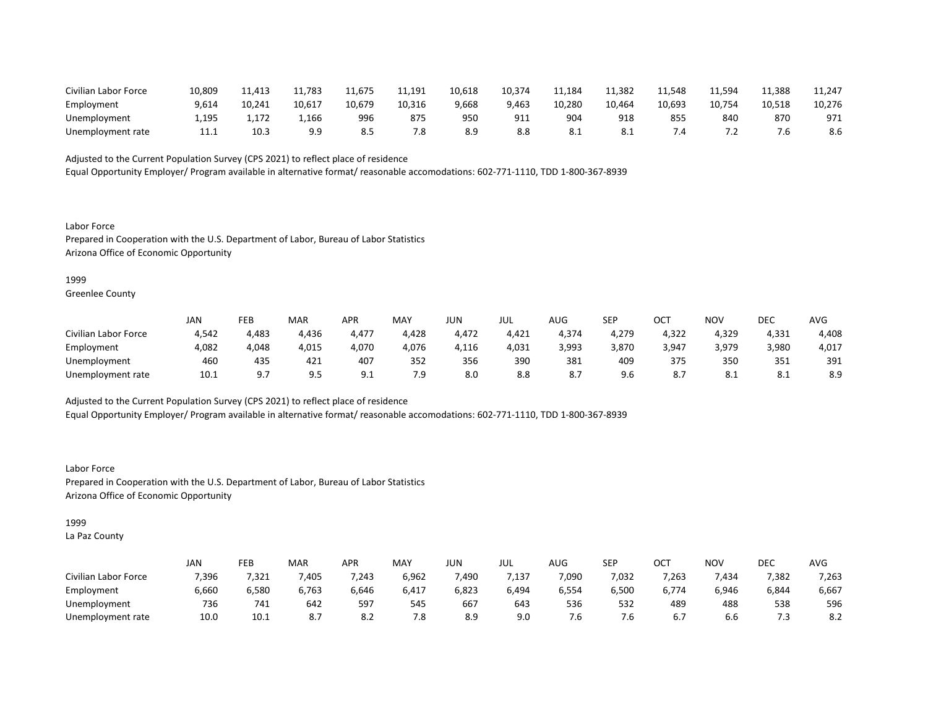| Civilian Labor Force | 10,809 | 11.413 | 11.783 | 11,675 | 11,191 | 10,618 | 10,374    | 11,184     | 11,382 | 11,548 | 1,594ء       | 11,388 | 11,247 |
|----------------------|--------|--------|--------|--------|--------|--------|-----------|------------|--------|--------|--------------|--------|--------|
| Employment           | 9,614  | 10.241 | 10,617 | 10.679 | 10,316 | 9,668  | 9.463     | 10.280     | 10.464 | 10,693 | 10.754       | 10,518 | 10,276 |
| Unemployment         | 1,195  |        | 1,166  | 996    | 875    | 95C    | Q1<br>ᇰᆠᆠ | 904        | 918    | 85     | 840          | 870    | 971    |
| Unemployment rate    | ---    | 10.3   | 9.9    |        | 7.8    |        | 8.8       | <b>O.L</b> | -8.1   |        | . . <u>.</u> | ס. י   | 8.6    |

Equal Opportunity Employer/ Program available in alternative format/ reasonable accomodations: 602-771-1110, TDD 1-800-367-8939

Labor Force Prepared in Cooperation with the U.S. Department of Labor, Bureau of Labor Statistics Arizona Office of Economic Opportunity

#### 1999

Greenlee County

|                      | <b>JAN</b> | FEB   | <b>MAR</b>  | APR             | <b>MAY</b> | JUN   | JUL   | AUG                | <b>SEP</b> | ост   | NOV   | DEC   | AVG   |
|----------------------|------------|-------|-------------|-----------------|------------|-------|-------|--------------------|------------|-------|-------|-------|-------|
| Civilian Labor Force | 4,542      | 4,483 | 4,436       | 4,477           | 4,428      | 4,472 | 4,421 | 4,374              | 4,279      | 4,322 | 4,329 | 4,331 | 4,408 |
| Employment           | 4,082      | 4,048 | 4,015       | 4,070           | 4,076      | 1,116 | 4,031 | 3,993              | 3,870      | 3,947 | 3,979 | 3,980 | 4,017 |
| Unemployment         | 460        | 435   | 421         | 407             | 352        | 356   | 390   | 381                | 409        | 375   | 350   | 351   | 391   |
| Unemployment rate    | 10.1       | ດ ⊺   | ים ב<br>J.J | a 1<br><u>.</u> | 7.9        | 8.0   | 8.8   | $\mathbf{o} \cdot$ | 9.6        |       | O.L   | O.L   | 8.9   |

Adjusted to the Current Population Survey (CPS 2021) to reflect place of residence

Equal Opportunity Employer/ Program available in alternative format/ reasonable accomodations: 602-771-1110, TDD 1-800-367-8939

Labor Force Prepared in Cooperation with the U.S. Department of Labor, Bureau of Labor Statistics Arizona Office of Economic Opportunity

## 1999

La Paz County

|                      | JAN   | FEB   | MAR       | APR   | MAY   | JUN   | JUL   | AUG   | SEP   | $\sim$ $\sim$<br>◡◡ | ΝΟν   | DEC   | AVG   |
|----------------------|-------|-------|-----------|-------|-------|-------|-------|-------|-------|---------------------|-------|-------|-------|
| Civilian Labor Force | 7,396 | 7,321 | ,405      | 7,243 | 6,962 | 490,  | ,137  | 7,090 | 7,032 | 7,263               | ,434  | 7,382 | 7,263 |
| Employment           | 6,660 | 6,580 | 6,763     | 6,646 | 6,417 | 6,823 | 6,494 | 6,554 | 6,500 | 6,774               | 6,946 | 6,844 | 6,667 |
| Unemployment         | 736   | 741   | 642       | 597   | 545   | 667   | 643   | 536   | 532   | 489                 | 488   | 538   | 596   |
| Unemployment rate    | 10.0  | 10.1  | oл<br>٥., | ۵.Z   | 7.8   | 8.9   | 9.0   | .ხ    | 7.6   | 6.7                 | b.b   | د.    | 8.2   |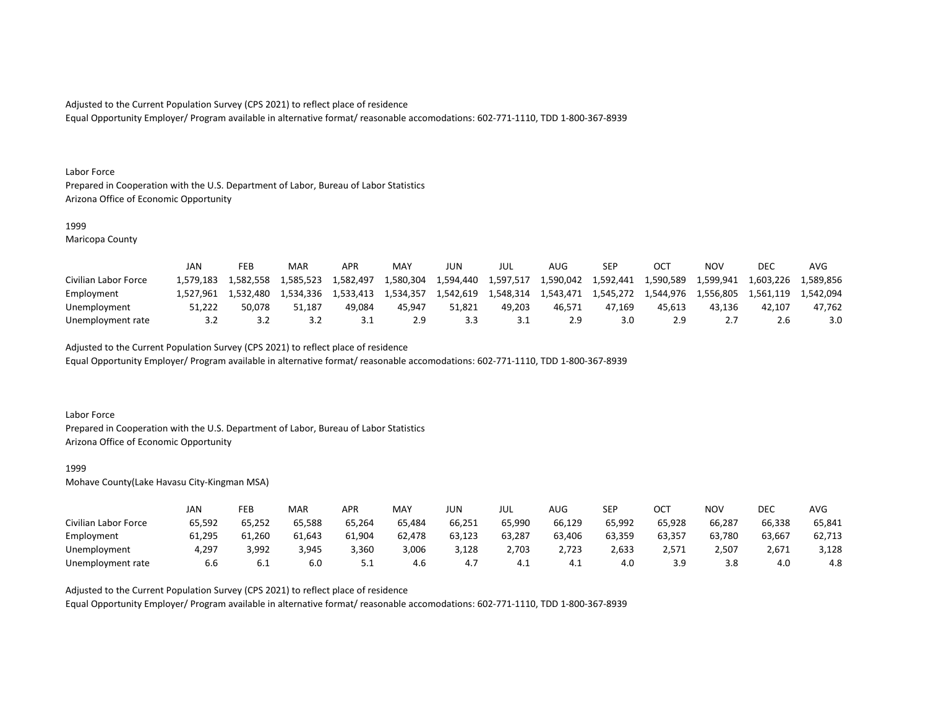Equal Opportunity Employer/ Program available in alternative format/ reasonable accomodations: 602-771-1110, TDD 1-800-367-8939

#### Labor Force

Prepared in Cooperation with the U.S. Department of Labor, Bureau of Labor Statistics Arizona Office of Economic Opportunity

## 1999

Maricopa County

|                      | JAN       | FEB       | MAR       | APR       | MA <sup>V</sup> | JUN       | JUL       | AUG       | SEP       | OC1           | NOV       | DEC       | AVG       |
|----------------------|-----------|-----------|-----------|-----------|-----------------|-----------|-----------|-----------|-----------|---------------|-----------|-----------|-----------|
| Civilian Labor Force | 1.579.183 | 1.582.558 | 1.585.523 | 1.582.497 | 1,580,304       | 1,594,440 | 1.597.517 | 1,590,042 | 1,592,441 | 1,590,589     | 1,599,941 | 1,603,226 | 1.589.856 |
| Employment           | 1.527.961 | 1.532.480 | 1,534,336 | 1.533.413 | 1.534.357       | 1,542,619 | 1.548.314 | 1.543.471 | 1,545,272 | 1,544,976     | 1,556,805 | 1.561.119 | 1.542.094 |
| Unemployment         | 51.222    | 50.078    | 51.187    | 49.084    | 45.947          | 51.821    | 49.203    | 46.571    | 47.169    | 45.613        | 43.136    | 42.107    | 47,762    |
| Unemployment rate    |           |           |           |           | 2.9             |           | ـ . ـ     |           | 3.0       | $2.9^{\circ}$ |           |           | 3.0       |

Adjusted to the Current Population Survey (CPS 2021) to reflect place of residence

Equal Opportunity Employer/ Program available in alternative format/ reasonable accomodations: 602-771-1110, TDD 1-800-367-8939

### Labor Force

Prepared in Cooperation with the U.S. Department of Labor, Bureau of Labor Statistics Arizona Office of Economic Opportunity

#### 1999

Mohave County(Lake Havasu City-Kingman MSA)

|                      | JAN    | FEB    | MAR    | APR    | <b>MAY</b> | JUN    | jul    | <b>AUG</b> | SEP    | ост    | <b>NOV</b> | DEC    | AVG    |
|----------------------|--------|--------|--------|--------|------------|--------|--------|------------|--------|--------|------------|--------|--------|
| Civilian Labor Force | 65,592 | 65,252 | 65,588 | 65,264 | 65,484     | 66,251 | 65,990 | 66,129     | 65,992 | 65,928 | 66,287     | 66,338 | 65,841 |
| Employment           | 61,295 | 61,260 | 61,643 | 61,904 | 62,478     | 63,123 | 63,287 | 63.406     | 63,359 | 63,357 | 63,780     | 63,667 | 62,713 |
| Unemployment         | 4,297  | 3,992  | 3,945  | 3,360  | 3,006      | 3,128  | 2,703  | 2,723      | 2,633  | 2,571  | 2,507      | 2,671  | 3,128  |
| Unemployment rate    | 6.6    | 6.I    | 6.0    | ـ . ـ  | 4.6        | 4.,    | 4.1    |            | 4.0    |        | 3.8        | 4.0    | 4.8    |

Adjusted to the Current Population Survey (CPS 2021) to reflect place of residence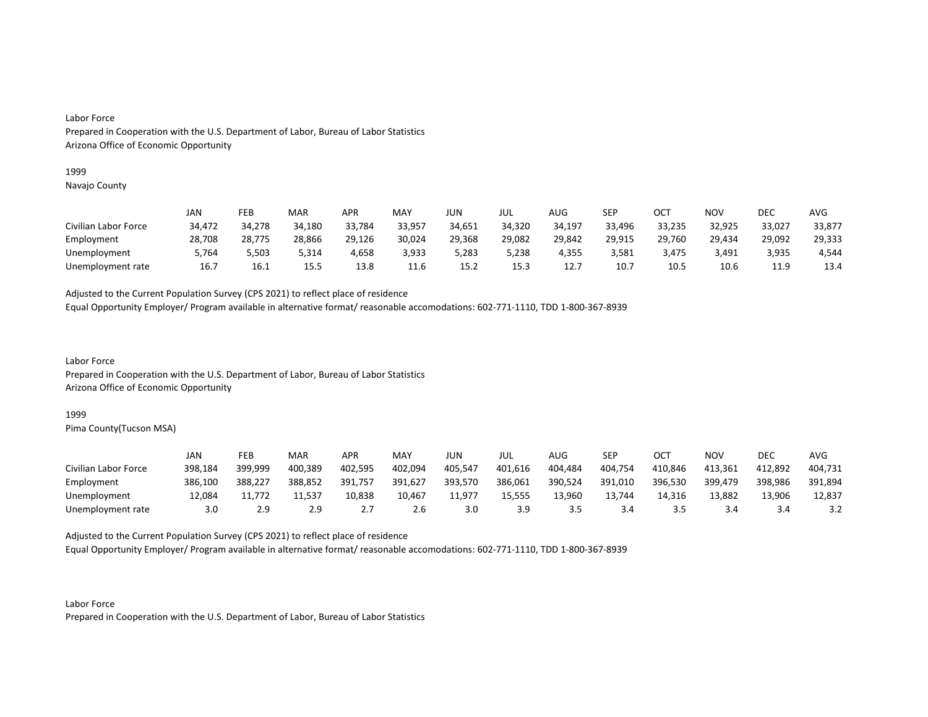#### 1999

Navajo County

|                      | JAN    | FEB    | MAR    | <b>APR</b> | MAY    | JUN    | JUL    | AUG    | SEP    | ОСТ    | NOV    | <b>DEC</b> | AVG    |
|----------------------|--------|--------|--------|------------|--------|--------|--------|--------|--------|--------|--------|------------|--------|
| Civilian Labor Force | 34,472 | 34,278 | 34,180 | 33,784     | 33,957 | 34,651 | 34,320 | 34,197 | 33,496 | 33,235 | 32,925 | 33,027     | 33,877 |
| Employment           | 28,708 | 28,775 | 28,866 | 29,126     | 30,024 | 29,368 | 29,082 | 29,842 | 29,915 | 29,760 | 29,434 | 29,092     | 29,333 |
| Unemployment         | 5.764  | 5,503  | 3,314  | 4,658      | 3,933  | 5,283  | 5,238  | 4,355  | 3.581  | 3,475  | 3.491  | 3,935      | 4,544  |
| Unemployment rate    | 16.7   | 16.1   | 15.5   | 13.8       | 11.6   | 15.2   | 15.3   | 12.7   | 10.7   | 10.5   | 10.6   | 119<br>--- | 13.4   |

Adjusted to the Current Population Survey (CPS 2021) to reflect place of residence

Equal Opportunity Employer/ Program available in alternative format/ reasonable accomodations: 602-771-1110, TDD 1-800-367-8939

Labor Force Prepared in Cooperation with the U.S. Department of Labor, Bureau of Labor Statistics Arizona Office of Economic Opportunity

#### 1999

Pima County(Tucson MSA)

|                      | JAN     | FEB     | MAR     | APR      | MAY     | JUN     | JUL     | AUG.    | <b>SEP</b> | ост     | NOV     | DEC     | AVG     |
|----------------------|---------|---------|---------|----------|---------|---------|---------|---------|------------|---------|---------|---------|---------|
| Civilian Labor Force | 398,184 | 399,999 | 400,389 | 402,595  | 402,094 | 405,547 | 401,616 | 404,484 | 404,754    | 410,846 | 413,361 | 412,892 | 404,731 |
| Employment           | 386,100 | 388,227 | 388,852 | 391,757  | 391,627 | 393,570 | 386,061 | 390,524 | 391,010    | 396,530 | 399,479 | 398,986 | 391,894 |
| Unemployment         | 12,084  | 11.772  | 11.537  | 10,838   | 10,467  | 11,977  | 15,555  | 13,960  | 13,744     | 14,316  | 13.882  | 13,906  | 12,837  |
| Unemployment rate    | 3.0     |         | 2.9     | <u>.</u> | 2.6     | 3.0     | 3.9     |         | 3.4        |         | 3.4     |         |         |

Adjusted to the Current Population Survey (CPS 2021) to reflect place of residence

Equal Opportunity Employer/ Program available in alternative format/ reasonable accomodations: 602-771-1110, TDD 1-800-367-8939

Labor Force Prepared in Cooperation with the U.S. Department of Labor, Bureau of Labor Statistics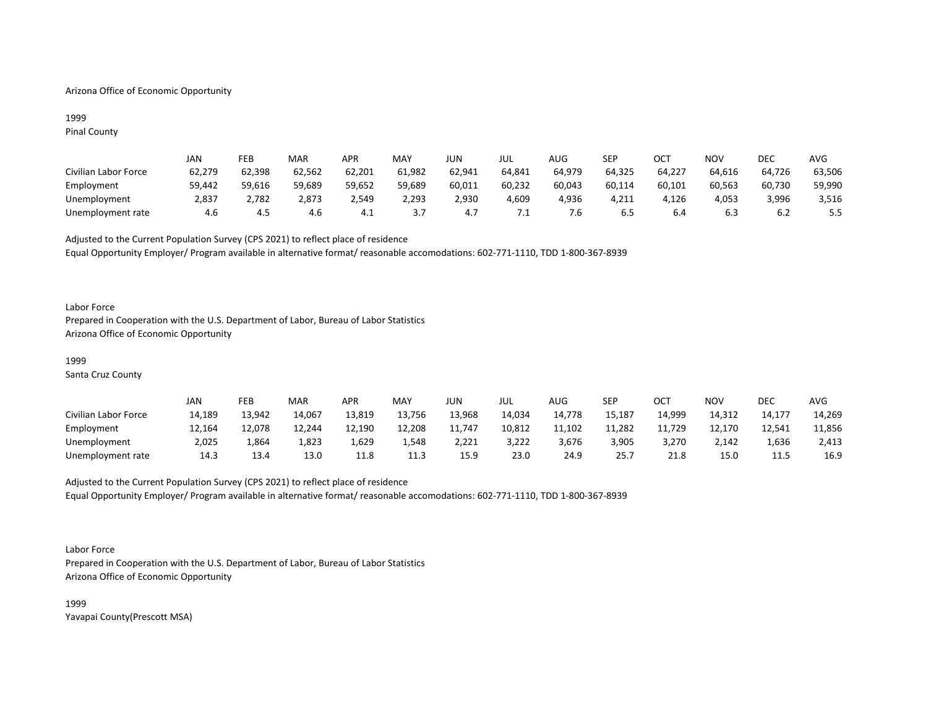## Arizona Office of Economic Opportunity

## 1999 Pinal County

|                      | JAN    | FEB    | MAR    | <b>APR</b> | MAY       | JUN    | JUL    | AUG    | SEP    | ост    | NOV    | DEC    | AVG    |
|----------------------|--------|--------|--------|------------|-----------|--------|--------|--------|--------|--------|--------|--------|--------|
| Civilian Labor Force | 62,279 | 62,398 | 62,562 | 62,201     | 61,982    | 62,941 | 64,841 | 64,979 | 64,325 | 64,227 | 64,616 | 64,726 | 63,506 |
| Employment           | 59,442 | 59,616 | 59,689 | 59,652     | 59,689    | 60,011 | 60,232 | 60,043 | 60,114 | 60,101 | 60,563 | 60,730 | 59,990 |
| Unemployment         | 2,837  | 2,782  | 2,873  | 2.549      | 2,293     | 2,930  | 4,609  | 4,936  | 4,211  | 4,126  | 4,053  | 3,996  | 3,516  |
| Unemployment rate    | 4.6    | 4.J    | 4.6    | 4.⊾        | <u>.,</u> | 4.,    | .      | /.ხ    | .ს ს   | b.4    | 6.3    | 6.2    | 5.5    |

Adjusted to the Current Population Survey (CPS 2021) to reflect place of residence Equal Opportunity Employer/ Program available in alternative format/ reasonable accomodations: 602-771-1110, TDD 1-800-367-8939

### Labor Force

Prepared in Cooperation with the U.S. Department of Labor, Bureau of Labor Statistics Arizona Office of Economic Opportunity

#### 1999

Santa Cruz County

|                      | JAN    | FEB    | <b>MAR</b> | APR    | MAY    | JUN    | JUL    | AUG    | SEP    | ост    | NOV    | DEC    | AVG    |
|----------------------|--------|--------|------------|--------|--------|--------|--------|--------|--------|--------|--------|--------|--------|
| Civilian Labor Force | 14,189 | 13,942 | 14,067     | 13,819 | 13,756 | 13,968 | 14,034 | 14,778 | 15,187 | 14,999 | 14,312 | 14,177 | 14,269 |
| Employment           | 12,164 | 12,078 | 12,244     | 12,190 | 12,208 | 11,747 | 10,812 | 11,102 | 11,282 | 11,729 | 12.170 | 12,541 | 11,856 |
| Unemployment         | 2,025  | 864ء   | 1,823      | .629ء  | 1,548  | 2,221  | 3,222  | 3,676  | 3,905  | 3,270  | 2,142  | 1,636  | 2,413  |
| Unemployment rate    | 14.3   | 13.4   | 13.0       | 11.8   | 11.3   | 15.9   | 23.0   | 24.9   | 25.7   | 21.8   | 15.0   | 11.5   | 16.9   |

# Adjusted to the Current Population Survey (CPS 2021) to reflect place of residence Equal Opportunity Employer/ Program available in alternative format/ reasonable accomodations: 602-771-1110, TDD 1-800-367-8939

#### Labor Force

Prepared in Cooperation with the U.S. Department of Labor, Bureau of Labor Statistics Arizona Office of Economic Opportunity

1999 Yavapai County(Prescott MSA)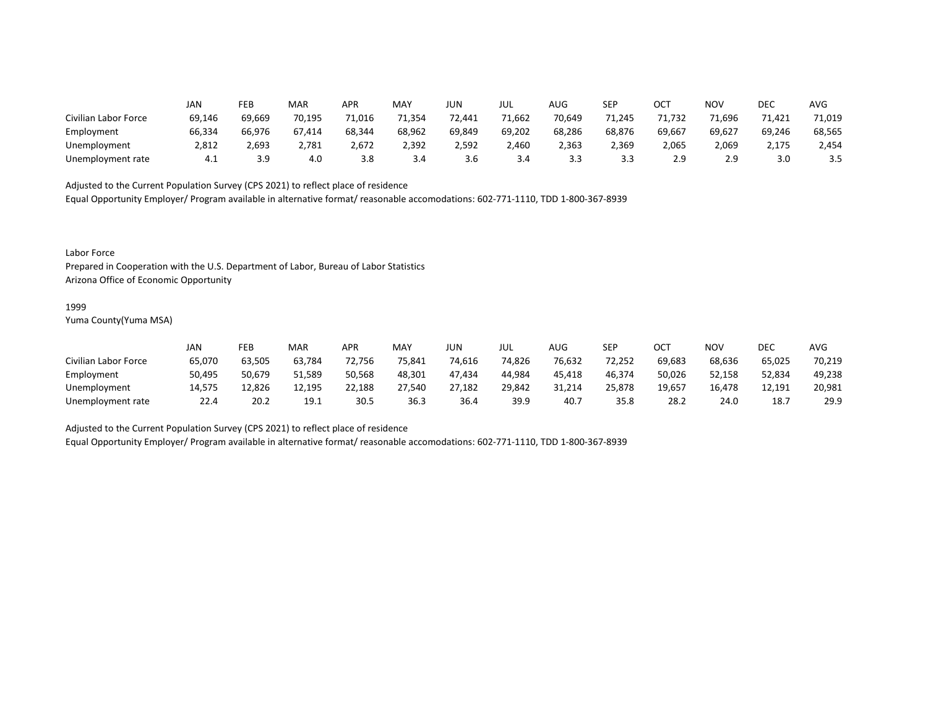|                      | JAN    | FEB    | MAR    | <b>APR</b> | MAY    | <b>JUN</b> | JUL    | AUG    | SEP    | ост    | NOV    | DEC    | <b>AVG</b> |
|----------------------|--------|--------|--------|------------|--------|------------|--------|--------|--------|--------|--------|--------|------------|
| Civilian Labor Force | 69,146 | 69,669 | 70,195 | 71,016     | 71,354 | 72,441     | 71,662 | 70,649 | 71.245 | '1.732 | 71,696 | 71.421 | 71,019     |
| Employment           | 66,334 | 66,976 | 67,414 | 68,344     | 68,962 | 69,849     | 69,202 | 68,286 | 68,876 | 69,667 | 69,627 | 69,246 | 68,565     |
| Unemployment         | 2,812  | 2,693  | 2,781  | 2,672      | 2,392  | 2,592      | 2,460  | 2,363  | 2,369  | 2,065  | 2,069  | 2,175  | 2,454      |
| Unemployment rate    | 4.1    | 3.9    | 4.0    | 3.8        | 3.4    | 3.6        | 3.4    | 3.3    | 3.3    | 2.9    | 2.9    | 3.0    | 3.5        |

Equal Opportunity Employer/ Program available in alternative format/ reasonable accomodations: 602-771-1110, TDD 1-800-367-8939

Labor Force

Prepared in Cooperation with the U.S. Department of Labor, Bureau of Labor Statistics Arizona Office of Economic Opportunity

#### 1999

Yuma County(Yuma MSA)

|                      | Jan    | FEB    | <b>MAR</b> | APR    | MAY    | JUN    | JUL    | AUG    | SEP    | OCT    | <b>NOV</b> | DEC    | AVG    |
|----------------------|--------|--------|------------|--------|--------|--------|--------|--------|--------|--------|------------|--------|--------|
| Civilian Labor Force | 65,070 | 63,505 | 63,784     | 72,756 | 75,841 | 74,616 | 74,826 | 76,632 | 72,252 | 69,683 | 68,636     | 65,025 | 70,219 |
| Employment           | 50,495 | 50,679 | 51,589     | 50,568 | 48,301 | 47,434 | 44.984 | 45.418 | 46,374 | 50,026 | 52,158     | 52,834 | 49,238 |
| Unemployment         | 14.575 | 12,826 | 12.195     | 22,188 | 27,540 | 27,182 | 29,842 | 31,214 | 25,878 | 19,657 | 16.478     | 12,191 | 20,981 |
| Unemployment rate    | 22.4   | 20.2   | 19.1       | 30.5   | 36.3   | 36.4   | 39.9   | 40     | 35.8   | 28.2   | 24.0       | 18.7   | 29.9   |

Adjusted to the Current Population Survey (CPS 2021) to reflect place of residence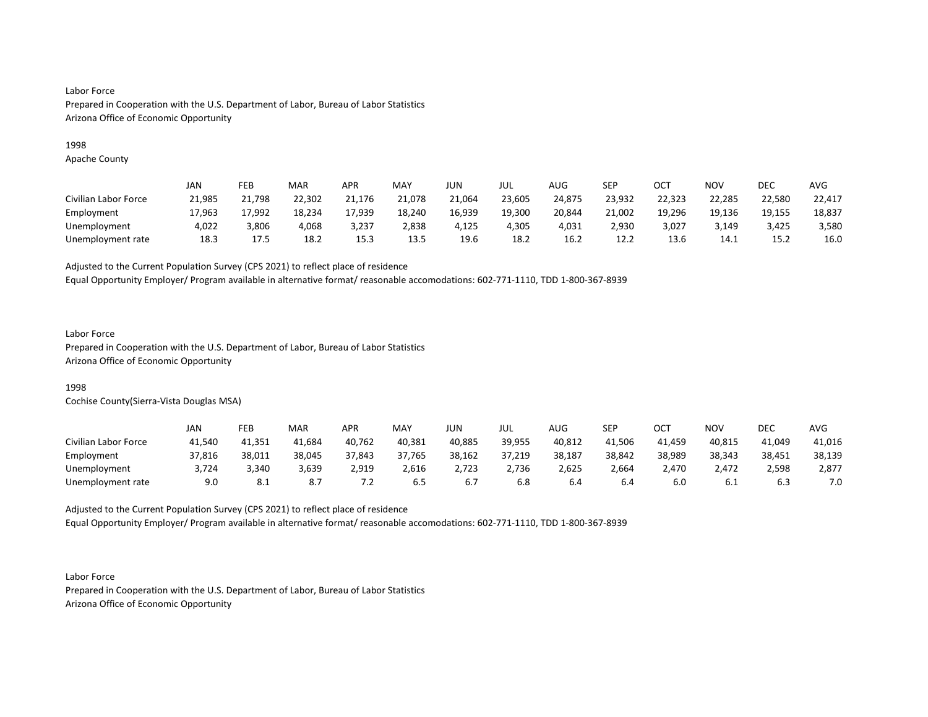## 1998

Apache County

|                      | JAN    | FEB    | <b>MAR</b> | APR    | <b>MAY</b> | JUN    | JUL    | <b>AUG</b> | SEP    | ост    | NOV    | DEC    | <b>AVG</b> |
|----------------------|--------|--------|------------|--------|------------|--------|--------|------------|--------|--------|--------|--------|------------|
| Civilian Labor Force | 21,985 | 21,798 | 22,302     | 21,176 | 21,078     | 21.064 | 23,605 | 24,875     | 23,932 | 22,323 | 22,285 | 22,580 | 22,417     |
| Employment           | 17,963 | 17,992 | 18,234     | 17,939 | 18,240     | 16,939 | 19,300 | 20,844     | 21,002 | 19,296 | 19,136 | 19,155 | 18,837     |
| Unemployment         | 4,022  | 3,806  | 4,068      | 3,237  | 2,838      | 4,125  | 4,305  | 4,031      | 2,930  | 3,027  | 3,149  | 3,425  | 3,580      |
| Unemployment rate    | 18.3   | 17.5   | 18.2       | 15.3   | 13.5       | 19.6   | 18.2   | 16.2       | 12.2   | 13.6   | 14.1   | 15.2   | 16.0       |

Adjusted to the Current Population Survey (CPS 2021) to reflect place of residence

Equal Opportunity Employer/ Program available in alternative format/ reasonable accomodations: 602-771-1110, TDD 1-800-367-8939

## Labor Force

Prepared in Cooperation with the U.S. Department of Labor, Bureau of Labor Statistics Arizona Office of Economic Opportunity

## 1998

Cochise County(Sierra-Vista Douglas MSA)

|                      | JAN    | FEB        | <b>MAR</b> | APR     | MAY    | JUN    | JUL    | AUG    | SEP    | ост    | NOV    | DEC    | AVG    |
|----------------------|--------|------------|------------|---------|--------|--------|--------|--------|--------|--------|--------|--------|--------|
| Civilian Labor Force | 41,540 | 41,351     | 41,684     | 40,762  | 40,381 | 40,885 | 39,955 | 40,812 | 41.506 | 41.459 | 40,815 | 41,049 | 41,016 |
| Employment           | 37,816 | 38,011     | 38,045     | 37,843  | 37,765 | 38,162 | 37,219 | 38,187 | 38,842 | 38,989 | 38,343 | 38,451 | 38,139 |
| Unemployment         | 3,724  | 3,340      | 3,639      | 2,919   | 2,616  | 2,723  | 2,736  | 2,625  | 2,664  | 2,470  | 2,472  | 2,598  | 2,877  |
| Unemployment rate    | 9.0    | <b>8.1</b> |            | $\cdot$ | 6.5    | b.,    | 6.8    | o.4    | 6.4    | 6.0    | b.1    | ხ.პ    | 7.0    |

Adjusted to the Current Population Survey (CPS 2021) to reflect place of residence Equal Opportunity Employer/ Program available in alternative format/ reasonable accomodations: 602-771-1110, TDD 1-800-367-8939

Labor Force Prepared in Cooperation with the U.S. Department of Labor, Bureau of Labor Statistics Arizona Office of Economic Opportunity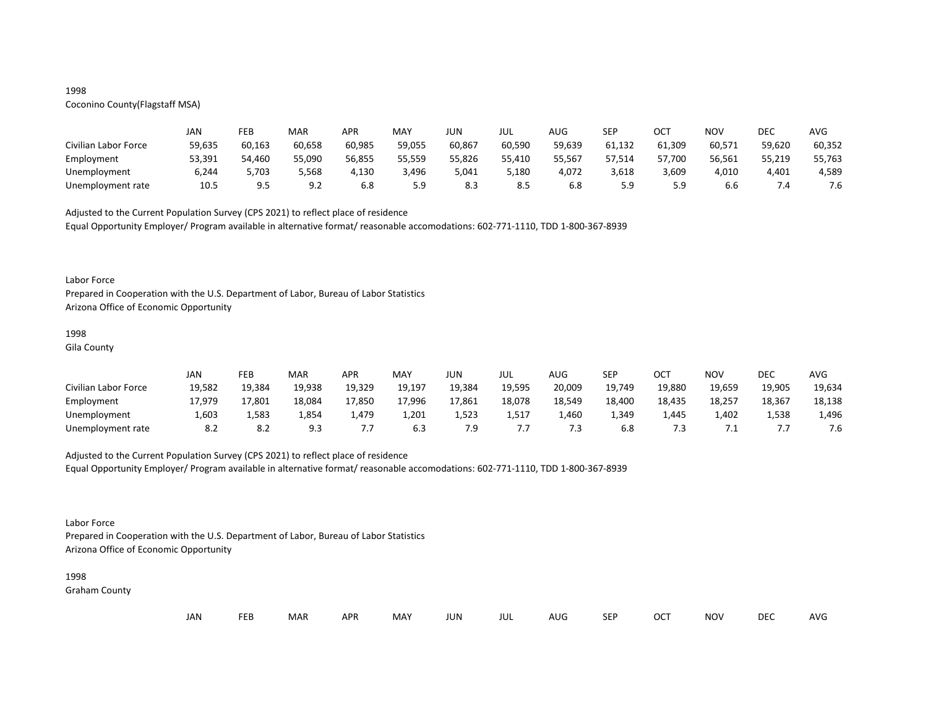## 1998

# Coconino County(Flagstaff MSA)

|                      | JAN    | FEB    | MAR    | APR    | MAY    | JUN    | JUL    | AUG    | <b>SEP</b> | ост    | NOV    | DEC    | AVG    |
|----------------------|--------|--------|--------|--------|--------|--------|--------|--------|------------|--------|--------|--------|--------|
| Civilian Labor Force | 59,635 | 60,163 | 60,658 | 60,985 | 59,055 | 60,867 | 60,590 | 59,639 | 61.132     | 61,309 | 60,571 | 59,620 | 60,352 |
| Employment           | 53,391 | 54,460 | 55,090 | 56,855 | 55,559 | 55,826 | 55,410 | 55,567 | 57,514     | 57,700 | 56,561 | 55,219 | 55,763 |
| Unemployment         | 6,244  | 5,703  | 5,568  | 4,130  | 3,496  | 5,041  | 5,180  | 4,072  | 3,618      | 3,609  | 4,010  | 4,401  | 4,589  |
| Unemployment rate    | 10.5   | 9.5    | 9.2    | 6.8    | 5.9    | 8.3    | 8.5    | 6.8    | 5.9        |        | 6.6    |        | 7.6    |

Adjusted to the Current Population Survey (CPS 2021) to reflect place of residence

Equal Opportunity Employer/ Program available in alternative format/ reasonable accomodations: 602-771-1110, TDD 1-800-367-8939

#### Labor Force

Prepared in Cooperation with the U.S. Department of Labor, Bureau of Labor Statistics Arizona Office of Economic Opportunity

#### 1998

Gila County

|                      | JAN    | FEB    | MAR    | APR    | MAY    | JUN    | JUL    | AUG    | <b>SEP</b> | ост    | NOV    | DEC    | AVG    |
|----------------------|--------|--------|--------|--------|--------|--------|--------|--------|------------|--------|--------|--------|--------|
| Civilian Labor Force | 19,582 | 19,384 | 19,938 | 19,329 | 19,197 | 19,384 | 19,595 | 20,009 | 19,749     | 19,880 | 19,659 | 19,905 | 19,634 |
| Employment           | 17,979 | 17,801 | 18,084 | 17,850 | 17,996 | 17,861 | 18,078 | 18,549 | 18.400     | 18.435 | 18,257 | 18,367 | 18,138 |
| Unemployment         | 1,603  | 1,583  | 1,854  | 1.479  | 1,201  | ⊥,523  | 1,517  | 1,460  | 1,349      | 1.445  | 1,402  | 1,538  | 1,496  |
| Unemployment rate    | 8.2    | 8.2    | 9.3    | ,,,    | 6.3    | 7.9    |        | 7.3    | 6.8        |        | . .    |        | 7.6    |

## Adjusted to the Current Population Survey (CPS 2021) to reflect place of residence

Equal Opportunity Employer/ Program available in alternative format/ reasonable accomodations: 602-771-1110, TDD 1-800-367-8939

## Labor Force

Prepared in Cooperation with the U.S. Department of Labor, Bureau of Labor Statistics Arizona Office of Economic Opportunity

#### 1998

Graham County

| JAN | FEB | <b>MAR</b> | APR | MAY | <b>JUN</b> | JUL | AUG | SEP | OCT | NOV | <b>DEC</b> | AVG |
|-----|-----|------------|-----|-----|------------|-----|-----|-----|-----|-----|------------|-----|
|-----|-----|------------|-----|-----|------------|-----|-----|-----|-----|-----|------------|-----|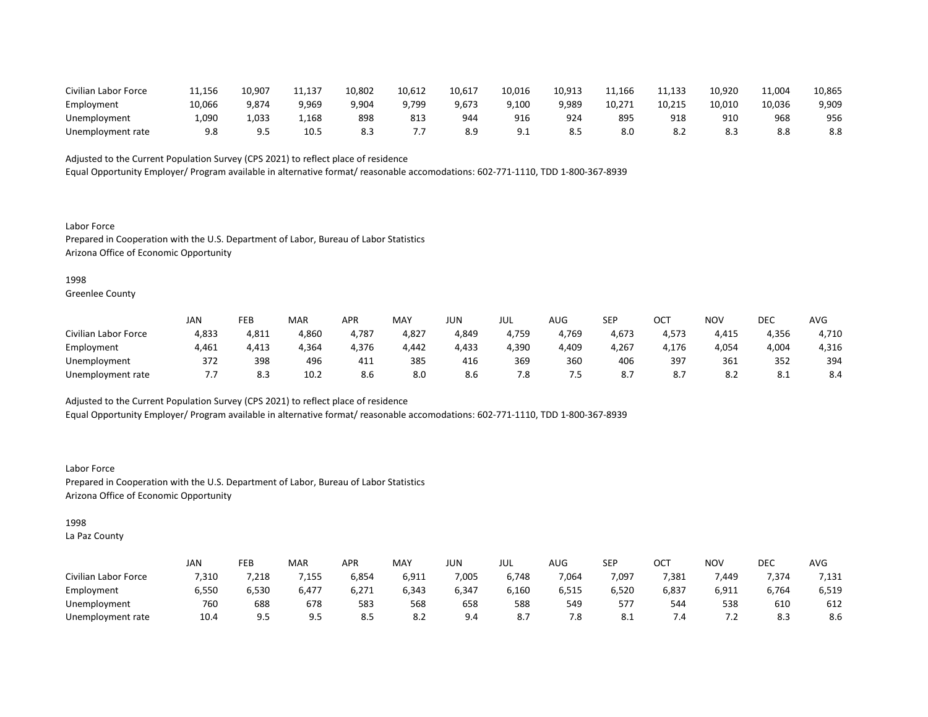| Civilian Labor Force | 11,156 | 10,907 | 11,137 | 10,802 | 10,612 | 10,617 | 10,016          | 10,913 | 11,166 | 11,133 | 10,920 | 11,004 | 10,865 |
|----------------------|--------|--------|--------|--------|--------|--------|-----------------|--------|--------|--------|--------|--------|--------|
| Employment           | 10,066 | 9,874  | 9,969  | 9,904  | 9,799  | 9,673  | 9,100           | 9,989  | 10,271 | 10,215 | 10,010 | 10,036 | 9,909  |
| Unemployment         | 1,090  | 1,033  | 1,168  | 898    | 813    | 944    | 916             | 924    | 895    | 918    | 910    | 968    | 956    |
| Unemployment rate    | 9.8    | .      | 10.5   |        | .      |        | . O<br><u>.</u> |        | 8.0    | o.∠    | ర.ు    |        | 8.8    |

Equal Opportunity Employer/ Program available in alternative format/ reasonable accomodations: 602-771-1110, TDD 1-800-367-8939

Labor Force Prepared in Cooperation with the U.S. Department of Labor, Bureau of Labor Statistics Arizona Office of Economic Opportunity

1998

Greenlee County

|                      | JAN   | FEB   | <b>MAR</b> | APR                   | MAY   | JUN   | JUL   | AUG   | <b>SEP</b> | ост   | NOV   | DEC   | AVG   |
|----------------------|-------|-------|------------|-----------------------|-------|-------|-------|-------|------------|-------|-------|-------|-------|
| Civilian Labor Force | 4,833 | 4,811 | 4,860      | 4,787                 | 4,827 | 4,849 | 4,759 | 4,769 | 4,673      | 4,573 | 4,415 | 4,356 | 4,710 |
| Employment           | 4,461 | 4,413 | 4,364      | 4,376                 | 4,442 | 4,433 | 4,390 | 4,409 | 4,267      | I,176 | 4,054 | 4,004 | 4,316 |
| Unemployment         | 372   | 398   | 496        | $\overline{A}$<br>4⊥⊥ | 385   | 416   | 369   | 360   | 406        | 397   | 361   | 352   | 394   |
| Unemployment rate    | .     | 8.3   | 10.2       | 8.6                   | 8.0   | 8.6   | 7.8   | כ.    | $\circ$ .  | o.,   | O.Z   | O.L   | 8.4   |

Adjusted to the Current Population Survey (CPS 2021) to reflect place of residence

Equal Opportunity Employer/ Program available in alternative format/ reasonable accomodations: 602-771-1110, TDD 1-800-367-8939

Labor Force Prepared in Cooperation with the U.S. Department of Labor, Bureau of Labor Statistics Arizona Office of Economic Opportunity

1998

La Paz County

|                      | <b>JAN</b> | FEB   | MAR   | APR   | <b>MAY</b> | JUN   | JUL   | <b>AUG</b> | SEP   | ⌒⌒⊤<br>◡◡ | <b>NOV</b> | DEC   | AVG   |
|----------------------|------------|-------|-------|-------|------------|-------|-------|------------|-------|-----------|------------|-------|-------|
| Civilian Labor Force | 7,310      | ,218  | 155 ' | 6,854 | 6,911      | 7,005 | 6,748 | 7,064      | 7,097 | 7,381     | 7.449      | 7,374 | 7,131 |
| Employment           | 6,550      | 6,530 | 6,477 | 6,271 | 6,343      | 6,347 | 6,160 | 6,515      | 6,520 | 6,837     | 6,911      | 6,764 | 6,519 |
| Unemployment         | 760        | 688   | 678   | 583   | 568        | 658   | 588   | 549        | 577   | 544       | 538        | 610   | 612   |
| Unemployment rate    | 10.4       | 9.5   | 9.5   | 8.5   | 8.2        | 9.4   | ٥.,   | 7.8        | O.L   | ∕.4       | . <u>.</u> | 8.3   | 8.6   |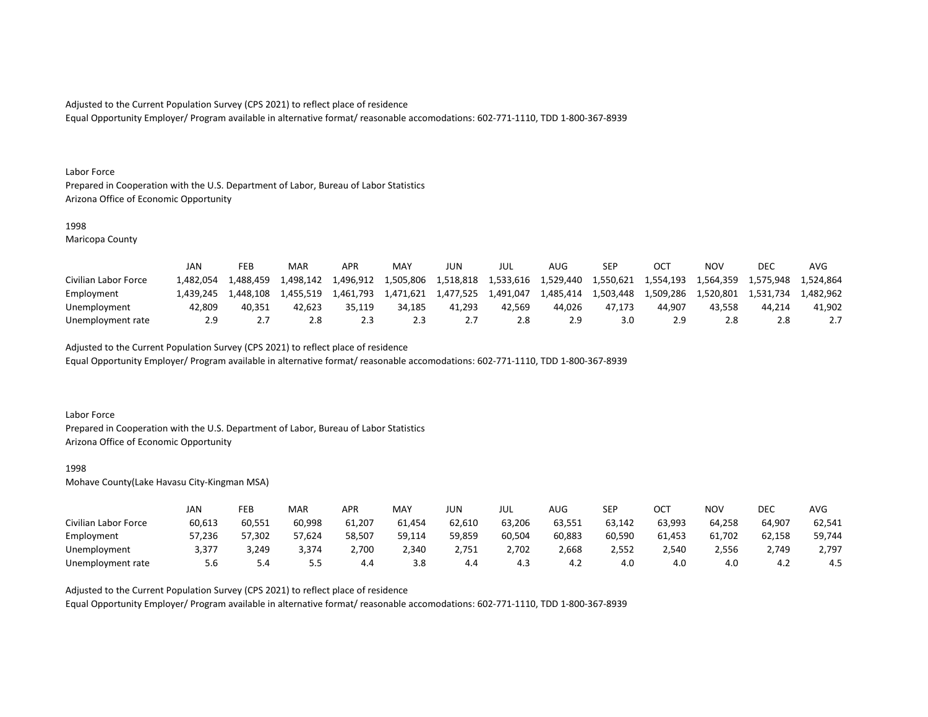Equal Opportunity Employer/ Program available in alternative format/ reasonable accomodations: 602-771-1110, TDD 1-800-367-8939

#### Labor Force

Prepared in Cooperation with the U.S. Department of Labor, Bureau of Labor Statistics Arizona Office of Economic Opportunity

#### 1998

Maricopa County

|                      | JAN       | FEB        | MAR       | APR       | MAY       | JUN       | JUL       | AUG       | <b>SEP</b> |           | ΝΟν       | <b>DEC</b> | <b>AVC</b> |
|----------------------|-----------|------------|-----------|-----------|-----------|-----------|-----------|-----------|------------|-----------|-----------|------------|------------|
| Civilian Labor Force | 1.482.054 | 488,459. د | 4,498,142 | 1,496,912 | 1,505,806 | 1,518,818 | 1,533,616 | 1,529,440 | 1,550,621  | 1,554,193 | 1,564,359 | 1.575.948  | 1.524.864  |
| Employment           | 1.439.245 | 1.448.108  | 1.455.519 | 1.461.793 | 1,471,621 | 1,477,525 | 1.491.047 | 1,485,414 | 1,503,448  | 1.509.286 | 1.520.801 | 1.531.734  | 1.482.962  |
| Unemployment         | 42.809    | 40.351     | 42.623    | 35.119    | 34.185    | 41.293    | 42.569    | 44.026    | 47.173     | 44.907    | 43.558    | 44.214     | 41.902     |
| Unemployment rate    | 2.9       |            | 2.8       |           | 2.3       |           | 2.8       |           | 3.0        |           | 2.8       |            |            |

Adjusted to the Current Population Survey (CPS 2021) to reflect place of residence

Equal Opportunity Employer/ Program available in alternative format/ reasonable accomodations: 602-771-1110, TDD 1-800-367-8939

### Labor Force

Prepared in Cooperation with the U.S. Department of Labor, Bureau of Labor Statistics Arizona Office of Economic Opportunity

#### 1998

Mohave County(Lake Havasu City-Kingman MSA)

|                      | JAN    | FEB    | MAR     | APR    | MAY    | JUN    | JUL    | AUG    | <b>SEP</b> | ОСТ    | NO۱    | DEC    | AVG    |
|----------------------|--------|--------|---------|--------|--------|--------|--------|--------|------------|--------|--------|--------|--------|
| Civilian Labor Force | 60,613 | 60,551 | 60,998  | 61,207 | 61,454 | 62,610 | 63,206 | 63,551 | 63,142     | 63,993 | 64,258 | 64,907 | 62,541 |
| Employment           | 57,236 | 57,302 | 57,624  | 58,507 | 59,114 | 59,859 | 60,504 | 60,883 | 60,590     | 61,453 | 61,702 | 62,158 | 59,744 |
| Unemployment         | 3,377  | 3,249  | 3,374   | 2,700  | 2,340  | 2,751  | 2,702  | 2,668  | 2,552      | 2,540  | 2,556  | 2,749  | 2,797  |
| Unemployment rate    | 5.6    | 5.4    | - -<br> | 4.4    | 3.8    | 4.4    | 4.3    | 4.Z    | 4.0        | 4.0    | 4.0    | 4.2    | 4.5    |

Adjusted to the Current Population Survey (CPS 2021) to reflect place of residence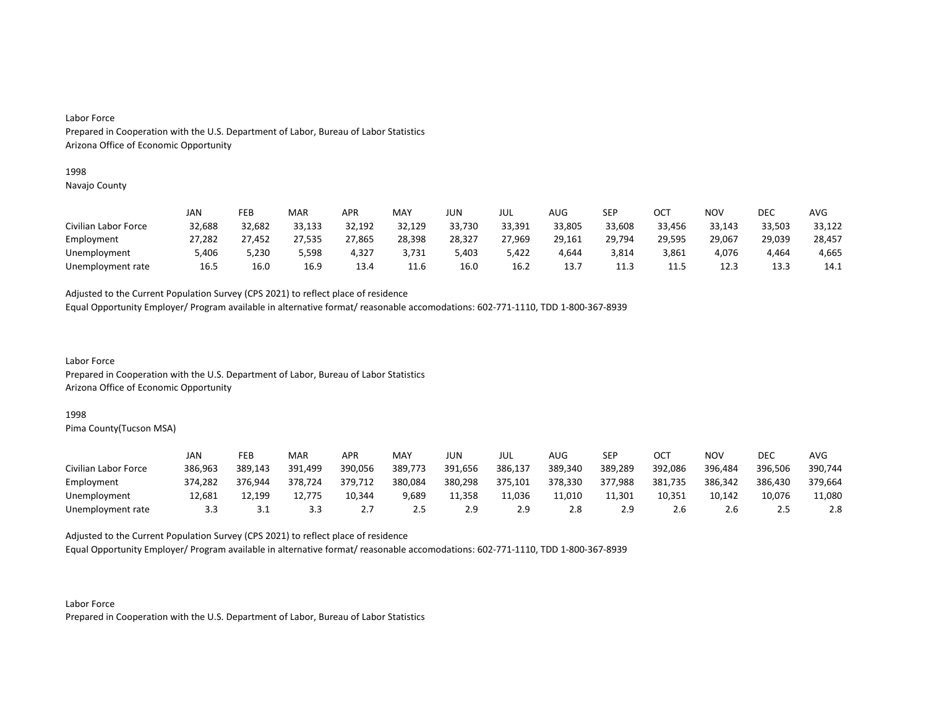#### 1998

Navajo County

|                      | JAN    | FEB    | MAR    | APR    | MAY    | JUN    | JUL    | AUG    | SEP    | OCT    | NOV    | DEC    | AVG    |
|----------------------|--------|--------|--------|--------|--------|--------|--------|--------|--------|--------|--------|--------|--------|
| Civilian Labor Force | 32,688 | 32,682 | 33,133 | 32,192 | 32,129 | 33,730 | 33,391 | 33,805 | 33,608 | 33,456 | 33,143 | 33,503 | 33,122 |
| Employment           | 27,282 | 27,452 | 27,535 | 27,865 | 28,398 | 28,327 | 27,969 | 29,161 | 29,794 | 29,595 | 29,067 | 29,039 | 28,457 |
| Unemployment         | 5,406  | 5,230  | 5,598  | 4,327  | 3,731  | 5,403  | 5,422  | 4.644  | 3,814  | 3.861  | 4.076  | 4.464  | 4,665  |
| Unemployment rate    | 16.5   | 16.0   | 16.9   | 13.4   | 11.6   | 16.0   | 16.2   | 13.7   | 11.3   | 11.5   | 12.3   | 13.3   | 14.1   |

Adjusted to the Current Population Survey (CPS 2021) to reflect place of residence

Equal Opportunity Employer/ Program available in alternative format/ reasonable accomodations: 602-771-1110, TDD 1-800-367-8939

Labor Force Prepared in Cooperation with the U.S. Department of Labor, Bureau of Labor Statistics Arizona Office of Economic Opportunity

### 1998

Pima County(Tucson MSA)

|                      | JAN     | FEB     | MAR     | APR             | MAY     | JUN     | JUL     | AUG.    | <b>SEP</b> | ост     | NOV     | DEC     | AVG     |
|----------------------|---------|---------|---------|-----------------|---------|---------|---------|---------|------------|---------|---------|---------|---------|
| Civilian Labor Force | 386,963 | 389,143 | 391,499 | 390,056         | 389,773 | 391,656 | 386,137 | 389,340 | 389,289    | 392,086 | 396,484 | 396,506 | 390,744 |
| Employment           | 374,282 | 376.944 | 378,724 | 379,712         | 380,084 | 380,298 | 375,101 | 378,330 | 377,988    | 381,735 | 386,342 | 386,430 | 379,664 |
| Unemployment         | 12.681  | 12.199  | 12,775  | 10,344          | 9,689   | 11,358  | 11.036  | 11,010  | 11.301     | 10,351  | 10,142  | 10,076  | 11,080  |
| Unemployment rate    | 3.3     | ـ . ـ   | 3.3     | $\mathcal{L}$ . | 2.5     | 2.9     | 2.9     | 2.8     | 2.9        | ∠.b     | 2.b     |         | 2.8     |

Adjusted to the Current Population Survey (CPS 2021) to reflect place of residence

Equal Opportunity Employer/ Program available in alternative format/ reasonable accomodations: 602-771-1110, TDD 1-800-367-8939

Labor Force Prepared in Cooperation with the U.S. Department of Labor, Bureau of Labor Statistics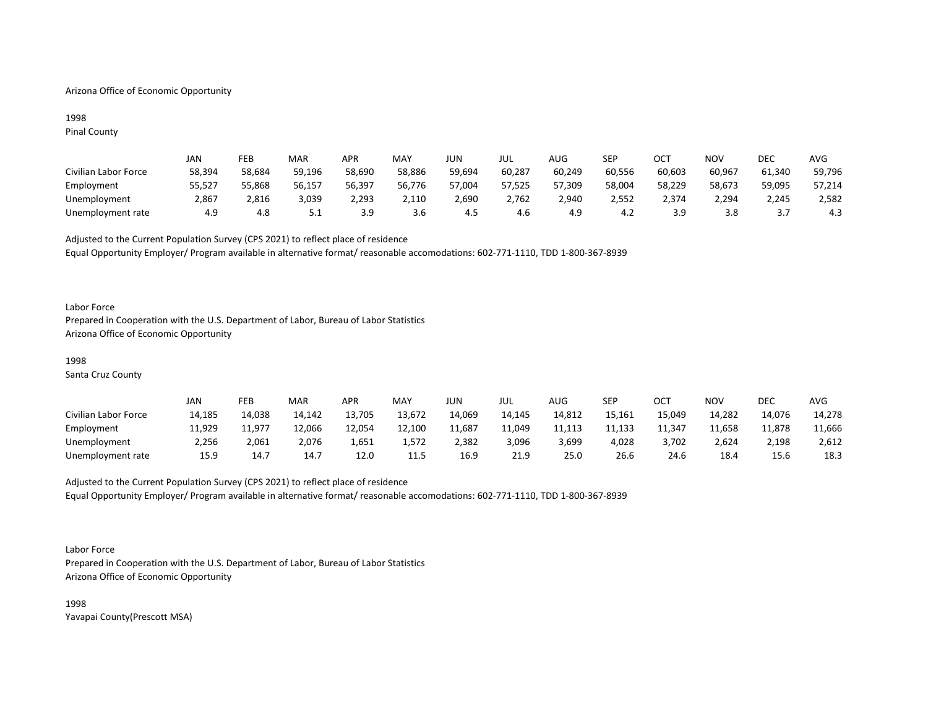## Arizona Office of Economic Opportunity

## 1998 Pinal County

|                      | JAN    | FEB    | MAR    | <b>APR</b> | MAY    | JUN    | JUL    | AUG    | <b>SEP</b> | ост    | NOV    | <b>DEC</b> | AVG    |
|----------------------|--------|--------|--------|------------|--------|--------|--------|--------|------------|--------|--------|------------|--------|
| Civilian Labor Force | 58,394 | 58.684 | 59.196 | 58,690     | 58,886 | 59,694 | 60,287 | 60,249 | 60,556     | 60,603 | 60,967 | 61,340     | 59,796 |
| Employment           | 55,527 | 55,868 | 56,157 | 56,397     | 56,776 | 57,004 | 57,525 | 57,309 | 58,004     | 58,229 | 58,673 | 59,095     | 57,214 |
| Unemployment         | 2.867  | 816ء ک | 3,039  | 2.293      | 2,110  | 2,690  | 2,762  | 2,940  | 2.552      | 2.374  | 2,294  | 2,245      | 2,582  |
| Unemployment rate    | 4.9    | 4.ŏ    | ـ . ـ  | J.J        | 3.6    | 4.5    | 4.6    | 4.9    | 4.∠        | э d    | 3.8    | J.         | 4.3    |

Adjusted to the Current Population Survey (CPS 2021) to reflect place of residence Equal Opportunity Employer/ Program available in alternative format/ reasonable accomodations: 602-771-1110, TDD 1-800-367-8939

### Labor Force

Prepared in Cooperation with the U.S. Department of Labor, Bureau of Labor Statistics Arizona Office of Economic Opportunity

#### 1998

Santa Cruz County

|                      | JAN    | FEB    | <b>MAR</b> | APR    | MAY    | JUN    | JUL    | AUG    | SEP    | ост    | <b>NOV</b> | <b>DEC</b> | <b>AVG</b> |
|----------------------|--------|--------|------------|--------|--------|--------|--------|--------|--------|--------|------------|------------|------------|
| Civilian Labor Force | 14,185 | 14,038 | 14,142     | 13,705 | 13,672 | 14,069 | 14,145 | 14,812 | 15,161 | 15,049 | 14,282     | 14,076     | 14,278     |
| Employment           | 11,929 | 11.977 | 12,066     | 12,054 | 12,100 | 11,687 | 11.049 | 11,113 | 11,133 | 11,347 | 11,658     | 11,878     | 11,666     |
| Unemployment         | 2,256  | 2,061  | 2,076      | 1,651  | 1,572  | 2,382  | 3,096  | 3.699  | 4,028  | 3,702  | 2,624      | 2,198      | 2,612      |
| Unemployment rate    | 15.9   | 14.7   | 14.7       | 12.0   | 11.5   | 16.9   | 21.9   | 25.0   | 26.6   | 24.6   | 18.4       | 15.6       | 18.3       |

# Adjusted to the Current Population Survey (CPS 2021) to reflect place of residence Equal Opportunity Employer/ Program available in alternative format/ reasonable accomodations: 602-771-1110, TDD 1-800-367-8939

#### Labor Force

Prepared in Cooperation with the U.S. Department of Labor, Bureau of Labor Statistics Arizona Office of Economic Opportunity

1998 Yavapai County(Prescott MSA)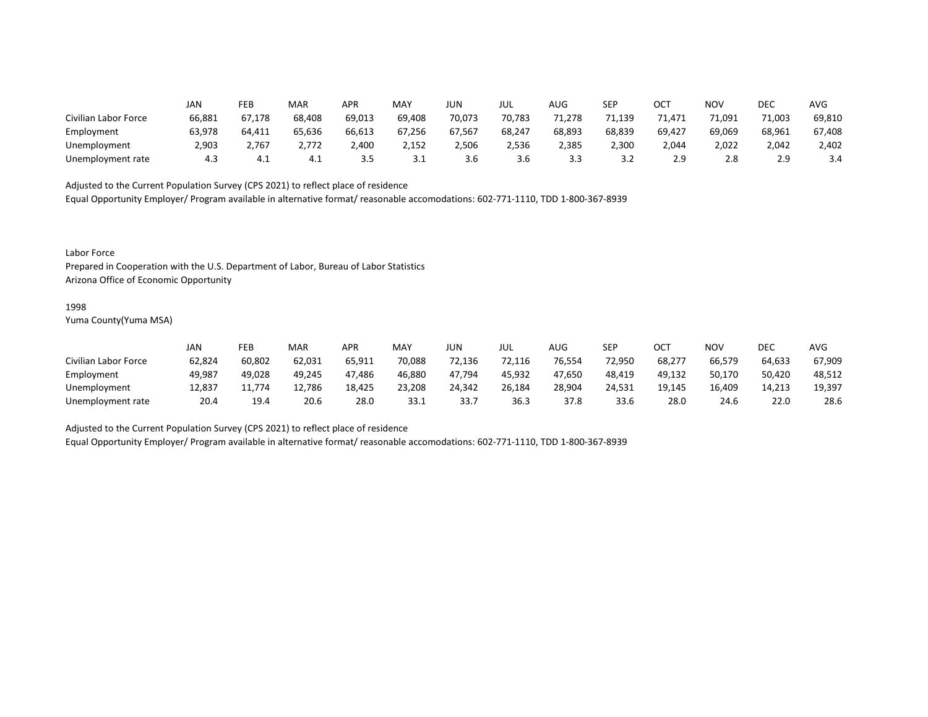|                      | JAN    | FEB    | MAR    | <b>APR</b> | MAY    | <b>JUN</b> | JUL    | AUG    | <b>SEP</b> | ∩∩⊤<br>UC. | NOV    | DEC    | <b>AVG</b> |
|----------------------|--------|--------|--------|------------|--------|------------|--------|--------|------------|------------|--------|--------|------------|
| Civilian Labor Force | 66,881 | 67,178 | 68,408 | 69,013     | 69,408 | 70,073     | 70,783 | 71,278 | 71,139     | 71.471     | 71,091 | 71,003 | 69,810     |
| Employment           | 63,978 | 64,411 | 65,636 | 66,613     | 67,256 | 67,567     | 68,247 | 68,893 | 68,839     | 69,427     | 69,069 | 68,961 | 67,408     |
| Unemployment         | 2,903  | 2,767  | 2,772  | 2,400      | 2,152  | 2,506      | 2,536  | 2,385  | 2,300      | 2,044      | 2,022  | 2,042  | 2,402      |
| Unemployment rate    | 4.3    | 4.1    | 4.1    | 3.5        | ـ . ـ  | 3.6        | 3.6    | 3.3    | 3.2        | 2.9        | 2.8    | 2.9    | 3.4        |

Equal Opportunity Employer/ Program available in alternative format/ reasonable accomodations: 602-771-1110, TDD 1-800-367-8939

Labor Force

Prepared in Cooperation with the U.S. Department of Labor, Bureau of Labor Statistics Arizona Office of Economic Opportunity

#### 1998

Yuma County(Yuma MSA)

|                      | JAN    | FEB    | <b>MAR</b> | APR    | <b>MAY</b> | JUN    | JUL    | AUG    | SEP    | OC1    | NOV    | DEC    | <b>AVG</b> |
|----------------------|--------|--------|------------|--------|------------|--------|--------|--------|--------|--------|--------|--------|------------|
| Civilian Labor Force | 62,824 | 60,802 | 62,031     | 65,911 | 70,088     | 72.136 | 72.116 | 76,554 | 72.950 | 68,277 | 66,579 | 64,633 | 67,909     |
| Employment           | 49,987 | 49,028 | 49.245     | 47.486 | 46,880     | 47,794 | 45,932 | 47.650 | 48,419 | 49.132 | 50,170 | 50,420 | 48,512     |
| Unemployment         | 12,837 | 11.774 | 12,786     | 18,425 | 23,208     | 24,342 | 26,184 | 28,904 | 24,531 | 19,145 | 16,409 | 14,213 | 19,397     |
| Unemployment rate    | 20.4   | 19.4   | 20.6       | 28.C   | 33.1       | 33.7   | 36.3   | 37.8   | 33.6   | 28.0   | 24.6   | 22.0   | 28.6       |

Adjusted to the Current Population Survey (CPS 2021) to reflect place of residence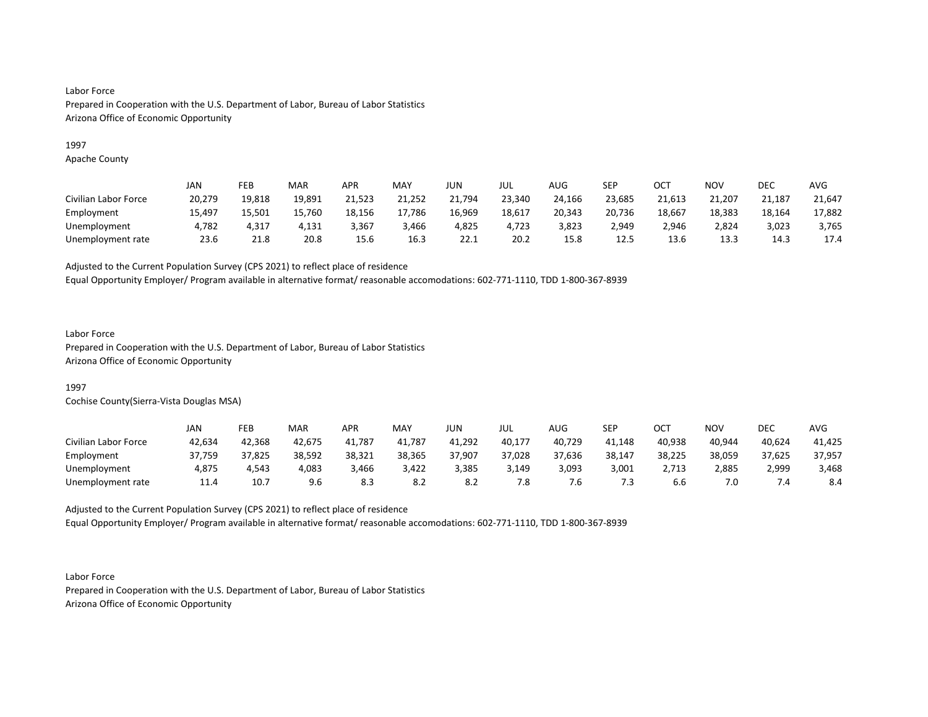## 1997

Apache County

|                      | JAN    | FEB    | <b>MAR</b> | APR    | <b>MAY</b> | JUN    | JUL    | AUG    | SEP    | ост    | NOV    | DEC    | <b>AVG</b> |
|----------------------|--------|--------|------------|--------|------------|--------|--------|--------|--------|--------|--------|--------|------------|
| Civilian Labor Force | 20,279 | 19,818 | 19,891     | 21,523 | 21,252     | 21,794 | 23,340 | 24,166 | 23,685 | 21,613 | 21,207 | 21,187 | 21,647     |
| Employment           | 15,497 | 15,501 | 15,760     | 18,156 | 17,786     | 16,969 | 18,617 | 20,343 | 20,736 | 18,667 | 18,383 | 18,164 | 17,882     |
| Unemployment         | 4,782  | 4.317  | 4,131      | 3,367  | 3,466      | 4,825  | 4,723  | 3,823  | 2,949  | 2,946  | 2,824  | 3,023  | 3,765      |
| Unemployment rate    | 23.6   | 21.8   | 20.8       | 15.6   | 16.3       | 22.1   | 20.2   | 15.8   | 12.5   | 13.6   | 13.3   | 14.3   | 17.4       |

Adjusted to the Current Population Survey (CPS 2021) to reflect place of residence

Equal Opportunity Employer/ Program available in alternative format/ reasonable accomodations: 602-771-1110, TDD 1-800-367-8939

## Labor Force

Prepared in Cooperation with the U.S. Department of Labor, Bureau of Labor Statistics Arizona Office of Economic Opportunity

## 1997

Cochise County(Sierra-Vista Douglas MSA)

|                      | JAN    | FEB    | <b>MAR</b> | <b>APR</b> | MAY    | JUN    | JUL    | AUG    | SEP    | ост    | NOV    | DEC    | AVG    |
|----------------------|--------|--------|------------|------------|--------|--------|--------|--------|--------|--------|--------|--------|--------|
| Civilian Labor Force | 42,634 | 42,368 | 42.675     | 41.787     | 41,787 | 41,292 | 40,177 | 40,729 | 41,148 | 40,938 | 40,944 | 40,624 | 41,425 |
| Employment           | 37,759 | 37,825 | 38,592     | 38,321     | 38,365 | 37,907 | 37,028 | 37,636 | 38,147 | 38,225 | 38,059 | 37,625 | 37,957 |
| Unemployment         | 4,875  | 4,543  | 4,083      | 3,466      | 3,422  | 3,385  | 3,149  | 3,093  | 3,001  | 2,713  | 2,885  | 2,999  | 3,468  |
| Unemployment rate    | 11.4   | 10.7   | 9.6        | -8.3       | 8.2    | 8.2    | 7.8    | /.ხ    | 7.3    | 6.6    | 7.0    |        | 8.4    |

Adjusted to the Current Population Survey (CPS 2021) to reflect place of residence Equal Opportunity Employer/ Program available in alternative format/ reasonable accomodations: 602-771-1110, TDD 1-800-367-8939

Labor Force Prepared in Cooperation with the U.S. Department of Labor, Bureau of Labor Statistics Arizona Office of Economic Opportunity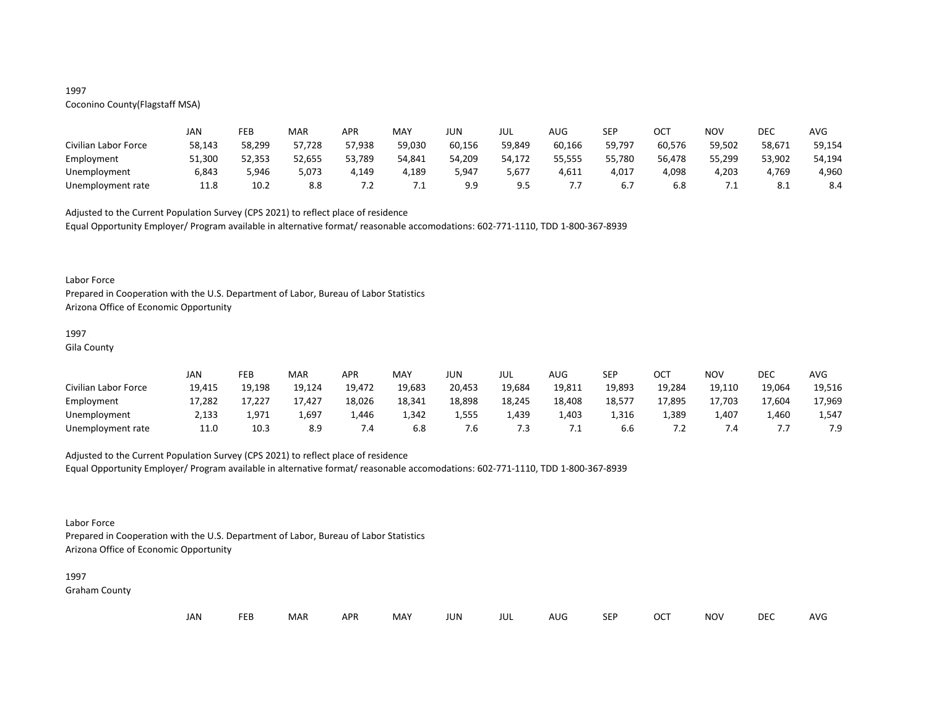# 1997

# Coconino County(Flagstaff MSA)

|                      | JAN    | FEB    | MAR    | APR        | MAY    | JUN    | JUL    | AUG    | <b>SEP</b> | ост    | NOV    | DEC             | AVG    |
|----------------------|--------|--------|--------|------------|--------|--------|--------|--------|------------|--------|--------|-----------------|--------|
| Civilian Labor Force | 58,143 | 58,299 | 57,728 | 57,938     | 59,030 | 60,156 | 59,849 | 60,166 | 59,797     | 60,576 | 59,502 | 58,671          | 59,154 |
| Employment           | 51,300 | 52,353 | 52,655 | 53,789     | 54,841 | 54,209 | 54,172 | 55,555 | 55,780     | 56,478 | 55,299 | 53,902          | 54,194 |
| Unemployment         | 6,843  | 5,946  | 5.073  | 4,149      | 4,189  | 947,د  | 5,677. | 4,611  | 4,017      | 4,098  | 4,203  | 4,769           | 4,960  |
| Unemployment rate    | 11.8   | 10.2   | 8.8    | . <u>.</u> | .      | 9.9    | 9.5    |        |            | 6.8    | .      | o<br><b>8.1</b> | 8.4    |

Adjusted to the Current Population Survey (CPS 2021) to reflect place of residence Equal Opportunity Employer/ Program available in alternative format/ reasonable accomodations: 602-771-1110, TDD 1-800-367-8939

#### Labor Force

Prepared in Cooperation with the U.S. Department of Labor, Bureau of Labor Statistics Arizona Office of Economic Opportunity

# 1997

Gila County

|                      | JAN    | FEB    | MAR    | APR    | MAY    | JUN    | JUL    | AUG    | <b>SEP</b> | OCT    | <b>NOV</b> | DEC    | <b>AVG</b> |
|----------------------|--------|--------|--------|--------|--------|--------|--------|--------|------------|--------|------------|--------|------------|
| Civilian Labor Force | 19,415 | 19,198 | 19,124 | 19,472 | 19,683 | 20,453 | 19,684 | 19,811 | 19,893     | 19,284 | 19,110     | 19,064 | 19,516     |
| Employment           | 17,282 | 17,227 | 17,427 | 18,026 | 18,341 | 18,898 | 18,245 | 18,408 | 18,577     | 17,895 | 17,703     | 17,604 | 17,969     |
| Unemployment         | 2,133  | 1,971  | 1,697  | 1,446  | 1,342  | 1,555  | 1,439  | 1,403  | 1,316      | 1,389  | 1,407      | 1.460  | 1,547      |
| Unemployment rate    | 11.0   | 10.3   | 8.9    | 7.4    | 6.8    | .b     | 7.3    |        | b.b        |        | 4٠. /      |        | 7.9        |

## Adjusted to the Current Population Survey (CPS 2021) to reflect place of residence

Equal Opportunity Employer/ Program available in alternative format/ reasonable accomodations: 602-771-1110, TDD 1-800-367-8939

#### Labor Force

Prepared in Cooperation with the U.S. Department of Labor, Bureau of Labor Statistics Arizona Office of Economic Opportunity

# 1997

Graham County

| JAN<br><b>FEB</b><br><b>OCT</b><br>MAR<br>MAY<br><b>APR</b><br><b>NOV</b><br>JUN<br><b>SEP</b><br>AUG<br>jul |  |  |  |  |  |  |  |  |  |  |  | DEC | <b>AVG</b> |
|--------------------------------------------------------------------------------------------------------------|--|--|--|--|--|--|--|--|--|--|--|-----|------------|
|--------------------------------------------------------------------------------------------------------------|--|--|--|--|--|--|--|--|--|--|--|-----|------------|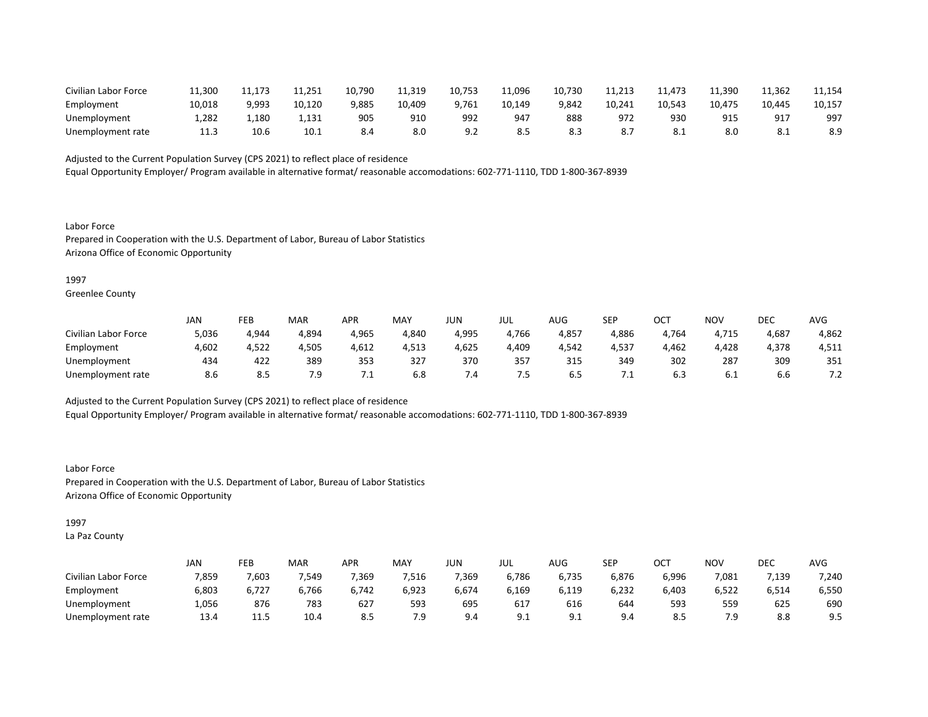| Civilian Labor Force | 11,300 | 173   | 11,251 | 10,790 | 11,319 | 10,753 | 11,096 | 10,730 | 11,213 | 11,473 | 11,390 | 11,362 | 11,154 |
|----------------------|--------|-------|--------|--------|--------|--------|--------|--------|--------|--------|--------|--------|--------|
| Employment           | 10,018 | 9,993 | 10,120 | 9,885  | 10,409 | 9,761  | 10,149 | 9,842  | 10,241 | 10,543 | 10,475 | 10,445 | 10,157 |
| Unemployment         | 1.282  | 1,180 | 1.131  | 905    | 910    | 992    | 947    | 888    | 972    | 930    | 915    | 91     | 997    |
| Unemployment rate    | ---    | 10.6  | 10.1   | 8.4    | 8.0    |        |        |        | 8.7    | O. L   | 8.0    |        | 8.9    |

Equal Opportunity Employer/ Program available in alternative format/ reasonable accomodations: 602-771-1110, TDD 1-800-367-8939

Labor Force Prepared in Cooperation with the U.S. Department of Labor, Bureau of Labor Statistics Arizona Office of Economic Opportunity

1997

Greenlee County

|                      | JAN   | FEB        | <b>MAR</b> | APR   | MAY   | JUN   | JUL   | AUG   | SEP   | ⌒⌒⊤<br>UC. | NO <sub>V</sub> | DEC   | AVG                   |
|----------------------|-------|------------|------------|-------|-------|-------|-------|-------|-------|------------|-----------------|-------|-----------------------|
| Civilian Labor Force | 5,036 | 4,944      | 4,894      | 4,965 | 4,840 | 4,995 | 4,766 | 4,857 | 4,886 | 4,764      | 4,715           | 4,687 | 4,862                 |
| Employment           | 4,602 | 4,522      | 4,505      | 4,612 | 4,513 | 4,625 | 4,409 | 4,542 | 4,537 | 4,462      | 4,428           | 4,378 | 4,511                 |
| Unemployment         | 434   | 422        | 389        | 353   | 327   | 370   | 357   | 315   | 349   | 302        | 287             | 309   | 351                   |
| Unemployment rate    | 8.6   | ດ ເ<br>O.D | 7.9        | . .   | 6.8   | 7.4   | כ.    | 6.5   |       | 6.3        | 6. L            | b.b   | 7 <sub>2</sub><br>ے ، |

Adjusted to the Current Population Survey (CPS 2021) to reflect place of residence

Equal Opportunity Employer/ Program available in alternative format/ reasonable accomodations: 602-771-1110, TDD 1-800-367-8939

Labor Force Prepared in Cooperation with the U.S. Department of Labor, Bureau of Labor Statistics Arizona Office of Economic Opportunity

1997

La Paz County

|                      | <b>JAN</b> | FEB   | MAR   | APR   | <b>MAY</b> | JUN   | JUL   | <b>AUG</b> | SEP   | ⌒⌒⊤<br>◡◡ | <b>NOV</b> | DEC   | AVG   |
|----------------------|------------|-------|-------|-------|------------|-------|-------|------------|-------|-----------|------------|-------|-------|
| Civilian Labor Force | 7,859      | 7,603 | 7,549 | 7,369 | 516,'      | 7,369 | 6,786 | 6,735      | 6,876 | 6,996     | 7,081      | 7,139 | 7,240 |
| Employment           | 6,803      | 6,727 | 6,766 | 6,742 | 6,923      | 6,674 | 6,169 | 119,د      | 6,232 | 6,403     | 6,522      | 6,514 | 6,550 |
| Unemployment         | 1,056      | 876   | 783   | 627   | 593        | 695   | 617   | 616        | 644   | 593       | 559        | 625   | 690   |
| Unemployment rate    | 13.4       | 11.5  | 10.4  | 8.5   | 7.9        | 9.4   | 9.1   | <u>J.L</u> | 9.4   |           | 7.9        | 8.8   | 9.5   |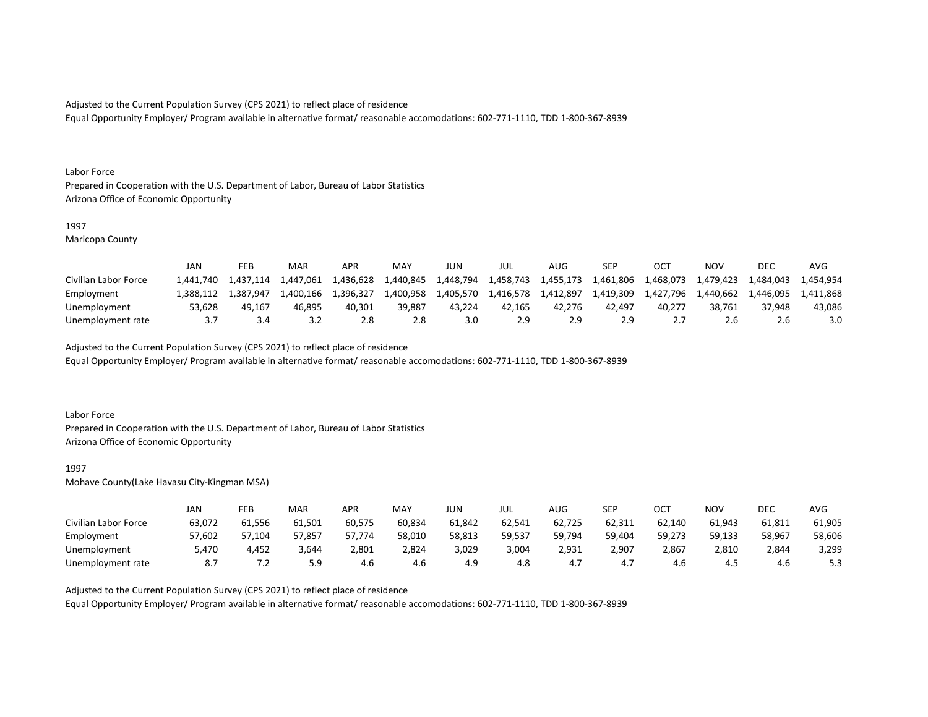Equal Opportunity Employer/ Program available in alternative format/ reasonable accomodations: 602-771-1110, TDD 1-800-367-8939

#### Labor Force

Prepared in Cooperation with the U.S. Department of Labor, Bureau of Labor Statistics Arizona Office of Economic Opportunity

## 1997

Maricopa County

|                      | JAN       | FEB       | MAR       | APR       | MA <sup>V</sup> | JUN       | JUL       | AUG       | SEP       | OC1       | NOV       | DEC       | AVG       |
|----------------------|-----------|-----------|-----------|-----------|-----------------|-----------|-----------|-----------|-----------|-----------|-----------|-----------|-----------|
| Civilian Labor Force | 1.441.740 | 1.437.114 | 1.447.061 | 1,436,628 | 1,440,845       | 1,448,794 | 1.458.743 | 1.455.173 | 1,461,806 | 1,468,073 | 1,479,423 | 1,484,043 | 1.454.954 |
| Employment           | 1.388.112 | 1.387.947 | 1.400.166 | 1.396.327 | 1,400,958       | 1,405,570 | 1.416.578 | 1.412.897 | 1.419.309 | 1.427.796 | 1.440.662 | 1.446.095 | 1.411.868 |
| Unemployment         | 53.628    | 49.167    | 46.895    | 40.301    | 39.887          | 43.224    | 42.165    | 42.276    | 42.497    | 40.277    | 38.761    | 37.948    | 43,086    |
| Unemployment rate    |           |           | ے. ب      |           | 2.8             | 3.0       | 2.9       |           | 2.9       |           | 2.b       |           | 3.0       |

Adjusted to the Current Population Survey (CPS 2021) to reflect place of residence

Equal Opportunity Employer/ Program available in alternative format/ reasonable accomodations: 602-771-1110, TDD 1-800-367-8939

### Labor Force

Prepared in Cooperation with the U.S. Department of Labor, Bureau of Labor Statistics Arizona Office of Economic Opportunity

#### 1997

Mohave County(Lake Havasu City-Kingman MSA)

|                      | JAN    | FEB     | MAR    | APR    | <b>MAY</b> | JUN    | JUL    | AUG    | <b>SEP</b> | ост    | NOV    | DEC    | AVG    |
|----------------------|--------|---------|--------|--------|------------|--------|--------|--------|------------|--------|--------|--------|--------|
| Civilian Labor Force | 63,072 | 61,556  | 61,501 | 60,575 | 60,834     | 61,842 | 62,541 | 62,725 | 62,311     | 62.140 | 61,943 | 61,811 | 61,905 |
| Employment           | 57,602 | 57,104  | 57,857 | 57,774 | 58,010     | 58,813 | 59,537 | 59,794 | 59,404     | 59,273 | 59,133 | 58,967 | 58,606 |
| Unemployment         | 5,470  | 4,452   | 3,644  | 2,801  | 2,824      | 3,029  | 3,004  | 2,931  | 2,907      | 2,867  | 2,810  | 2,844  | 3,299  |
| Unemployment rate    | 8.7    | $\cdot$ | 5.9    | 4.6    | 4.6        | 4.9    | 4.8    | 4.,    | 4.7        | 4.0    | 4.5    | 4.6    | 5.3    |

Adjusted to the Current Population Survey (CPS 2021) to reflect place of residence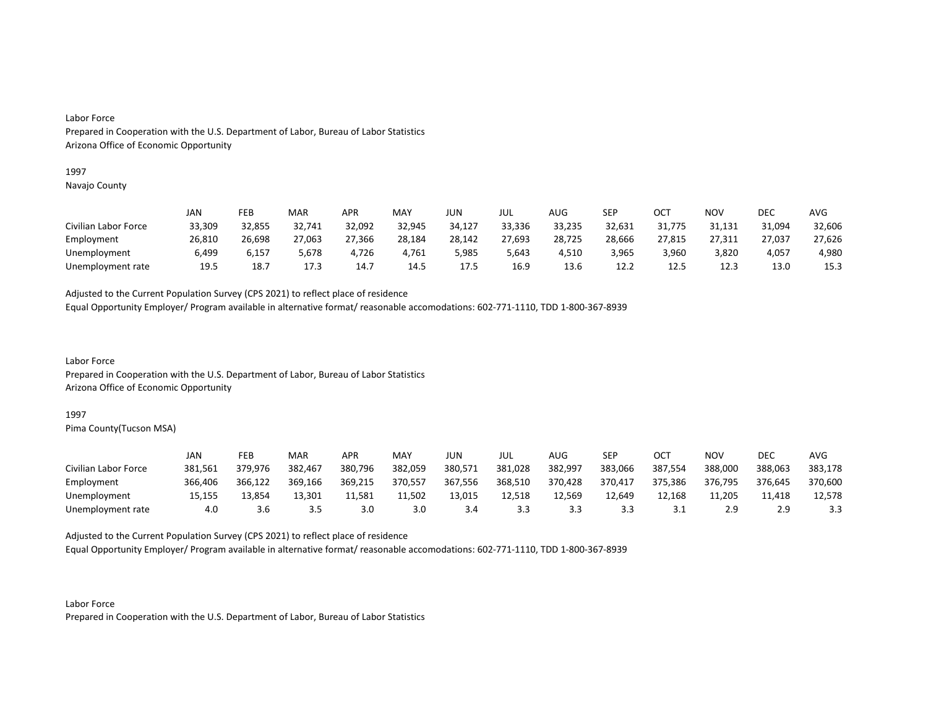### 1997

Navajo County

|                      | JAN    | FEB    | MAR    | APR    | MAY    | JUN    | JUL    | AUG    | SEP    | OCT    | NOV    | DEC    | AVG    |
|----------------------|--------|--------|--------|--------|--------|--------|--------|--------|--------|--------|--------|--------|--------|
| Civilian Labor Force | 33,309 | 32,855 | 32,741 | 32,092 | 32,945 | 34,127 | 33,336 | 33,235 | 32,631 | 31,775 | 31,131 | 31,094 | 32,606 |
| Employment           | 26,810 | 26,698 | 27,063 | 27,366 | 28,184 | 28,142 | 27,693 | 28,725 | 28,666 | 27,815 | 27,311 | 27,037 | 27,626 |
| Unemployment         | 6,499  | 6,157  | 5,678  | 4,726  | 4,761  | 5,985  | 5,643  | 4,510  | 3,965  | 3,960  | 3,820  | 4,057  | 4,980  |
| Unemployment rate    | 19.5   | 18.7   | 17.3   | 14.7   | 14.5   | 17.5   | 16.9   | 13.6   | 12.2   | 12.5   | 12.3   | 13.0   | 15.3   |

Adjusted to the Current Population Survey (CPS 2021) to reflect place of residence

Equal Opportunity Employer/ Program available in alternative format/ reasonable accomodations: 602-771-1110, TDD 1-800-367-8939

Labor Force Prepared in Cooperation with the U.S. Department of Labor, Bureau of Labor Statistics Arizona Office of Economic Opportunity

#### 1997

Pima County(Tucson MSA)

|                      | JAN     | FEB     | MAR     | <b>APR</b> | MAY     | JUN     | JUL     | AUG     | SEP     | ОСТ     | NOV     | DEC     | <b>AVG</b> |
|----------------------|---------|---------|---------|------------|---------|---------|---------|---------|---------|---------|---------|---------|------------|
| Civilian Labor Force | 381,561 | 379.976 | 382,467 | 380,796    | 382,059 | 380,571 | 381,028 | 382,997 | 383,066 | 387,554 | 388,000 | 388,063 | 383,178    |
| Employment           | 366.406 | 366,122 | 369,166 | 369,215    | 370,557 | 367,556 | 368,510 | 370,428 | 370,417 | 375,386 | 376,795 | 376,645 | 370,600    |
| Unemployment         | 15,155  | 13.854  | 13,301  | 11,581     | 11,502  | 13,015  | 12,518  | 12.569  | 12.649  | 12.168  | 11,205  | 11,418  | 12,578     |
| Unemployment rate    | 4.0     | 3.6     | 3.5     | 3.0        | 3.0     | 3.4     | 3.3     | 3.3     | 3.3     | ـ . ـ   | 2.9     | າ ຊ     | 3.3        |

Adjusted to the Current Population Survey (CPS 2021) to reflect place of residence

Equal Opportunity Employer/ Program available in alternative format/ reasonable accomodations: 602-771-1110, TDD 1-800-367-8939

Labor Force Prepared in Cooperation with the U.S. Department of Labor, Bureau of Labor Statistics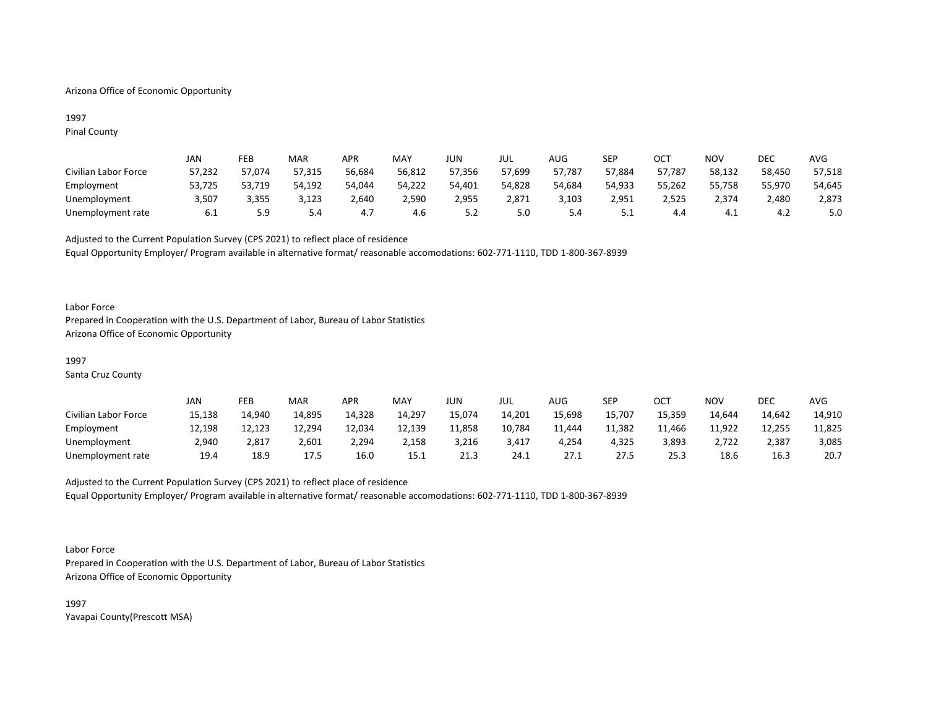## Arizona Office of Economic Opportunity

## 1997 Pinal County

|                      | JAN    | FEB    | MAR    | APR    | MAY    | <b>JUN</b> | JUL    | AUG.   | SEP      | OCT    | NOV    | DEC    | <b>AVG</b> |
|----------------------|--------|--------|--------|--------|--------|------------|--------|--------|----------|--------|--------|--------|------------|
| Civilian Labor Force | 57,232 | 57,074 | 57,315 | 56,684 | 56,812 | 57,356     | 57,699 | 57,787 | 57,884   | 57,787 | 58,132 | 58,450 | 57,518     |
| Employment           | 53,725 | 53,719 | 54,192 | 54,044 | 54,222 | 54,401     | 54,828 | 54,684 | 54.933   | 55,262 | 55,758 | 55,970 | 54,645     |
| Unemployment         | 3,507  | 3,355  | 3,123  | 2,640  | 2,590  | 2,955      | 2.871  | 3,103  | 2,951    | 2,525  | 2.374  | 2,480  | 2,873      |
| Unemployment rate    | 6.1    | 5.9    | 5.4    |        | 4.6    | 5.2        | 5.0    | 5.4    | <u>.</u> | 4.4    | 4.⊥    | 4.2    | 5.0        |

Adjusted to the Current Population Survey (CPS 2021) to reflect place of residence Equal Opportunity Employer/ Program available in alternative format/ reasonable accomodations: 602-771-1110, TDD 1-800-367-8939

### Labor Force

Prepared in Cooperation with the U.S. Department of Labor, Bureau of Labor Statistics Arizona Office of Economic Opportunity

## 1997

Santa Cruz County

|                      | JAN    | FEB    | MAR    | APR    | MAY    | JUN    | JUL    | AUG    | SEP    | ост    | NOV    | DEC    | AVG    |
|----------------------|--------|--------|--------|--------|--------|--------|--------|--------|--------|--------|--------|--------|--------|
| Civilian Labor Force | 15,138 | 14,940 | 14,895 | 14,328 | 14,297 | 15,074 | 14,201 | 15,698 | 15,707 | 15,359 | 14.644 | 14,642 | 14,910 |
| Employment           | 12,198 | 12,123 | 12,294 | 12,034 | 12,139 | 11,858 | 10,784 | 11.444 | 11,382 | 11,466 | 11,922 | 12,255 | 11,825 |
| Unemployment         | 2,940  | 2,817  | 2,601  | 2,294  | 2,158  | 3,216  | 3,417  | 4,254  | 4,325  | 3,893  | 2,722  | 2,387  | 3,085  |
| Unemployment rate    | 19.4   | 18.9   | 17.5   | 16.0   | 15.1   | 21.3   | 24.1   | 27.1   | 27.5   | 25.3   | 18.6   | 16.3   | 20.7   |

# Adjusted to the Current Population Survey (CPS 2021) to reflect place of residence Equal Opportunity Employer/ Program available in alternative format/ reasonable accomodations: 602-771-1110, TDD 1-800-367-8939

Labor Force

Prepared in Cooperation with the U.S. Department of Labor, Bureau of Labor Statistics Arizona Office of Economic Opportunity

1997 Yavapai County(Prescott MSA)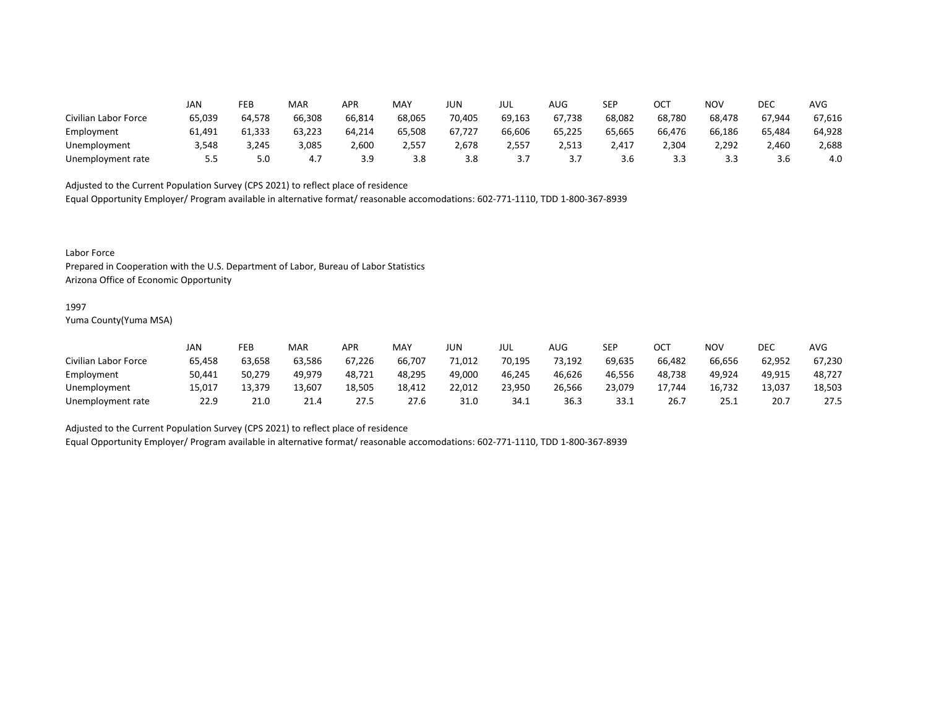|                      | JAN    | FEB    | MAR    | APR        | <b>MAY</b> | JUN    | JUL      | AUG    | SEP    | OCT    | <b>NOV</b> | DEC    | <b>AVG</b> |
|----------------------|--------|--------|--------|------------|------------|--------|----------|--------|--------|--------|------------|--------|------------|
| Civilian Labor Force | 65,039 | 64,578 | 66,308 | 66,814     | 68,065     | 70,405 | 69,163   | 67,738 | 68,082 | 68,780 | 68,478     | 67,944 | 67,616     |
| Employment           | 61,491 | 61,333 | 63,223 | 64,214     | 65,508     | 67,727 | 66,606   | 65,225 | 65,665 | 66,476 | 66,186     | 65,484 | 64,928     |
| Unemployment         | 3,548  | 3,245  | 3,085  | 2,600      | 2,557      | 2,678  | 2,557    | 2,513  | 2.417  | 2,304  | 2,292      | 2,460  | 2,688      |
| Unemployment rate    | 5.5    | 5.0    | 4.7    | <b>J.J</b> | 3.8        | 3.8    | <u>.</u> |        | 3.6    |        |            | 3.b    | 4.0        |

Equal Opportunity Employer/ Program available in alternative format/ reasonable accomodations: 602-771-1110, TDD 1-800-367-8939

Labor Force

Prepared in Cooperation with the U.S. Department of Labor, Bureau of Labor Statistics Arizona Office of Economic Opportunity

#### 1997

Yuma County(Yuma MSA)

|                      | JAN    | FEB    | MAR    | APR    | MAY    | JUN    | JUL    | AUG    | <b>SEP</b> | ∩∩⊤<br>UC. | NOV    | DEC    | <b>AVG</b> |
|----------------------|--------|--------|--------|--------|--------|--------|--------|--------|------------|------------|--------|--------|------------|
| Civilian Labor Force | 65,458 | 63,658 | 63,586 | 67,226 | 66,707 | 71,012 | 70,195 | 73,192 | 69,635     | 66,482     | 66,656 | 62,952 | 67,230     |
| Employment           | 50,441 | 50,279 | 49.979 | 48,721 | 48,295 | 49,000 | 46,245 | 46,626 | 46,556     | 48,738     | 49,924 | 49,915 | 48,727     |
| Unemployment         | 15,017 | 13,379 | 13,607 | 18,505 | 18,412 | 22,012 | 23,950 | 26,566 | 23,079     | 17.744     | 16,732 | 13,037 | 18,503     |
| Unemployment rate    | 22.9   | 21.0   | 21.4   | 27.5   | 27.6   | 31.0   | 34.1   | 36.3   | 33.1       | 26.7       | 25.1   | 20.1   | 27.5       |

Adjusted to the Current Population Survey (CPS 2021) to reflect place of residence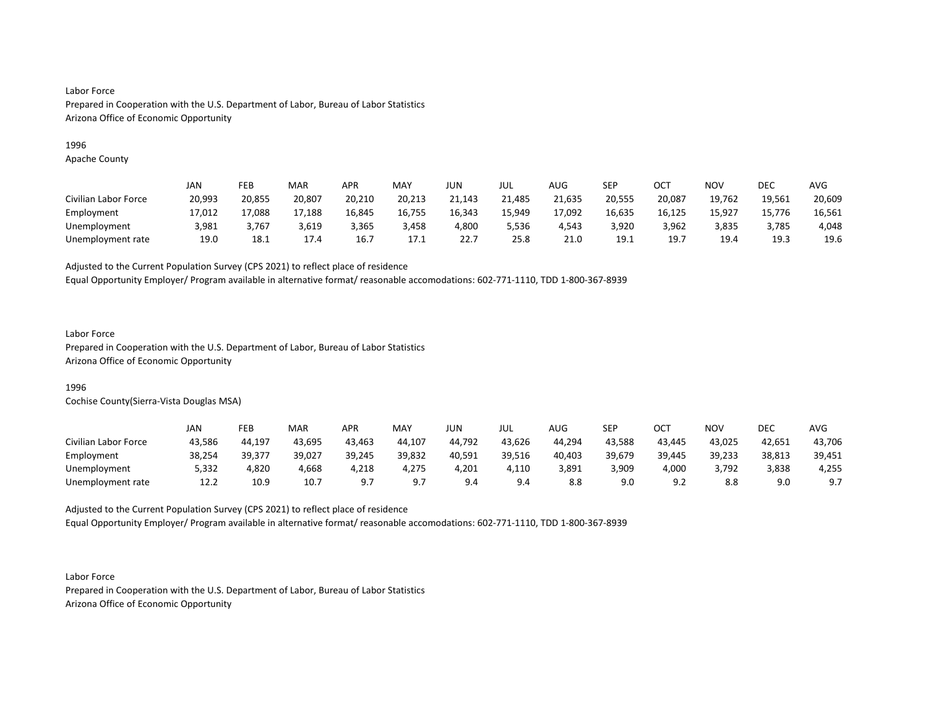## 1996

Apache County

|                      | JAN    | FEB    | <b>MAR</b> | APR    | <b>MAY</b> | JUN    | JUL    | <b>AUG</b> | SEP    | ОСТ    | NOV    | DEC    | <b>AVG</b> |
|----------------------|--------|--------|------------|--------|------------|--------|--------|------------|--------|--------|--------|--------|------------|
| Civilian Labor Force | 20,993 | 20,855 | 20,807     | 20,210 | 20,213     | 21,143 | 21,485 | 21,635     | 20,555 | 20,087 | 19,762 | 19,561 | 20,609     |
| Employment           | 17,012 | 17,088 | 17,188     | 16,845 | 16,755     | 16,343 | 15,949 | 17,092     | 16,635 | 16,125 | 15,927 | 15,776 | 16,561     |
| Unemployment         | 3,981  | 3,767  | 3,619      | 3,365  | 3,458      | 4.800  | 5,536  | 4.543      | 3.920  | 3,962  | 3,835  | 3.785  | 4,048      |
| Unemployment rate    | 19.0   | 18.1   | 17.4       | 16.7   | 17.1       | 22.7   | 25.8   | 21.0       | 19.1   | 19.7   | 19.4   | 19.3   | 19.6       |

Adjusted to the Current Population Survey (CPS 2021) to reflect place of residence

Equal Opportunity Employer/ Program available in alternative format/ reasonable accomodations: 602-771-1110, TDD 1-800-367-8939

## Labor Force

Prepared in Cooperation with the U.S. Department of Labor, Bureau of Labor Statistics Arizona Office of Economic Opportunity

## 1996

Cochise County(Sierra-Vista Douglas MSA)

|                      | JAN    | FEB    | <b>MAR</b> | APR    | MAY    | JUN    | JUL    | AUG    | SEP    | ост                  | NOV    | DEC    | AVG    |
|----------------------|--------|--------|------------|--------|--------|--------|--------|--------|--------|----------------------|--------|--------|--------|
| Civilian Labor Force | 43,586 | 44.197 | 43,695     | 43,463 | 44,107 | 44,792 | 43,626 | 44,294 | 43,588 | 43,445               | 43,025 | 42,651 | 43,706 |
| Employment           | 38,254 | 39,377 | 39,027     | 39,245 | 39,832 | 40,591 | 39,516 | 40,403 | 39,679 | 39,445               | 39,233 | 38,813 | 39,451 |
| Unemployment         | 5,332  | 4,820  | 4,668      | 4,218  | 4,275  | 4,201  | 4,110  | 3,891  | 3,909  | 4,000                | 3,792  | 3,838  | 4,255  |
| Unemployment rate    | 12.2   | 10.9   | 10.7       | Q.     | ດ ⊺    | 9.4    | 9.4    |        | 9.0    | $\Omega$<br><u>.</u> | 8.8    | 9.0    | 9.7    |

Adjusted to the Current Population Survey (CPS 2021) to reflect place of residence Equal Opportunity Employer/ Program available in alternative format/ reasonable accomodations: 602-771-1110, TDD 1-800-367-8939

Labor Force Prepared in Cooperation with the U.S. Department of Labor, Bureau of Labor Statistics Arizona Office of Economic Opportunity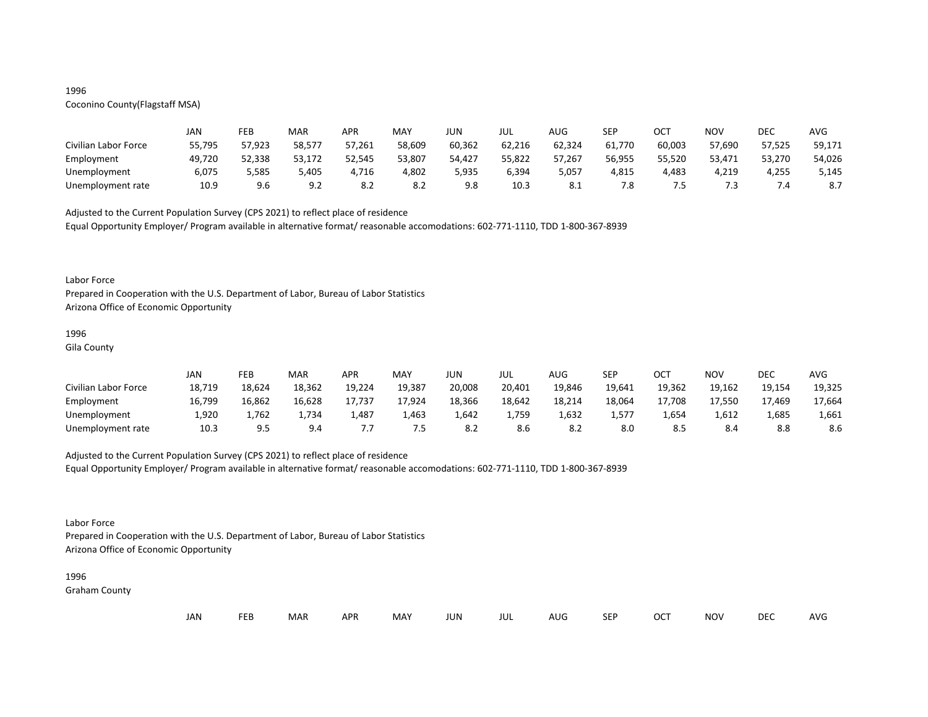## 1996

# Coconino County(Flagstaff MSA)

|                      | JAN    | FEB    | MAR    | <b>APR</b> | MAY    | JUN    | JUL    | AUG    | SEP    | ОСТ    | NOV    | DEC    | AVG    |
|----------------------|--------|--------|--------|------------|--------|--------|--------|--------|--------|--------|--------|--------|--------|
| Civilian Labor Force | 55,795 | 57,923 | 58,577 | 57,261     | 58,609 | 60,362 | 62,216 | 62,324 | 61,770 | 60,003 | 57,690 | 57,525 | 59,171 |
| Employment           | 49,720 | 52,338 | 53,172 | 52,545     | 53,807 | 54,427 | 55,822 | 57,267 | 56,955 | 55,520 | 53,471 | 53,270 | 54,026 |
| Unemployment         | 6,075  | 5,585  | 5,405  | ,716       | 4,802  | 5,935  | 6,394  | 5,057  | 4,815  | 4,483  | 4,219  | 4,255  | 5,145  |
| Unemployment rate    | 10.9   | 9.6    | 9.2    | 8.2        | 8.2    | 9.8    | 10.3   | O.L    | 7.8    | כ. י   | 7.3    |        |        |

Adjusted to the Current Population Survey (CPS 2021) to reflect place of residence

Equal Opportunity Employer/ Program available in alternative format/ reasonable accomodations: 602-771-1110, TDD 1-800-367-8939

#### Labor Force

Prepared in Cooperation with the U.S. Department of Labor, Bureau of Labor Statistics Arizona Office of Economic Opportunity

## 1996

Gila County

|                      | JAN    | FEB    | MAR    | <b>APR</b> | <b>MAY</b> | JUN    | JUL    | AUG    | SEP    | ост    | <b>NOV</b> | DEC    | <b>AVG</b> |
|----------------------|--------|--------|--------|------------|------------|--------|--------|--------|--------|--------|------------|--------|------------|
| Civilian Labor Force | 18,719 | 18,624 | 18,362 | 19,224     | 19,387     | 20,008 | 20,401 | 19,846 | 19,641 | 19,362 | 19,162     | 19,154 | 19,325     |
| Employment           | 16,799 | 16,862 | 16,628 | 17,737     | 17,924     | 18,366 | 18,642 | 18,214 | 18,064 | 17,708 | 17,550     | 17,469 | 17,664     |
| Unemployment         | L,920  | 1,762  | 1,734  | ⊥,487      | 1,463      | 1,642  | 1,759  | 1,632  | 1,577  | 4,654  | 1,612      | 1,685  | 1,661      |
| Unemployment rate    | 10.3   | 9.5    | 9.4    | , , ,      | כ. י       | 8.2    | 8.6    | -8.2   | 8.0    |        | 8.4        | 8.8    | 8.6        |

## Adjusted to the Current Population Survey (CPS 2021) to reflect place of residence

Equal Opportunity Employer/ Program available in alternative format/ reasonable accomodations: 602-771-1110, TDD 1-800-367-8939

## Labor Force

Prepared in Cooperation with the U.S. Department of Labor, Bureau of Labor Statistics Arizona Office of Economic Opportunity

#### 1996

Graham County

| JAN |  | <b>FEB</b> | MAR | <b>APR</b> | MAY | JUN | JUL | AUG | <b>SEP</b> | <b>OCT</b> | <b>NOV</b> | <b>DEC</b> | AVG |
|-----|--|------------|-----|------------|-----|-----|-----|-----|------------|------------|------------|------------|-----|
|-----|--|------------|-----|------------|-----|-----|-----|-----|------------|------------|------------|------------|-----|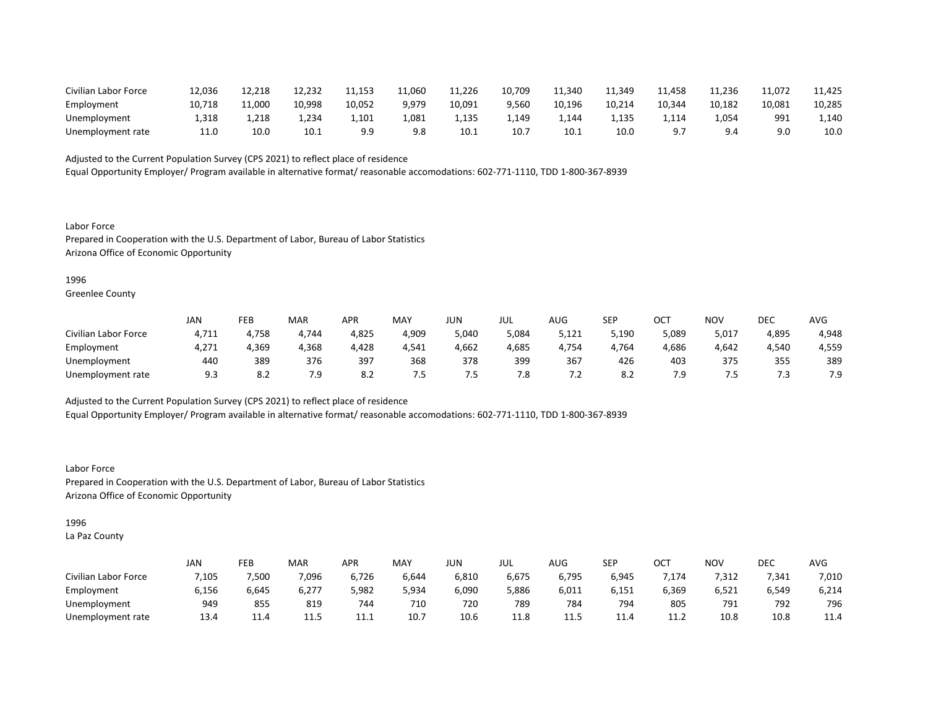| Civilian Labor Force | 12,036 | 12,218 | 12,232 | 11,153 | 11,060 | 11,226 | 10.709 | 11.340 | 11,349 | 11,458 | 11,236 | 11,072 | 11,425 |
|----------------------|--------|--------|--------|--------|--------|--------|--------|--------|--------|--------|--------|--------|--------|
| Employment           | 10,718 | 11,000 | 10,998 | 10,052 | 9.979  | 10,091 | 9,560  | 10,196 | 10,214 | 10,344 | 10,182 | 10,081 | 10,285 |
| Unemployment         | 1.318  | 1,218  | 4,234  | 1.101  | 1.081  | −135.ء | 1,149  | 4.144  | 1,135  | 1114.ء | 4,05 ⊥ | 991    | 1,140  |
| Unemployment rate    | 11.0   | 10.0   | 10.1   | a c    | 9.8    | 10.1   | 10.1   | 10.1   | 10.0   |        | 9.4    |        | 10.0   |

Equal Opportunity Employer/ Program available in alternative format/ reasonable accomodations: 602-771-1110, TDD 1-800-367-8939

Labor Force Prepared in Cooperation with the U.S. Department of Labor, Bureau of Labor Statistics Arizona Office of Economic Opportunity

1996

Greenlee County

|                      | JAN   | FEB                    | <b>MAR</b> | APR                    | MAY   | JUN    | JUL   | AUG                      | <b>SEP</b> | ост       | NOV   | DEC   | AVG      |
|----------------------|-------|------------------------|------------|------------------------|-------|--------|-------|--------------------------|------------|-----------|-------|-------|----------|
| Civilian Labor Force | 4,711 | 4,758                  | 4,744      | 4,825                  | 4,909 | 5,040  | ,084ر | 5,121                    | 5,190      | 089,د     | 5,017 | 4,895 | 4,948    |
| Employment           | 4,271 | 4,369                  | 4,368      | 4,428                  | 4,541 | 4,662  | 4,685 | <b>↓,754</b>             | 4,764      | 4,686     | 4,642 | 4,540 | 4,559    |
| Unemployment         | 440   | 389                    | 376        | 397                    | 368   | 378    | 399   | 367                      | 426        | 403       | 375   | 355   | 389      |
| Unemployment rate    | 9.3   | $\circ$ $\circ$<br>o.z | 7.9        | $\circ$ $\circ$<br>O.A | . כ.  | . כ. . | 7.8   | $\overline{\phantom{a}}$ | o.∠        | ہ 7<br>د. | כ. י  | . ٹ   | ہ 7<br>. |

Adjusted to the Current Population Survey (CPS 2021) to reflect place of residence

Equal Opportunity Employer/ Program available in alternative format/ reasonable accomodations: 602-771-1110, TDD 1-800-367-8939

Labor Force Prepared in Cooperation with the U.S. Department of Labor, Bureau of Labor Statistics Arizona Office of Economic Opportunity

1996

La Paz County

|                      | <b>JAN</b> | FEB   | MAR   | APR   | <b>MAY</b> | JUN   | jul   | $\mathbf{A}$<br>AUG | <b>SEP</b> | ⌒⌒⊤<br>◡◡ | <b>NOV</b> | DEC   | <b>AVG</b> |
|----------------------|------------|-------|-------|-------|------------|-------|-------|---------------------|------------|-----------|------------|-------|------------|
| Civilian Labor Force | 7,105      | 7,500 | 7,096 | 6,726 | 6,644      | 6,810 | 6,675 | 6,795               | 6,945      | ,174      | 7,312      | 7,341 | 7,010      |
| Employment           | 6,156      | 6,645 | 6,277 | 5,982 | 5,934      | 6,090 | 5,886 | 6,011               | 6,151      | 6,369     | 6,521      | 6,549 | 6,214      |
| Unemployment         | 949        | 855   | 819   | 744   | 710        | 720   | 789   | 784                 | 794        | 805       | 791        | 792   | 796        |
| Unemployment rate    | 13.4       | 11.4  | 11.5  | .     | 10.7       | 10.6  | 11.8  | د. 11               | 11.4       | 11.2      | 10.8       | 10.8  | 11.4       |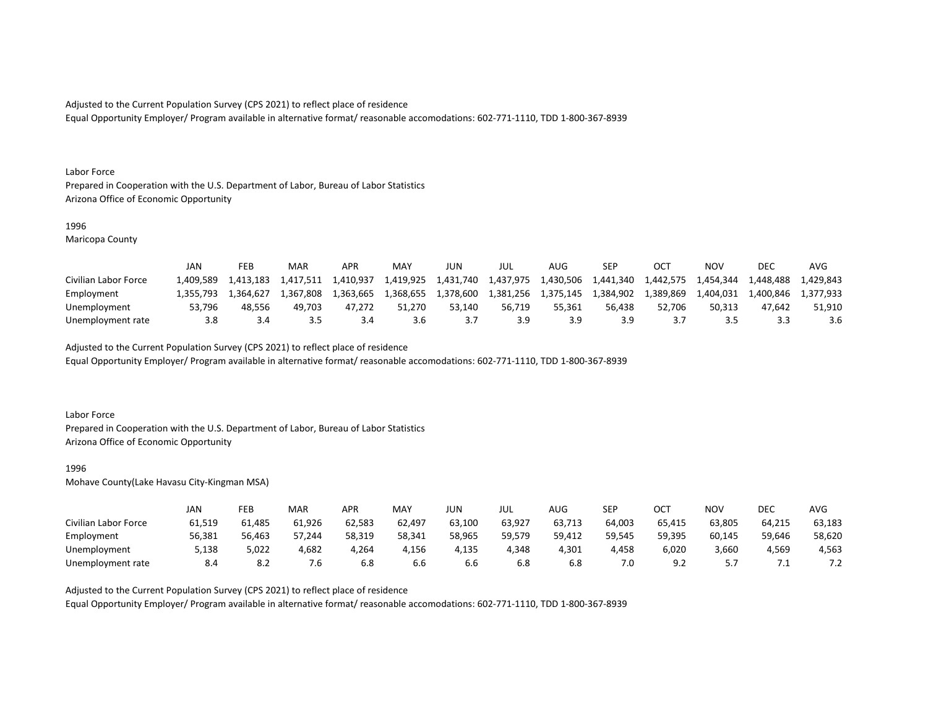Equal Opportunity Employer/ Program available in alternative format/ reasonable accomodations: 602-771-1110, TDD 1-800-367-8939

#### Labor Force

Prepared in Cooperation with the U.S. Department of Labor, Bureau of Labor Statistics Arizona Office of Economic Opportunity

#### 1996

Maricopa County

|                      | JAN       | FEB       | MAR       | APR       | <b>MAY</b> | JUN       | JUL       | AUG       | SEP       | OC1       | NOV       | DEC       | AVG       |
|----------------------|-----------|-----------|-----------|-----------|------------|-----------|-----------|-----------|-----------|-----------|-----------|-----------|-----------|
| Civilian Labor Force | 1.409.589 | 1.413.183 | 1.417.511 | 1.410.937 | 1,419,925  | 1,431,740 | 1,437,975 | 1,430,506 | 1,441,340 | 1,442,575 | 1,454,344 | 1.448.488 | 1.429.843 |
| Employment           | 1.355.793 | 1.364.627 | 1.367.808 | 1.363.665 | 1.368.655  | 1.378.600 | 1.381.256 | 1.375.145 | 1.384.902 | 1,389,869 | 1.404.031 | 1.400.846 | 1.377.933 |
| Unemployment         | 53.796    | 48.556    | 49.703    | 47.272    | 51.270     | 53.140    | 56.719    | 55.361    | 56.438    | 52.706    | 50.313    | 47.642    | 51.910    |
| Unemployment rate    | 3.8       |           |           |           | 3.6        |           | 3.9       |           | 3.9       |           | -15       |           | 3.6       |

Adjusted to the Current Population Survey (CPS 2021) to reflect place of residence

Equal Opportunity Employer/ Program available in alternative format/ reasonable accomodations: 602-771-1110, TDD 1-800-367-8939

#### Labor Force

Prepared in Cooperation with the U.S. Department of Labor, Bureau of Labor Statistics Arizona Office of Economic Opportunity

#### 1996

Mohave County(Lake Havasu City-Kingman MSA)

|                      | JAN    | FEB    | MAR    | APR    | <b>MAY</b> | JUN    | JUL    | AUG    | <b>SEP</b> | ост            | NOV       | DEC    | AVG    |
|----------------------|--------|--------|--------|--------|------------|--------|--------|--------|------------|----------------|-----------|--------|--------|
| Civilian Labor Force | 61,519 | 61.485 | 61,926 | 62,583 | 62,497     | 63,100 | 63,927 | 63,713 | 64,003     | 65,415         | 63,805    | 64,215 | 63,183 |
| Employment           | 56,381 | 56,463 | 57,244 | 58,319 | 58,341     | 58,965 | 59,579 | 59,412 | 59,545     | 59,395         | 60,145    | 59,646 | 58,620 |
| Unemployment         | 5,138  | 5,022  | 4,682  | 4,264  | 4,156      | 4,135  | 4,348  | 4,301  | 4,458      | 6,020          | 3,660     | 4,569  | 4,563  |
| Unemployment rate    | 8.4    | 8.2    | 7.6    | ხ.8    | b.b        | b.b    | 6.8    | 6.8    | 7.0        | Q <sub>2</sub> | <u>.,</u> | .      | ے ،    |

## Adjusted to the Current Population Survey (CPS 2021) to reflect place of residence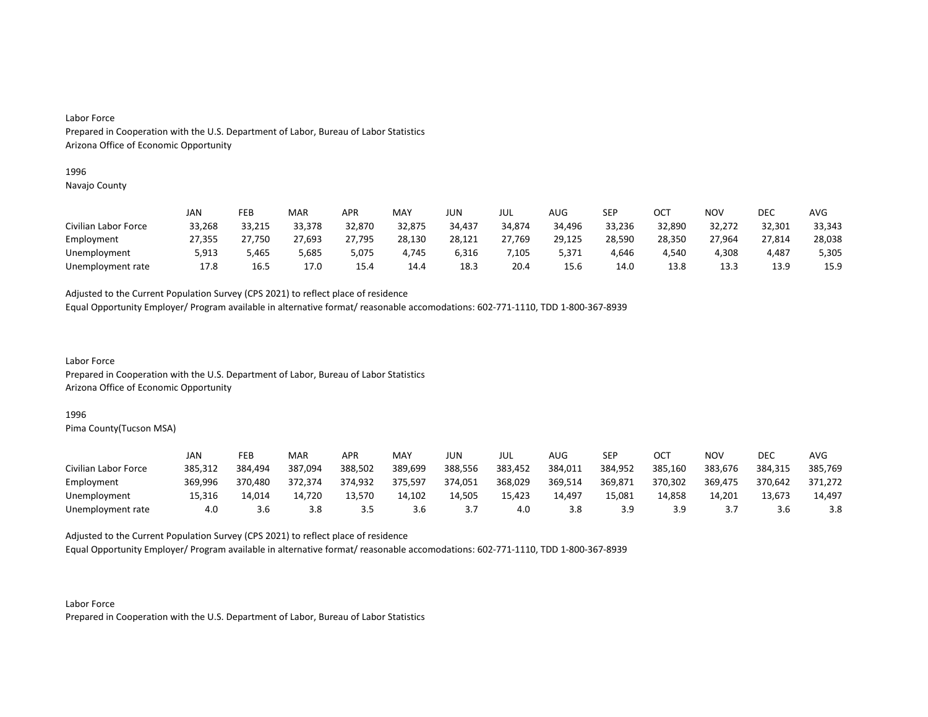#### 1996

Navajo County

|                      | JAN    | FEB    | MAR    | APR    | MAY    | JUN    | JUL    | AUG    | SEP    | OCT    | NOV    | DEC    | AVG    |
|----------------------|--------|--------|--------|--------|--------|--------|--------|--------|--------|--------|--------|--------|--------|
| Civilian Labor Force | 33,268 | 33,215 | 33,378 | 32,870 | 32,875 | 34,437 | 34,874 | 34,496 | 33,236 | 32,890 | 32,272 | 32,301 | 33,343 |
| Employment           | 27,355 | 27,750 | 27,693 | 27,795 | 28,130 | 28,121 | 27,769 | 29,125 | 28,590 | 28,350 | 27,964 | 27,814 | 28,038 |
| Unemployment         | 5,913  | 5.465  | 5,685  | 5,075  | 4,745  | 6,316  | ,105   | 5.371  | 4,646  | 4.540  | 4,308  | 4.487  | 5,305  |
| Unemployment rate    | 17.8   | 16.5   | 17.0   | 15.4   | 14.4   | 18.3   | 20.4   | 15.6   | 14.0   | 13.8   | 13.3   | 13.9   | 15.9   |

Adjusted to the Current Population Survey (CPS 2021) to reflect place of residence

Equal Opportunity Employer/ Program available in alternative format/ reasonable accomodations: 602-771-1110, TDD 1-800-367-8939

Labor Force Prepared in Cooperation with the U.S. Department of Labor, Bureau of Labor Statistics Arizona Office of Economic Opportunity

### 1996

Pima County(Tucson MSA)

|                      | JAN     | FEB     | MAR     | APR     | MAY     | JUN     | JUL     | AUG     | <b>SEP</b> | ост     | NOV       | DEC     | AVG     |
|----------------------|---------|---------|---------|---------|---------|---------|---------|---------|------------|---------|-----------|---------|---------|
| Civilian Labor Force | 385,312 | 384.494 | 387,094 | 388,502 | 389,699 | 388,556 | 383,452 | 384,011 | 384,952    | 385,160 | 383,676   | 384,315 | 385,769 |
| Employment           | 369,996 | 370.480 | 372.374 | 374.932 | 375.597 | 374,051 | 368,029 | 369.514 | 369,871    | 370.302 | 369,475   | 370,642 | 371.272 |
| Unemployment         | 15,316  | 14,014  | 14,720  | 13.570  | 14,102  | 14,505  | 15,423  | 14,497  | 15.081     | 14,858  | 14,201    | 13,673  | 14,497  |
| Unemployment rate    | 4.0     | 3.6     | 3.8     |         | 3.6     |         | 4.0     | 3.8     | 3.9        | 3.9     | <u>.,</u> | 3.b     | 3.8     |

Adjusted to the Current Population Survey (CPS 2021) to reflect place of residence

Equal Opportunity Employer/ Program available in alternative format/ reasonable accomodations: 602-771-1110, TDD 1-800-367-8939

Labor Force Prepared in Cooperation with the U.S. Department of Labor, Bureau of Labor Statistics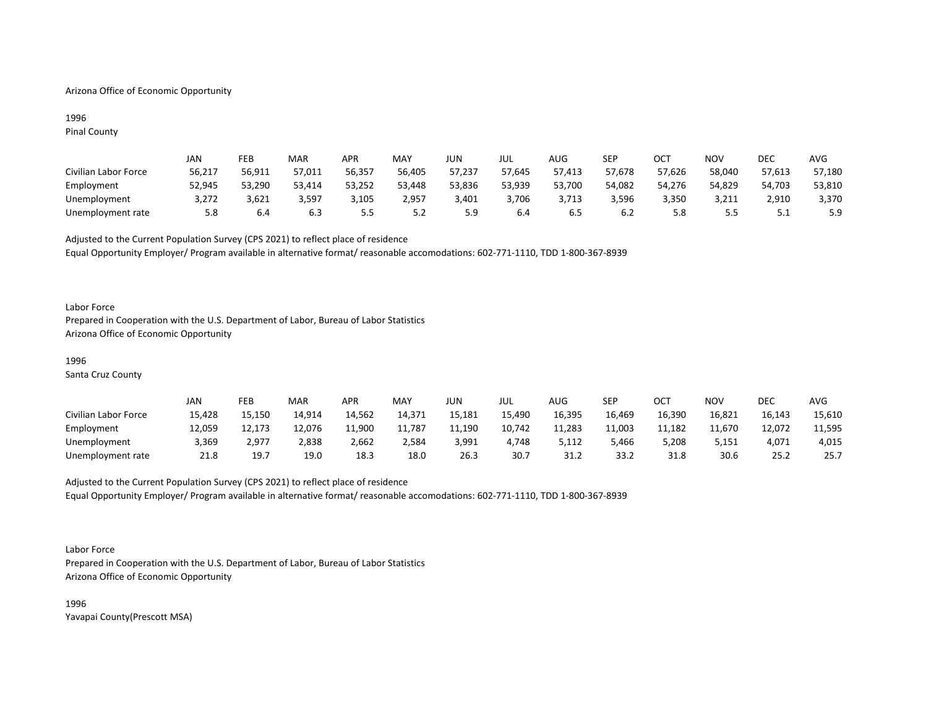## Arizona Office of Economic Opportunity

## 1996 Pinal County

|                      | JAN    | FEB    | MAR    | <b>APR</b> | MAY        | JUN    | JUL    | AUG    | SEP    | OCT    | NOV    | DEC    | AVG    |
|----------------------|--------|--------|--------|------------|------------|--------|--------|--------|--------|--------|--------|--------|--------|
| Civilian Labor Force | 56,217 | 56.911 | 57,011 | 56,357     | 56,405     | 57,237 | 57,645 | 57.413 | 57,678 | 57,626 | 58,040 | 57,613 | 57,180 |
| Employment           | 52,945 | 53,290 | 53,414 | 53,252     | 53,448     | 53,836 | 53,939 | 53,700 | 54,082 | 54,276 | 54,829 | 54,703 | 53,810 |
| Unemployment         | 3.272  | 3,621  | 3,597  | 3,105      | 2,957      | 3,401  | 3.706  | 3.713  | 3,596  | 3,350  | 3,211  | 2,910  | 3,370  |
| Unemployment rate    | 5.8    | 6.4    | 6.3    | י ה<br>    | ь,<br>ے. ب | 5.9    | 6.4    | 6.5    | 6.2    | 5.8    | 5.5    | ـ . ـ  | 5.9    |

Adjusted to the Current Population Survey (CPS 2021) to reflect place of residence Equal Opportunity Employer/ Program available in alternative format/ reasonable accomodations: 602-771-1110, TDD 1-800-367-8939

### Labor Force

Prepared in Cooperation with the U.S. Department of Labor, Bureau of Labor Statistics Arizona Office of Economic Opportunity

#### 1996

Santa Cruz County

|                      | JAN    | FEB    | <b>MAR</b> | APR    | MAY    | JUN    | JUL    | <b>AUG</b> | SEP    | ост    | NOV    | DEC    | AVG    |
|----------------------|--------|--------|------------|--------|--------|--------|--------|------------|--------|--------|--------|--------|--------|
| Civilian Labor Force | 15,428 | 15,150 | 14,914     | 14,562 | 14,371 | 15,181 | 15,490 | 16,395     | 16,469 | 16,390 | 16,821 | 16,143 | 15,610 |
| Employment           | 12,059 | 12,173 | 12,076     | 11,900 | 11,787 | 11,190 | 10,742 | 11,283     | 11,003 | 11,182 | 11.670 | 12,072 | 11,595 |
| Unemployment         | 3,369  | 2.977  | 2,838      | 2,662  | 2,584  | 3,991  | 4,748  | 5,112      | 5,466  | 5,208  | 5,151  | 4,071  | 4,015  |
| Unemployment rate    | 21.8   | 19.7   | 19.0       | 18.3   | 18.0   | 26.3   | 30.7   | 31.2       | 33.2   | 31.8   | 30.6   | 25.2   | 25.7   |

Adjusted to the Current Population Survey (CPS 2021) to reflect place of residence Equal Opportunity Employer/ Program available in alternative format/ reasonable accomodations: 602-771-1110, TDD 1-800-367-8939

#### Labor Force

Prepared in Cooperation with the U.S. Department of Labor, Bureau of Labor Statistics Arizona Office of Economic Opportunity

1996 Yavapai County(Prescott MSA)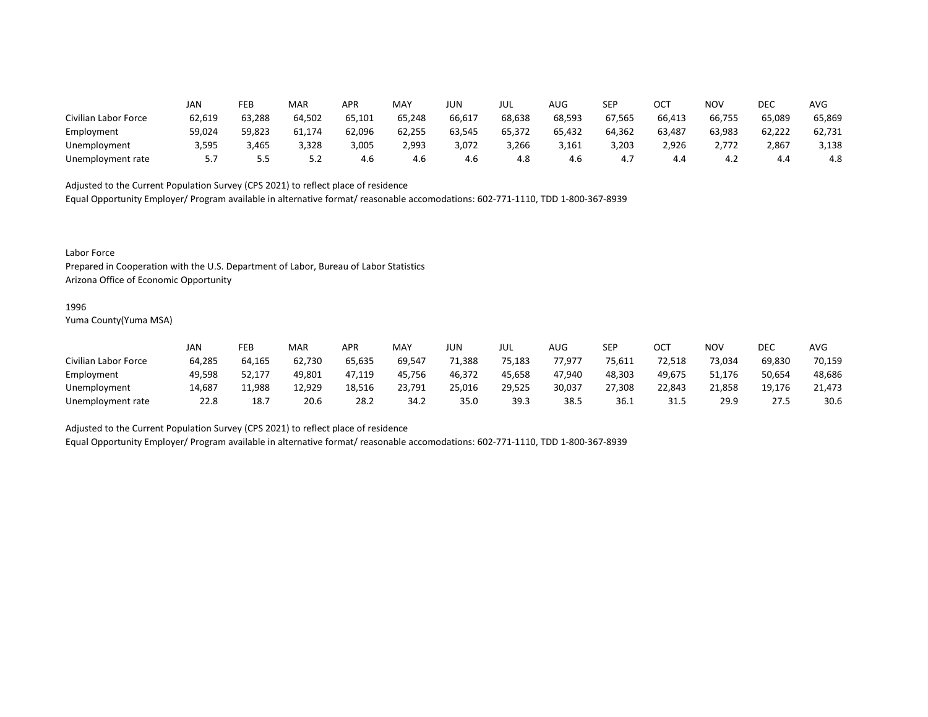|                      | JAN    | FEB    | MAR    | APR    | MAY    | <b>JUN</b> | JUL    | AUG    | <b>SEP</b> | OCT    | <b>NOV</b> | DEC    | <b>AVG</b> |
|----------------------|--------|--------|--------|--------|--------|------------|--------|--------|------------|--------|------------|--------|------------|
| Civilian Labor Force | 62,619 | 63,288 | 64,502 | 65,101 | 65,248 | 66,617     | 68,638 | 68,593 | 67,565     | 66,413 | 66,755     | 65,089 | 65,869     |
| Employment           | 59,024 | 59,823 | 61,174 | 62,096 | 62,255 | 63,545     | 65,372 | 65,432 | 64,362     | 63,487 | 63,983     | 62,222 | 62,731     |
| Unemployment         | 3,595  | 3,465  | 3,328  | 3,005  | 2,993  | 3,072      | 3,266  | 3,161  | 3,203      | 2,926  | 2,772      | 2,867  | 3,138      |
| Unemployment rate    | 5.7    | כ.כ    | 5.2    | 4.6    | 4.6    | 4.6        | 4.8    | 4.6    | 4.,        | 4.4    | 4.2        |        | 4.8        |

Equal Opportunity Employer/ Program available in alternative format/ reasonable accomodations: 602-771-1110, TDD 1-800-367-8939

Labor Force

Prepared in Cooperation with the U.S. Department of Labor, Bureau of Labor Statistics Arizona Office of Economic Opportunity

#### 1996

Yuma County(Yuma MSA)

|                      | JAN    | FEB    | MAR    | APR    | MAY    | JUN    | JUL    | AUG    | <b>SEP</b> | ∩∩⊤<br>UC. | NOV    | DEC    | AVG    |
|----------------------|--------|--------|--------|--------|--------|--------|--------|--------|------------|------------|--------|--------|--------|
| Civilian Labor Force | 64,285 | 64,165 | 62,730 | 65,635 | 69,547 | 71,388 | 75,183 | 77.977 | 75,611     | 72,518     | 73,034 | 69,830 | 70,159 |
| Employment           | 49,598 | 52,177 | 49,801 | 47,119 | 45,756 | 46,372 | 45,658 | 47,940 | 48,303     | 49,675     | 51,176 | 50,654 | 48,686 |
| Unemployment         | 14,687 | 11,988 | 12,929 | 18,516 | 23,791 | 25,016 | 29,525 | 30,037 | 27,308     | 22,843     | 21,858 | 19,176 | 21,473 |
| Unemployment rate    | 22.8   | 18.7   | 20.6   | 28.2   | 34.2   | 35.0   | 39.3   | 38.5   | 36.1       | 31.5       | 29.9   | 27.5   | 30.6   |

Adjusted to the Current Population Survey (CPS 2021) to reflect place of residence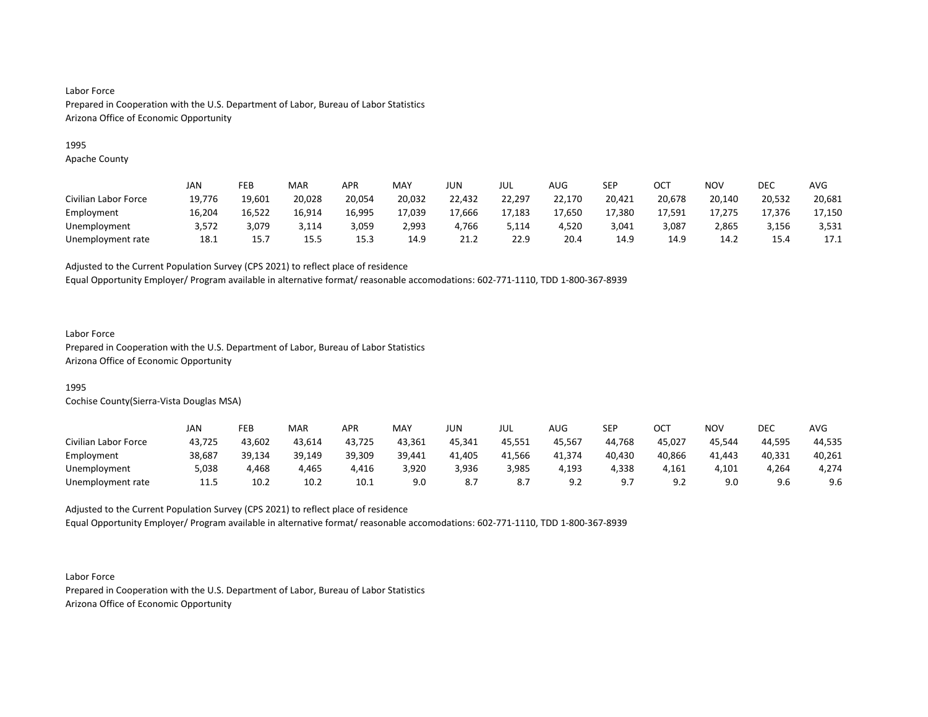## 1995

Apache County

|                      | JAN    | <b>FEB</b> | <b>MAR</b> | APR    | MAY    | JUN    | JUL    | <b>AUG</b> | SEP    | ОСТ    | NOV    | DEC    | <b>AVG</b> |
|----------------------|--------|------------|------------|--------|--------|--------|--------|------------|--------|--------|--------|--------|------------|
| Civilian Labor Force | 19,776 | 19,601     | 20,028     | 20,054 | 20,032 | 22,432 | 22,297 | 22,170     | 20,421 | 20,678 | 20,140 | 20,532 | 20,681     |
| Employment           | 16,204 | 16,522     | 16,914     | 16,995 | 17,039 | 17,666 | 17,183 | 17,650     | 17,380 | 17,591 | 17,275 | 17,376 | 17,150     |
| Unemployment         | 3.572  | 3.079      | 3,114      | 3,059  | 2.993  | 4.766  | 5,114  | 4.520      | 3.041  | 3,087  | 2,865  | 3,156  | 3,531      |
| Unemployment rate    | 18.1   | 15.7       | 15.5       | 15.3   | 14.9   | 21.2   | 22.9   | 20.4       | 14.9   | 14.9   | 14.2   | 15.4   | 17.1       |

Adjusted to the Current Population Survey (CPS 2021) to reflect place of residence

Equal Opportunity Employer/ Program available in alternative format/ reasonable accomodations: 602-771-1110, TDD 1-800-367-8939

## Labor Force

Prepared in Cooperation with the U.S. Department of Labor, Bureau of Labor Statistics Arizona Office of Economic Opportunity

## 1995

Cochise County(Sierra-Vista Douglas MSA)

|                      | JAN    | FEB    | <b>MAR</b> | APR    | MAY    | JUN    | JUL    | AUG     | SEP    | ост                 | <b>NOV</b> | DEC    | AVG    |
|----------------------|--------|--------|------------|--------|--------|--------|--------|---------|--------|---------------------|------------|--------|--------|
| Civilian Labor Force | 43,725 | 43,602 | 43,614     | 43,725 | 43,361 | 45,341 | 45.551 | 45,567  | 44,768 | 45,027              | 45,544     | 44,595 | 44,535 |
| Employment           | 38,687 | 39,134 | 39,149     | 39,309 | 39,441 | 41,405 | 41,566 | 41,374  | 40,430 | 40,866              | 41,443     | 40,331 | 40,261 |
| Unemployment         | 5,038  | 4,468  | 4,465      | 4,416  | 3,920  | 3,936  | 3,985  | 193,ا   | 4,338  | 4,161               | 4,101      | 4,264  | 4,274  |
| Unemployment rate    | 11.5   | 10.2   | 10.2       | 10.1   | 9.0    | 8.7    | 8.7    | <u></u> | - Q 7  | $\Omega$<br><u></u> | 9.0        | 9.6    | 9.6    |

Adjusted to the Current Population Survey (CPS 2021) to reflect place of residence Equal Opportunity Employer/ Program available in alternative format/ reasonable accomodations: 602-771-1110, TDD 1-800-367-8939

Labor Force Prepared in Cooperation with the U.S. Department of Labor, Bureau of Labor Statistics Arizona Office of Economic Opportunity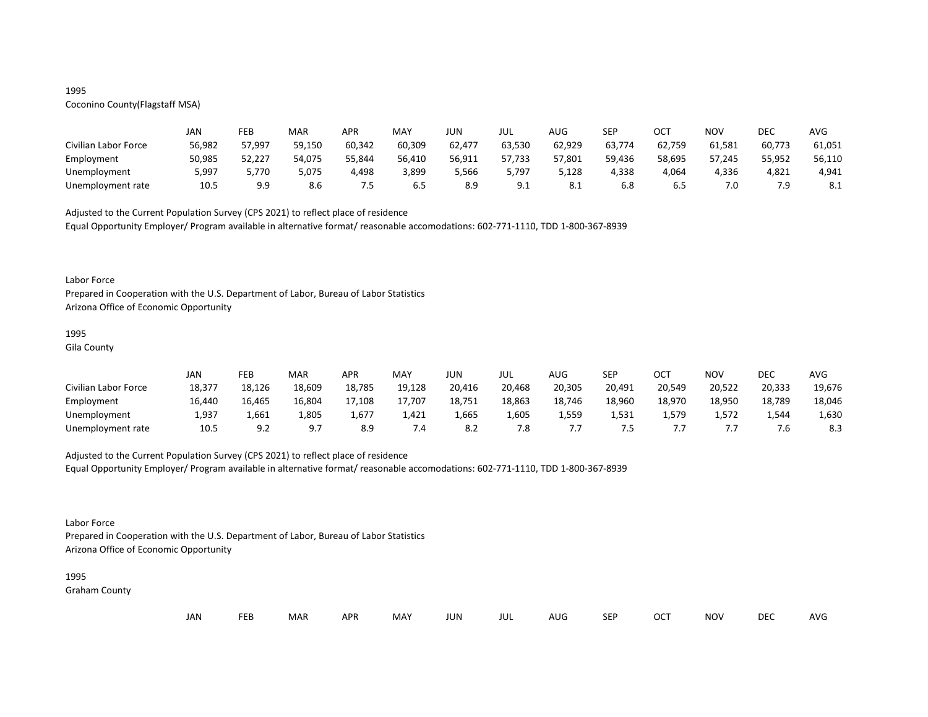## 1995

# Coconino County(Flagstaff MSA)

|                      | JAN    | FEB    | MAR    | <b>APR</b> | MAY    | JUN    | JUL    | AUG    | SEP    | <b>OCT</b> | NOV    | DEC    | AVG    |
|----------------------|--------|--------|--------|------------|--------|--------|--------|--------|--------|------------|--------|--------|--------|
| Civilian Labor Force | 56,982 | 57,997 | 59,150 | 60,342     | 60,309 | 62,477 | 63,530 | 62,929 | 63,774 | 62,759     | 61.581 | 60,773 | 61,051 |
| Employment           | 50,985 | 52,227 | 54,075 | 55,844     | 56,410 | 56,911 | 57,733 | 57,801 | 59,436 | 58,695     | 57,245 | 55,952 | 56,110 |
| Unemployment         | 5,997  | 5,770  | 5,075  | 4,498      | 3,899  | 5,566  | 5,797  | 5,128  | 4,338  | 4,064      | 4,336  | 4,821  | 4,941  |
| Unemployment rate    | 10.5   | 9.9    | 8.6    | כ. ו       | 6.5    | 8.9    | 9.1    | O.L    | 6.8    | כ.ס        | 7.0    | 7.9    | 8.1    |

Adjusted to the Current Population Survey (CPS 2021) to reflect place of residence

Equal Opportunity Employer/ Program available in alternative format/ reasonable accomodations: 602-771-1110, TDD 1-800-367-8939

#### Labor Force

Prepared in Cooperation with the U.S. Department of Labor, Bureau of Labor Statistics Arizona Office of Economic Opportunity

## 1995

Gila County

|                      | JAN    | FEB    | MAR    | APR    | <b>MAY</b> | JUN    | JUL    | AUG    | <b>SFP</b><br>ᅴ | ост    | <b>NOV</b> | <b>DEC</b> | <b>AVG</b> |
|----------------------|--------|--------|--------|--------|------------|--------|--------|--------|-----------------|--------|------------|------------|------------|
| Civilian Labor Force | 18,377 | 18,126 | 18,609 | 18,785 | 19,128     | 20,416 | 20,468 | 20,305 | 20,491          | 20,549 | 20,522     | 20,333     | 19,676     |
| Employment           | 16,440 | 16,465 | 16,804 | 17,108 | 17.707     | 18,751 | 18,863 | 18,746 | 18,960          | 18,970 | 18,950     | 18,789     | 18,046     |
| Unemployment         | 1,937  | 1,661  | 1,805  | 1,677  | 1,421      | 1,665  | 1,605  | 1,559  | 1,531           | 1.579  | 1,572      | 1,544      | 1,630      |
| Unemployment rate    | 10.5   | 9.2    |        |        | 7.4        | -8.2   | 7.8    |        | . . -           |        |            |            | 8.3        |

## Adjusted to the Current Population Survey (CPS 2021) to reflect place of residence

Equal Opportunity Employer/ Program available in alternative format/ reasonable accomodations: 602-771-1110, TDD 1-800-367-8939

## Labor Force

Prepared in Cooperation with the U.S. Department of Labor, Bureau of Labor Statistics Arizona Office of Economic Opportunity

#### 1995

Graham County

| JAN<br><b>FEB</b><br><b>OCT</b><br>MAR<br>MAY<br><b>APR</b><br><b>NOV</b><br>JUN<br><b>SEP</b><br>AUG<br>jul |  |  |  |  |  |  |  |  |  |  |  | DEC | <b>AVG</b> |
|--------------------------------------------------------------------------------------------------------------|--|--|--|--|--|--|--|--|--|--|--|-----|------------|
|--------------------------------------------------------------------------------------------------------------|--|--|--|--|--|--|--|--|--|--|--|-----|------------|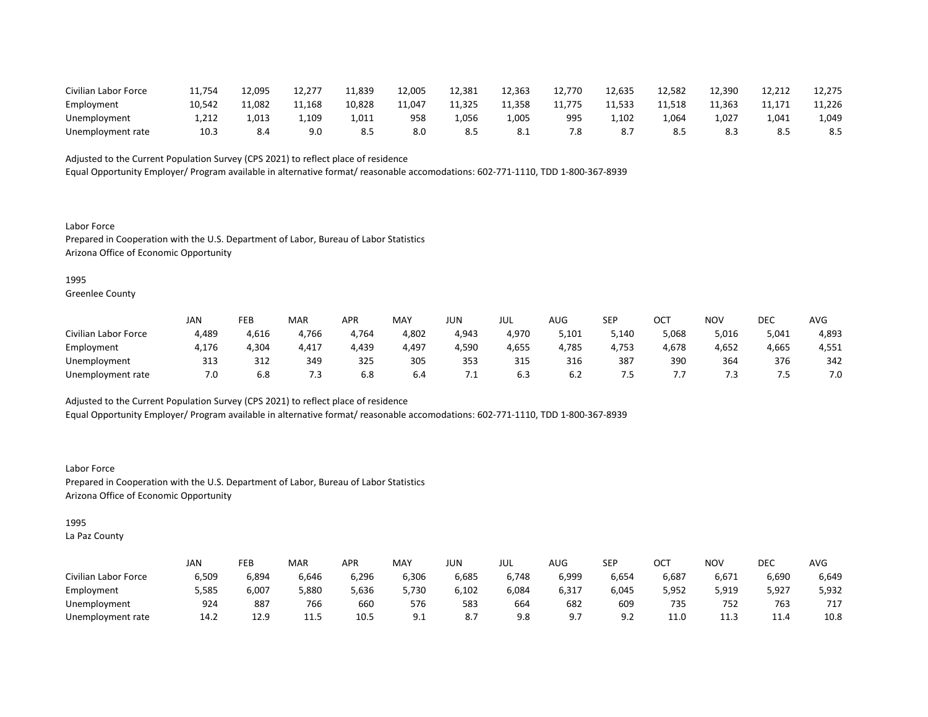| Civilian Labor Force | 11.754 | 12,095 | 12,277 | 11,839 | 12,005 | 12,381 | 12,363 | 12,770 | 12,635 | 12,582 | 12,390 | 12,212 | 12,275 |
|----------------------|--------|--------|--------|--------|--------|--------|--------|--------|--------|--------|--------|--------|--------|
| Employment           | 10.542 | 11,082 | 11,168 | 10,828 | 11.047 | 11,325 | 11,358 | 11,775 | 11,533 | 11,518 | 11.363 | 11,171 | 11,226 |
| Unemployment         | 1,212  | 1,013  | 1,109  | 1,011  | 958    | .056ء  | .005,  | 995    | 1,102  | .064   | 1,027  | 1,041  | 1,049  |
| Unemployment rate    | 10.3   | ٥.4    | 9.0    |        | 8.0    | -8.5   | -8.1   | 7.8    |        |        | 8.3    | ٥.૩    | 8.5    |

Equal Opportunity Employer/ Program available in alternative format/ reasonable accomodations: 602-771-1110, TDD 1-800-367-8939

Labor Force Prepared in Cooperation with the U.S. Department of Labor, Bureau of Labor Statistics Arizona Office of Economic Opportunity

1995

Greenlee County

|                      | JAN   | FEB   | <b>MAR</b> | APR   | MAY   | JUN   | JUL   | AUG   | <b>SEP</b> | ОСТ   | NOV   | DEC   | AVG   |
|----------------------|-------|-------|------------|-------|-------|-------|-------|-------|------------|-------|-------|-------|-------|
| Civilian Labor Force | 4,489 | 4,616 | 4,766      | 4,764 | 4,802 | 4,943 | 4,970 | 5,101 | 5,140      | 5,068 | 5,016 | 5,041 | 4,893 |
| Employment           | 4,176 | 4,304 | 4,417      | 4,439 | 4,497 | 4,590 | 4,655 | 4,785 | 4,753      | 4,678 | 4,652 | 4,665 | 4,551 |
| Unemployment         | 313   | 312   | 349        | 325   | 305   | 353   | 315   | 316   | 387        | 390   | 364   | 376   | 342   |
| Unemployment rate    | 7.0   | 6.8   | 7.3        | 6.8   | 6.4   | . .   | 6.3   | b.Z   | . כ        |       | 7.3   |       | 7.0   |

Adjusted to the Current Population Survey (CPS 2021) to reflect place of residence

Equal Opportunity Employer/ Program available in alternative format/ reasonable accomodations: 602-771-1110, TDD 1-800-367-8939

Labor Force Prepared in Cooperation with the U.S. Department of Labor, Bureau of Labor Statistics Arizona Office of Economic Opportunity

1995

La Paz County

|                      | <b>JAN</b> | FEB   | MAR   | APR   | <b>MAY</b> | JUN        | jul   | $\sim$ $\sim$<br>AUG | <b>SEP</b> | ⌒⌒⊤<br>UC. | <b>NOV</b> | DEC   | <b>AVG</b> |
|----------------------|------------|-------|-------|-------|------------|------------|-------|----------------------|------------|------------|------------|-------|------------|
| Civilian Labor Force | 6,509      | 6,894 | 6,646 | 6,296 | 6,306      | 6,685      | 6,748 | 6,999                | 6,654      | 6,687      | 6,671      | 6,690 | 6,649      |
| Employment           | 5,585      | 6,007 | 5,880 | 5,636 | 5,730      | 6,102      | 6,084 | 6,317                | 6.045      | 5,952      | 5,919      | 5,927 | 5,932      |
| Unemployment         | 924        | 887   | 766   | 660   | 576        | 583        | 664   | 682                  | 609        | 735        | 752        | 763   | 717        |
| Unemployment rate    | 14.2       | 12.9  | 11.5  | 10.5  | <u>J.L</u> | ი –<br>، ہ | 9.8   | <u>.</u>             | 9.2        | 11.0       | 11.3       | 11.4  | 10.8       |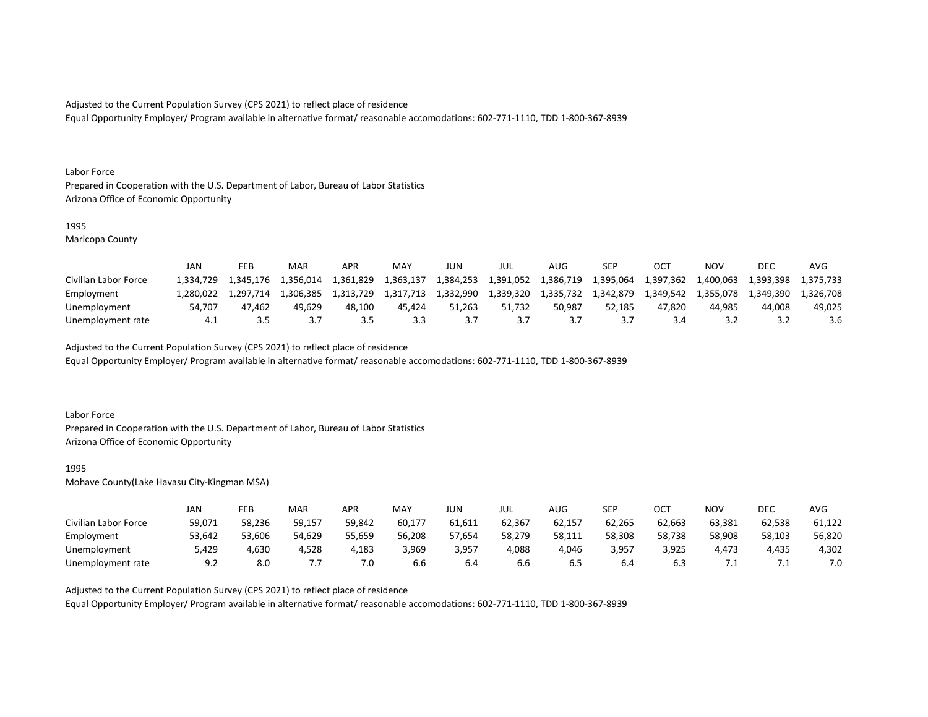Equal Opportunity Employer/ Program available in alternative format/ reasonable accomodations: 602-771-1110, TDD 1-800-367-8939

#### Labor Force

Prepared in Cooperation with the U.S. Department of Labor, Bureau of Labor Statistics Arizona Office of Economic Opportunity

#### 1995

Maricopa County

|                      | JAN       | FEB       | MAR       | APR       | MAY       | JUN       | JUL       | AUG       | SEP       |           | ΝΟν       | <b>DEC</b> | AVG       |
|----------------------|-----------|-----------|-----------|-----------|-----------|-----------|-----------|-----------|-----------|-----------|-----------|------------|-----------|
| Civilian Labor Force | 1.334.729 | 1.345.176 | 1.356.014 | 1,361,829 | 1.363.137 | 1,384,253 | 1,391,052 | 1,386,719 | 1,395,064 | 1,397,362 | 1,400,063 | 1,393,398  | 1.375.733 |
| Employment           | 280.022   | 1.297.714 | 1.306.385 | 1.313.729 | 1,317,713 | 1,332,990 | 1,339,320 | 1,335,732 | 1,342,879 | 1.349.542 | 1.355.078 | 1.349.390  | 1.326.708 |
| Unemployment         | 54.707    | 47.462    | 49.629    | 48.100    | 45.424    | 51.263    | 51.732    | 50.987    | 52.185    | 47.820    | 44.985    | 44.008     | 49.025    |
| Unemployment rate    |           |           |           |           | 3.3       |           |           |           |           |           |           |            | 3.6       |

Adjusted to the Current Population Survey (CPS 2021) to reflect place of residence

Equal Opportunity Employer/ Program available in alternative format/ reasonable accomodations: 602-771-1110, TDD 1-800-367-8939

### Labor Force

Prepared in Cooperation with the U.S. Department of Labor, Bureau of Labor Statistics Arizona Office of Economic Opportunity

#### 1995

Mohave County(Lake Havasu City-Kingman MSA)

|                      | JAN    | FEB    | MAR    | APR    | <b>MAY</b> | JUN    | JUL    | AUG    | <b>SEP</b> | ОСТ    | NOV       | DEC    | <b>AVG</b> |
|----------------------|--------|--------|--------|--------|------------|--------|--------|--------|------------|--------|-----------|--------|------------|
| Civilian Labor Force | 59,071 | 58,236 | 59,157 | 59,842 | 60,177     | 61,611 | 62,367 | 62,157 | 62,265     | 62,663 | 63,381    | 62,538 | 61,122     |
| Employment           | 53,642 | 53,606 | 54,629 | 55,659 | 56,208     | 57,654 | 58,279 | 58,111 | 58,308     | 58,738 | 58,908    | 58,103 | 56,820     |
| Unemployment         | 5,429  | 4,630  | 4,528  | 4,183  | 3,969      | 3,957  | 4,088  | 4,046  | 3,957      | 3,925  | 4,473     | 4,435  | 4,302      |
| Unemployment rate    | 9.2    | 8.0    | .      | 7.0    | b.b        | 6.4    | 6.6    | b.5    | 6.4        |        | $\cdot$ . | .      | 7.0        |

Adjusted to the Current Population Survey (CPS 2021) to reflect place of residence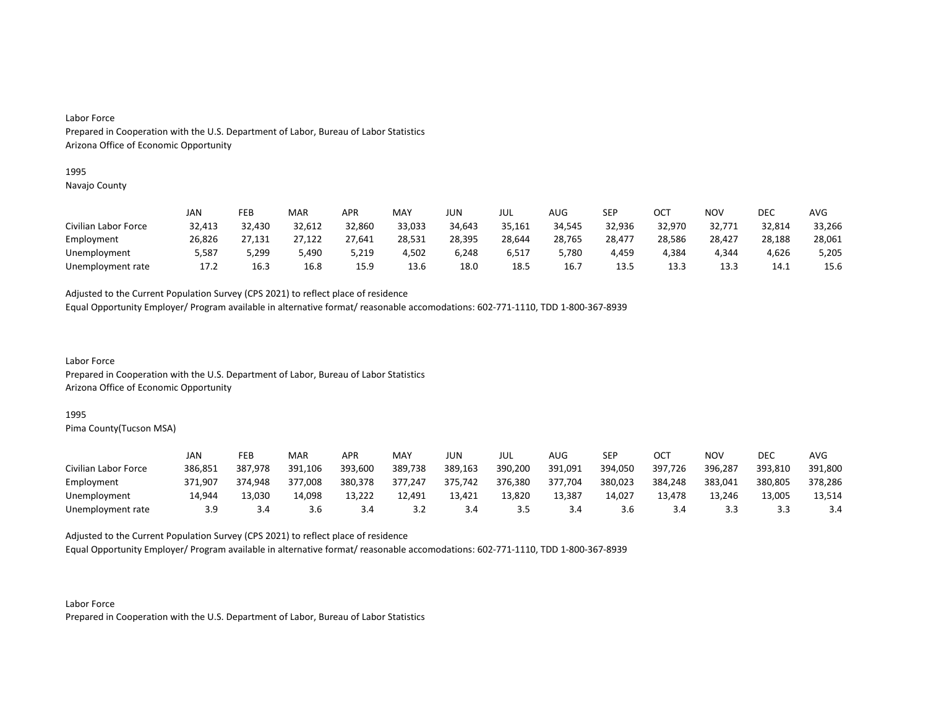#### 1995

Navajo County

|                      | JAN    | FEB    | MAR    | APR    | MAY    | JUN    | JUL    | AUG    | SEP    | OCT    | NOV    | DEC    | AVG    |
|----------------------|--------|--------|--------|--------|--------|--------|--------|--------|--------|--------|--------|--------|--------|
| Civilian Labor Force | 32,413 | 32,430 | 32,612 | 32,860 | 33,033 | 34,643 | 35,161 | 34,545 | 32,936 | 32,970 | 32,771 | 32,814 | 33,266 |
| Employment           | 26,826 | 27,131 | 27,122 | 27,641 | 28,531 | 28,395 | 28,644 | 28,765 | 28,477 | 28,586 | 28,427 | 28,188 | 28,061 |
| Unemployment         | 5,587  | 5,299  | 5,490  | 5,219  | 4,502  | 6,248  | 6,517  | 5,780  | 4,459  | 4.384  | 4.344  | 4,626  | 5,205  |
| Unemployment rate    | 17.2   | 16.3   | 16.8   | 15.9   | 13.6   | 18.0   | 18.5   | 16.7   | 13.5   | 13.3   | 13.3   | 14.1   | 15.6   |

Adjusted to the Current Population Survey (CPS 2021) to reflect place of residence

Equal Opportunity Employer/ Program available in alternative format/ reasonable accomodations: 602-771-1110, TDD 1-800-367-8939

Labor Force Prepared in Cooperation with the U.S. Department of Labor, Bureau of Labor Statistics Arizona Office of Economic Opportunity

#### 1995

Pima County(Tucson MSA)

|                      | JAN     | FEB     | MAR     | APR     | MAY     | JUN     | JUL     | AUG     | SEP     | ост     | <b>NOV</b> | DEC     | AVG     |
|----------------------|---------|---------|---------|---------|---------|---------|---------|---------|---------|---------|------------|---------|---------|
| Civilian Labor Force | 386,851 | 387,978 | 391,106 | 393,600 | 389,738 | 389,163 | 390,200 | 391,091 | 394,050 | 397,726 | 396,287    | 393,810 | 391,800 |
| Employment           | 371,907 | 374.948 | 377,008 | 380,378 | 377.247 | 375,742 | 376,380 | 377,704 | 380,023 | 384,248 | 383,041    | 380,805 | 378,286 |
| Unemployment         | 14.944  | 13,030  | 14,098  | 13,222  | 12,491  | 13,421  | 13,820  | 13,387  | 14,027  | 13.478  | 13.246     | 13,005  | 13,514  |
| Unemployment rate    | 3.9     | 3.4     | 3.6     |         | 3.2     | 3.4     | 3.5     | 3.4     | 3.6     |         | 3.3        |         | 3.4     |

Adjusted to the Current Population Survey (CPS 2021) to reflect place of residence

Equal Opportunity Employer/ Program available in alternative format/ reasonable accomodations: 602-771-1110, TDD 1-800-367-8939

Labor Force Prepared in Cooperation with the U.S. Department of Labor, Bureau of Labor Statistics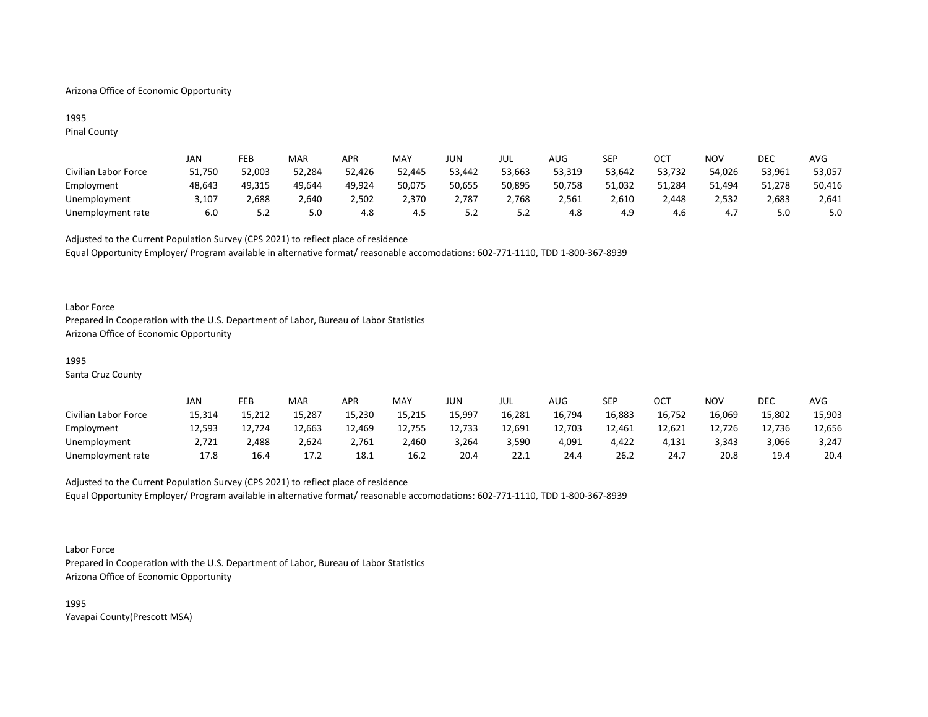## Arizona Office of Economic Opportunity

## 1995 Pinal County

|                      | JAN    | FEB    | <b>MAR</b> | APR    | <b>MAY</b> | JUN    | JUL      | AUG    | SEP    | ост    | NOV    | DEC    | <b>AVG</b> |
|----------------------|--------|--------|------------|--------|------------|--------|----------|--------|--------|--------|--------|--------|------------|
| Civilian Labor Force | 51,750 | 52,003 | 52,284     | 52,426 | 52,445     | 53,442 | 53,663   | 53,319 | 53,642 | 53,732 | 54,026 | 53,961 | 53,057     |
| Employment           | 48,643 | 49.315 | 49,644     | 49,924 | 50,075     | 50,655 | 50,895   | 50,758 | 51,032 | 51,284 | 51,494 | 51,278 | 50,416     |
| Unemployment         | 3,107  | 2,688  | 2.640      | 2,502  | 2,370      | 2,787  | 2,768    | 2,561  | 2,610  | 2.448  | 2,532  | 2,683  | 2,641      |
| Unemployment rate    | 6.0    | 5.2    | 5.0        | 4.8    | 4.5        |        | <u>.</u> | 4.8    | 4.9    | 4.6    | 4.,    | 5.0    | 5.0        |

Adjusted to the Current Population Survey (CPS 2021) to reflect place of residence Equal Opportunity Employer/ Program available in alternative format/ reasonable accomodations: 602-771-1110, TDD 1-800-367-8939

### Labor Force

Prepared in Cooperation with the U.S. Department of Labor, Bureau of Labor Statistics Arizona Office of Economic Opportunity

## 1995

Santa Cruz County

|                      | JAN    | FEB    | <b>MAR</b> | APR    | MAY    | JUN    | JUL    | AUG    | SEP    | ост    | NOV    | <b>DEC</b> | AVG    |
|----------------------|--------|--------|------------|--------|--------|--------|--------|--------|--------|--------|--------|------------|--------|
| Civilian Labor Force | 15,314 | 15,212 | 15,287     | 15,230 | 15,215 | 15,997 | 16,281 | 16,794 | 16,883 | 16,752 | 16,069 | 15,802     | 15,903 |
| Employment           | 12,593 | 12,724 | 12,663     | 12,469 | 12,755 | 12,733 | 12,691 | 12,703 | 12,461 | 12,621 | 12,726 | 12,736     | 12,656 |
| Unemployment         | 2,721  | 2.488  | 2,624      | 2,761  | 2,460  | 3,264  | 3,590  | 4,091  | 4,422  | 4,131  | 3,343  | 3,066      | 3,247  |
| Unemployment rate    | 17.8   | 16.4   | 17.2       | 18.1   | 16.2   | 20.4   | 22.1   | 24.4   | 26.2   | 24.7   | 20.8   | 19.4       | 20.4   |

# Adjusted to the Current Population Survey (CPS 2021) to reflect place of residence Equal Opportunity Employer/ Program available in alternative format/ reasonable accomodations: 602-771-1110, TDD 1-800-367-8939

#### Labor Force

Prepared in Cooperation with the U.S. Department of Labor, Bureau of Labor Statistics Arizona Office of Economic Opportunity

1995 Yavapai County(Prescott MSA)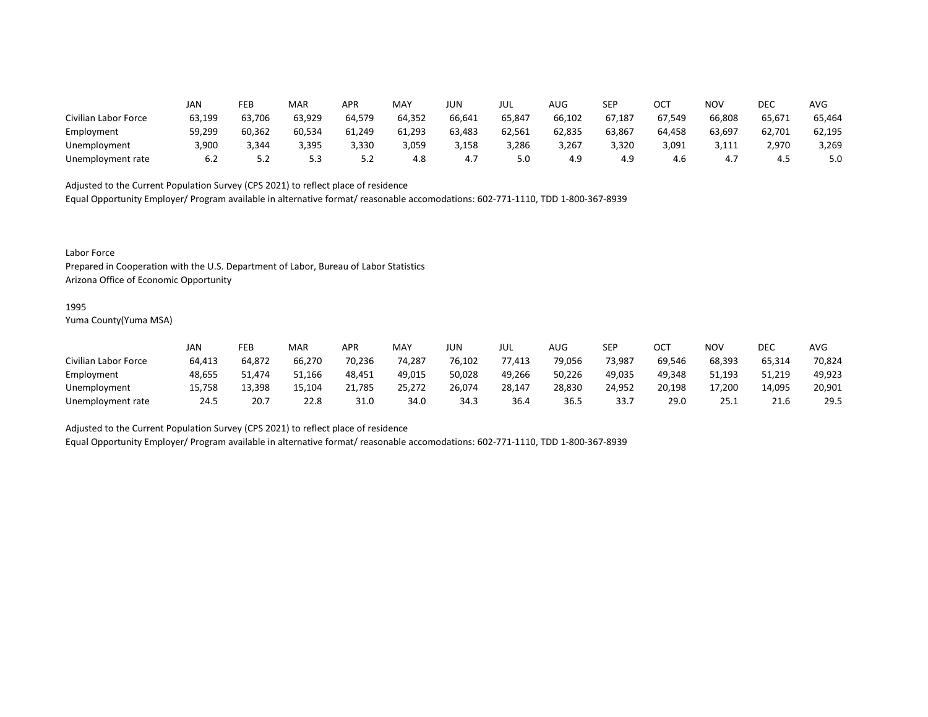|                      | JAN    | FEB    | MAR    | APR    | MAY    | <b>JUN</b> | JUL    | AUG    | SEP    | OCT<br>UC. | <b>NOV</b> | DEC    | <b>AVG</b> |
|----------------------|--------|--------|--------|--------|--------|------------|--------|--------|--------|------------|------------|--------|------------|
| Civilian Labor Force | 63,199 | 63,706 | 63,929 | 64,579 | 64,352 | 66,641     | 65,847 | 66,102 | 67,187 | 67,549     | 66,808     | 65,671 | 65,464     |
| Employment           | 59,299 | 60,362 | 60,534 | 61,249 | 61,293 | 63,483     | 62,561 | 62,835 | 63,867 | 64,458     | 63,697     | 62,701 | 62,195     |
| Unemployment         | 3,900  | 3,344  | 3,395  | 3,330  | 3,059  | 3,158      | 3,286  | 3,267  | 3,320  | 3,091      | 3,111      | 2,970  | 3,269      |
| Unemployment rate    | 6.2    | 5.2    | 5.3    | 5.2    | 4.8    | 4.7        | 5.0    | 4.9    | 4.9    | 4.6        | 4.7        | 4.5    | 5.0        |

Equal Opportunity Employer/ Program available in alternative format/ reasonable accomodations: 602-771-1110, TDD 1-800-367-8939

Labor Force

Prepared in Cooperation with the U.S. Department of Labor, Bureau of Labor Statistics Arizona Office of Economic Opportunity

#### 1995

Yuma County(Yuma MSA)

|                      | Jan    | FEB    | <b>MAR</b> | APR    | MAY    | JUN    | JUL    | AUG    | <b>SEP</b> | ОСТ    | NOV    | DEC    | AVG    |
|----------------------|--------|--------|------------|--------|--------|--------|--------|--------|------------|--------|--------|--------|--------|
| Civilian Labor Force | 64,413 | 64,872 | 66,270     | 70,236 | 74,287 | 76,102 | 77,413 | 79,056 | 73,987     | 69,546 | 68,393 | 65,314 | 70,824 |
| Employment           | 48,655 | 51.474 | 51,166     | 48,451 | 49,015 | 50,028 | 49,266 | 50,226 | 49,035     | 49,348 | 51,193 | 51,219 | 49,923 |
| Unemployment         | 15.758 | 13.398 | 15.104     | 21,785 | 25,272 | 26,074 | 28,147 | 28,830 | 24,952     | 20,198 | 17,200 | 14,095 | 20,901 |
| Unemployment rate    | 24.5   | 20.7   | 22.8       | 31.0   | 34.0   | 34.3   | 36.4   | 36.5   | 33.7       | 29.0   | 25.1   | 21.6   | 29.5   |

Adjusted to the Current Population Survey (CPS 2021) to reflect place of residence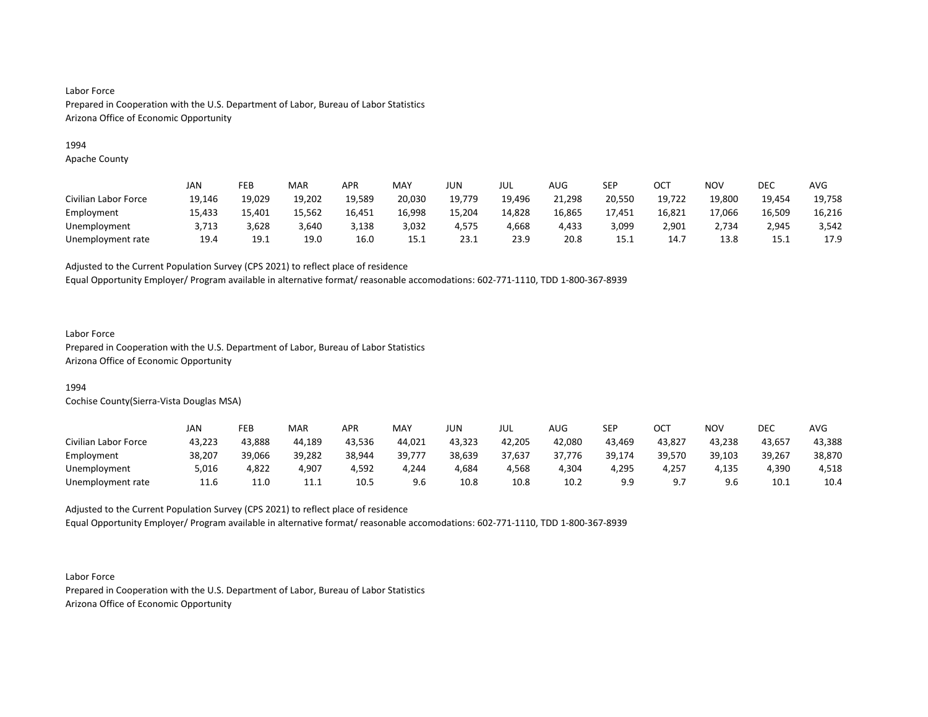## 1994

Apache County

|                      | JAN    | FEB    | <b>MAR</b> | APR    | MAY    | JUN    | JUL    | AUG    | SEP    | ост    | NOV    | DEC    | AVG    |
|----------------------|--------|--------|------------|--------|--------|--------|--------|--------|--------|--------|--------|--------|--------|
| Civilian Labor Force | 19,146 | 19,029 | 19,202     | 19,589 | 20,030 | 19,779 | 19,496 | 21,298 | 20,550 | 19,722 | 19,800 | 19,454 | 19,758 |
| Employment           | 15.433 | 15.401 | 15.562     | 16,451 | 16.998 | 15,204 | 14.828 | 16,865 | 17.451 | 16,821 | 17.066 | 16,509 | 16,216 |
| Unemployment         | 3,713  | 3,628  | 3,640      | 3,138  | 3,032  | 4,575  | 4,668  | 4,433  | 3,099  | 2,901  | 2,734  | 2,945  | 3,542  |
| Unemployment rate    | 19.4   | 19.1   | 19.0       | 16.0   | 15.1   | 23.1   | 23.9   | 20.8   | 15.1   | 14.7   | 13.8   | 15.1   | 17.9   |

Adjusted to the Current Population Survey (CPS 2021) to reflect place of residence

Equal Opportunity Employer/ Program available in alternative format/ reasonable accomodations: 602-771-1110, TDD 1-800-367-8939

## Labor Force

Prepared in Cooperation with the U.S. Department of Labor, Bureau of Labor Statistics Arizona Office of Economic Opportunity

## 1994

Cochise County(Sierra-Vista Douglas MSA)

|                      | JAN    | FEB    | MAR    | APR    | <b>MAY</b> | JUN    | JUL    | AUG    | SEP    | ост    | <b>NOV</b> | <b>DEC</b> | AVG    |
|----------------------|--------|--------|--------|--------|------------|--------|--------|--------|--------|--------|------------|------------|--------|
| Civilian Labor Force | 43,223 | 43,888 | 44,189 | 43,536 | 44,021     | 43,323 | 42,205 | 42,080 | 43,469 | 43,827 | 43,238     | 43,657     | 43,388 |
| Employment           | 38,207 | 39,066 | 39,282 | 38,944 | 39,777     | 38,639 | 37,637 | 37,776 | 39,174 | 39,570 | 39,103     | 39,267     | 38,870 |
| Unemployment         | 5,016  | 4,822  | 4,907  | 4,592  | 4,244      | 4,684  | 4,568  | 4,304  | 4,295  | 4,257  | 4,135      | 4,390      | 4,518  |
| Unemployment rate    | 11.6   | 11.0   | 11.1   | 10.5   | 9.6        | 10.8   | 10.8   | 10.2   | 9.9    |        | 9.6        | 10.1       | 10.4   |

Adjusted to the Current Population Survey (CPS 2021) to reflect place of residence Equal Opportunity Employer/ Program available in alternative format/ reasonable accomodations: 602-771-1110, TDD 1-800-367-8939

Labor Force Prepared in Cooperation with the U.S. Department of Labor, Bureau of Labor Statistics Arizona Office of Economic Opportunity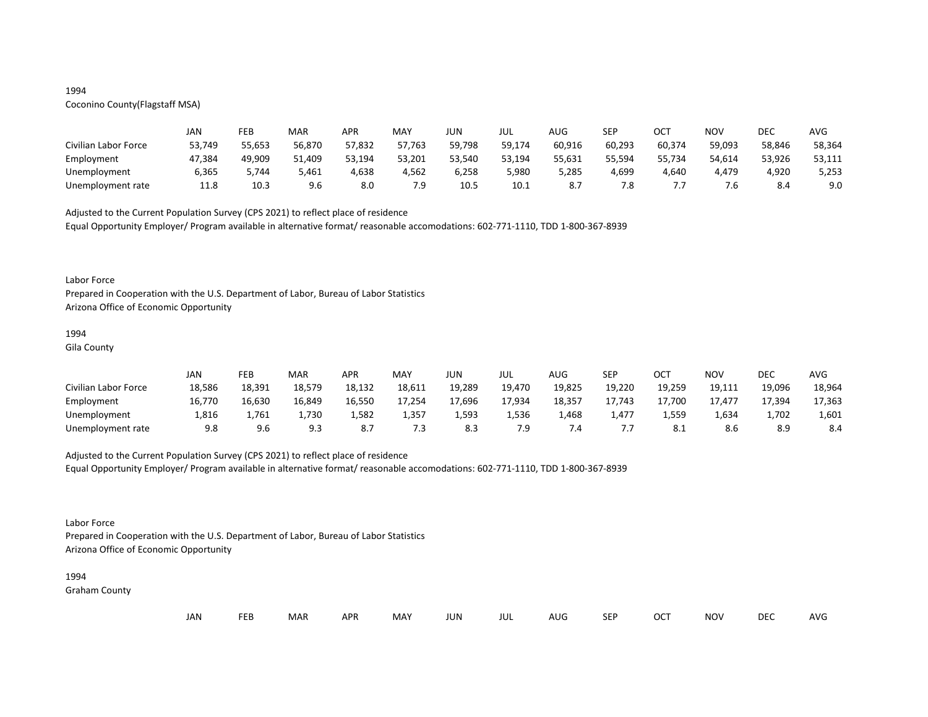## 1994

# Coconino County(Flagstaff MSA)

|                      | JAN    | FEB    | MAR    | APR    | MAY    | JUN    | JUL    | AUG    | <b>SEP</b> | ост    | NOV    | DEC    | AVG    |
|----------------------|--------|--------|--------|--------|--------|--------|--------|--------|------------|--------|--------|--------|--------|
| Civilian Labor Force | 53,749 | 55,653 | 56,870 | 57,832 | 57,763 | 59,798 | 59,174 | 60,916 | 60,293     | 60,374 | 59,093 | 58,846 | 58,364 |
| Employment           | 47,384 | 49,909 | 51,409 | 53,194 | 53,201 | 53,540 | 53,194 | 55,631 | 55,594     | 55,734 | 54,614 | 53,926 | 53,111 |
| Unemployment         | 6,365  | 7.744  | 5,461  | 4,638  | 4,562  | 6,258  | 5,980  | 5,285  | 4,699      | 4,640  | 4,479  | 4,920  | 5,253  |
| Unemployment rate    | 11.8   | 10.3   | 9.6    | 8.0    | 7.9    | 10.5   | 10.1   |        | 7.8        |        | 7.6    | 8.4    | 9.0    |

Adjusted to the Current Population Survey (CPS 2021) to reflect place of residence

Equal Opportunity Employer/ Program available in alternative format/ reasonable accomodations: 602-771-1110, TDD 1-800-367-8939

#### Labor Force

Prepared in Cooperation with the U.S. Department of Labor, Bureau of Labor Statistics Arizona Office of Economic Opportunity

#### 1994

Gila County

|                      | JAN    | FEB    | MAR    | <b>APR</b> | MAY    | JUN    | JUL    | AUG    | <b>SED</b><br>ᅴ   | ОСТ    | <b>NOV</b> | DEC    | <b>AVG</b> |
|----------------------|--------|--------|--------|------------|--------|--------|--------|--------|-------------------|--------|------------|--------|------------|
| Civilian Labor Force | 18,586 | 18,391 | 18,579 | 18,132     | 18,611 | 19,289 | 19,470 | 19,825 | 19,220            | 19,259 | 19,111     | 19,096 | 18,964     |
| Employment           | 16,770 | 16,630 | 16,849 | 16,550     | 17,254 | 17,696 | 17,934 | 18,357 | 17,743            | 17,700 | 17.477     | 17,394 | 17,363     |
| Unemployment         | L,816  | 1,761  | 1,730  | 1,582      | 1,357  | 1,593  | 1,536  | 1,468  | 1,477             | 1,559  | 1,634      | 1,702  | 1,601      |
| Unemployment rate    | 9.8    | 9.6    | 9.3    | ٥.,        | 7.3    | 8.3    | 7.9    |        | $\cdot\cdot\cdot$ |        | 8.6        | 8.9    | 8.4        |

## Adjusted to the Current Population Survey (CPS 2021) to reflect place of residence

Equal Opportunity Employer/ Program available in alternative format/ reasonable accomodations: 602-771-1110, TDD 1-800-367-8939

## Labor Force

Prepared in Cooperation with the U.S. Department of Labor, Bureau of Labor Statistics Arizona Office of Economic Opportunity

### 1994

Graham County

| JAN<br><b>FEB</b><br><b>OCT</b><br>MAR<br>MAY<br><b>APR</b><br><b>NOV</b><br>JUN<br><b>SEP</b><br>AUG<br>jul |  |  |  |  |  |  |  |  |  |  |  | DEC | <b>AVG</b> |
|--------------------------------------------------------------------------------------------------------------|--|--|--|--|--|--|--|--|--|--|--|-----|------------|
|--------------------------------------------------------------------------------------------------------------|--|--|--|--|--|--|--|--|--|--|--|-----|------------|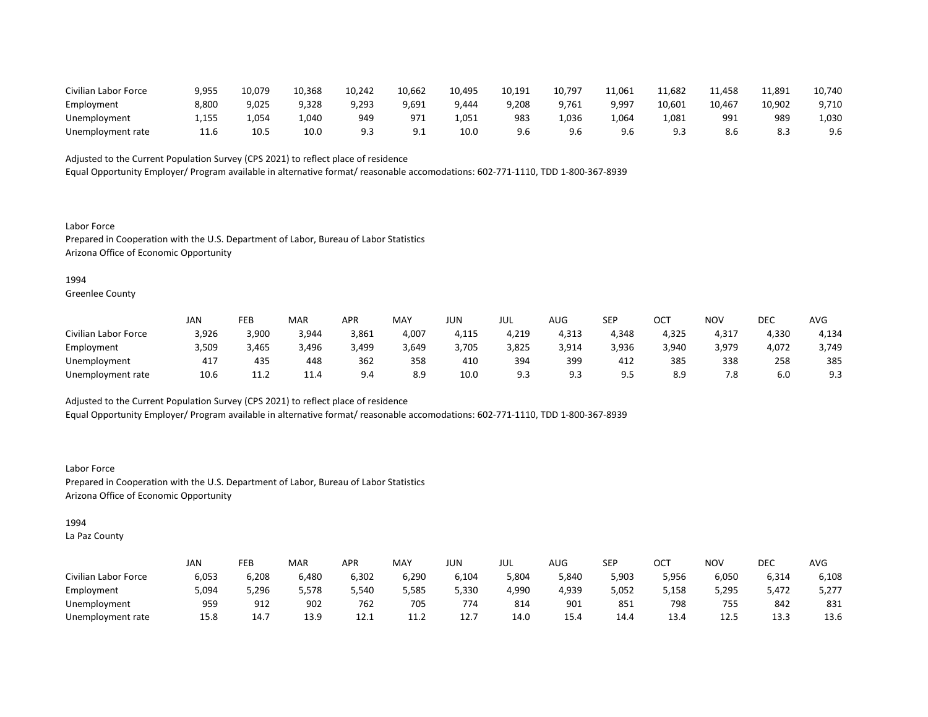| Civilian Labor Force | 9,955         | 10,079 | 10,368 | 10.242 | 10,662   | 10,495 | 10,191 | 10,797 | 11,061 | 11,682 | 11,458 | 11,891 | 10,740 |
|----------------------|---------------|--------|--------|--------|----------|--------|--------|--------|--------|--------|--------|--------|--------|
| Employment           | 8,800         | 9,025  | 9,328  | 9,293  | 9.691    | 9.444  | 9,208  | 9.761  | 9,997  | 10,601 | 10.467 | 10,902 | 9,710  |
| Unemployment         | -155<br>∸,⊥⊃. | 1,054  | 1,040  | 949    | 97'      | 1,051  | 983    | 036,١  | 064,ء  | L,081  | 991    | 989    | 1,030  |
| Unemployment rate    | 11.0          | 10.5   | 10.C   |        | <u>.</u> | 10.C   | 9.6    | 9.6    | 9.6    |        | 8.6    |        | 9.6    |

Equal Opportunity Employer/ Program available in alternative format/ reasonable accomodations: 602-771-1110, TDD 1-800-367-8939

Labor Force Prepared in Cooperation with the U.S. Department of Labor, Bureau of Labor Statistics Arizona Office of Economic Opportunity

1994

Greenlee County

|                      | JAN   | FEB   | MAR   | APR   | MAY   | JUN   | JUL   | AUG   | SEP   | ∩∩⊤<br>UC. | <b>NOV</b> | DEC   | <b>AVG</b> |
|----------------------|-------|-------|-------|-------|-------|-------|-------|-------|-------|------------|------------|-------|------------|
| Civilian Labor Force | 3,926 | 3,900 | 3,944 | 3,861 | 4,007 | 4,115 | 4,219 | 4,313 | 4,348 | 4,325      | 4,317      | 4,330 | 4,134      |
| Employment           | 3,509 | 3,465 | 3,496 | 3,499 | 3,649 | 3,705 | 3,825 | 3,914 | 3,936 | 3,940      | 3,979      | 4,072 | 3,749      |
| Unemployment         | 417   | 435   | 448   | 362   | 358   | 410   | 394   | 399   | 412   | 385        | 338        | 258   | 385        |
| Unemployment rate    | 10.6  | 11.2  | 11.4  | 9.4   | 8.9   | 10.0  | 9.3   |       | 9.5   | 8.9        | 7.8        | 6.0   | 9.3        |

Adjusted to the Current Population Survey (CPS 2021) to reflect place of residence

Equal Opportunity Employer/ Program available in alternative format/ reasonable accomodations: 602-771-1110, TDD 1-800-367-8939

Labor Force Prepared in Cooperation with the U.S. Department of Labor, Bureau of Labor Statistics Arizona Office of Economic Opportunity

1994

La Paz County

|                      | JAN   | FEB   | MAR   | APR   | <b>MAY</b>              | JUN   | JUL   | <b>AUG</b> | <b>SEP</b> | ОСТ   | <b>NOV</b> | <b>DEC</b> | <b>AVG</b> |
|----------------------|-------|-------|-------|-------|-------------------------|-------|-------|------------|------------|-------|------------|------------|------------|
| Civilian Labor Force | 6,053 | 6,208 | 6,480 | 6,302 | 6,290                   | 6,104 | 5,804 | 5,840      | 5,903      | 5,956 | 6,050      | 6,314      | 6,108      |
| Employment           | 5,094 | 5,296 | 5,578 | 5,540 | 5,585                   | 5,330 | 4,990 | 4,939      | 5,052      | 5,158 | 5,295      | 5.472      | 5,277      |
| Unemployment         | 959   | 912   | 902   | 762   | 705                     | 774   | 814   | 901        | 851        | 798   | 755        | 842        | 831        |
| Unemployment rate    | 15.8  | 14.7  | 13.9  | 12.1  | 11 <sup>1</sup><br>11.Z | 12.I  | 14.0  | 15.4       | 14.4       | 13.4  | 12.5       | 13.3       | 13.6       |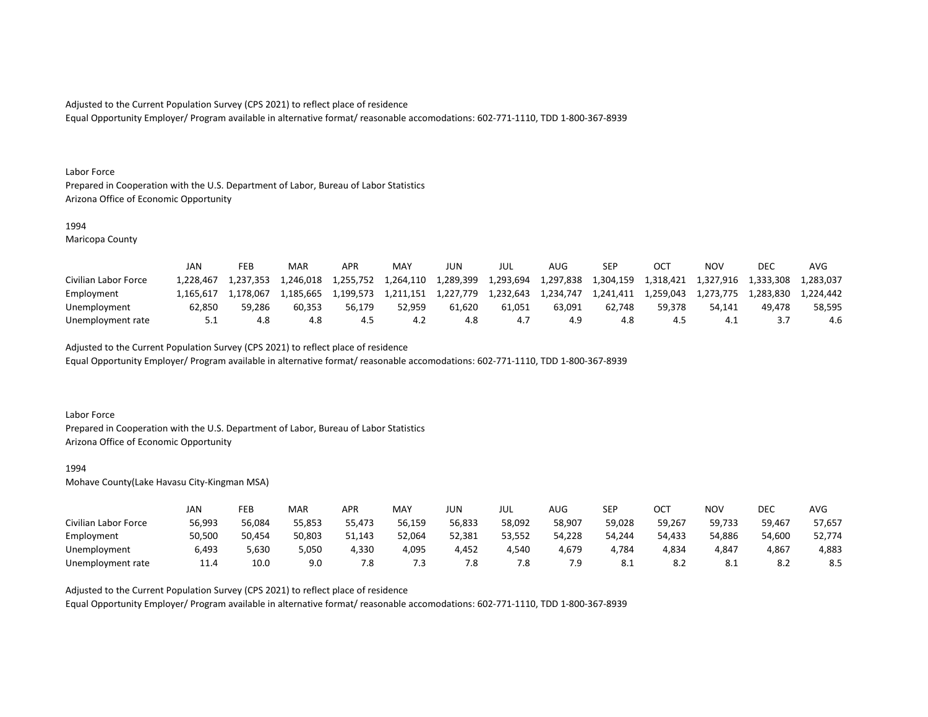Equal Opportunity Employer/ Program available in alternative format/ reasonable accomodations: 602-771-1110, TDD 1-800-367-8939

#### Labor Force

Prepared in Cooperation with the U.S. Department of Labor, Bureau of Labor Statistics Arizona Office of Economic Opportunity

#### 1994

Maricopa County

|                      | JAN      | FEB       | MAR       | <b>APR</b> | <b>MAY</b> | JUN       | JUL       | AUG       | <b>SEP</b> |           | ΝΟν       | DEC       | <b>AVC</b> |
|----------------------|----------|-----------|-----------|------------|------------|-----------|-----------|-----------|------------|-----------|-----------|-----------|------------|
| Civilian Labor Force | .228.467 | 1.237.353 | 1.246.018 | 1,255,752  | 1,264,110  | 1,289,399 | 1,293,694 | 1,297,838 | 1.304.159  | 1,318,421 | 1,327,916 | 1,333,308 | 1.283.037  |
| Employment           | .165.617 | 1.178.067 | 1.185.665 | 1,199,573  | 1.211.151  | 1.227.779 | 1,232,643 | 1.234.747 | 1,241,411  | 1.259.043 | 1.273.775 | 1.283.830 | 1.224.442  |
| Unemployment         | 62.850   | 59.286    | 60.353    | 56.179     | 52.959     | 61.620    | 61.051    | 63.091    | 62.748     | 59.378    | 54.141    | 49.478    | 58.595     |
| Unemployment rate    | 5.1      | 4.8       | 4.8       | 4.5        |            | 4.8       | 4.7       | 4.9       | 4.8        | 4.3       | 4.1       |           | 4.6        |

## Adjusted to the Current Population Survey (CPS 2021) to reflect place of residence

Equal Opportunity Employer/ Program available in alternative format/ reasonable accomodations: 602-771-1110, TDD 1-800-367-8939

### Labor Force

Prepared in Cooperation with the U.S. Department of Labor, Bureau of Labor Statistics Arizona Office of Economic Opportunity

#### 1994

Mohave County(Lake Havasu City-Kingman MSA)

|                      | JAN    | FEB    | MAR    | <b>APR</b> | MAY    | JUN    | JUL    | AUG    | <b>SEP</b> | ост    | NOV    | DEC        | <b>AVG</b> |
|----------------------|--------|--------|--------|------------|--------|--------|--------|--------|------------|--------|--------|------------|------------|
| Civilian Labor Force | 56,993 | 56,084 | 55,853 | 55,473     | 56,159 | 56,833 | 58,092 | 58,907 | 59,028     | 59,267 | 59,733 | 59,467     | 57,657     |
| Employment           | 50,500 | 50,454 | 50,803 | 51,143     | 52,064 | 52,381 | 53,552 | 54,228 | 54,244     | 54,433 | 54,886 | 54,600     | 52,774     |
| Unemployment         | 6,493  | 5,630  | 5,050  | 4,330      | 4,095  | 4,452  | 4,540  | 4,679  | 4,784      | 4,834  | 4,847  | 4,867      | 4,883      |
| Unemployment rate    | 11.4   | 10.0   | 9.0    | 7.8        | 7.3    | 7.8    | 7.8    | 7.9    | 8.1        | ۵.Z    | O.L    | o n<br>o.z | 8.5        |

## Adjusted to the Current Population Survey (CPS 2021) to reflect place of residence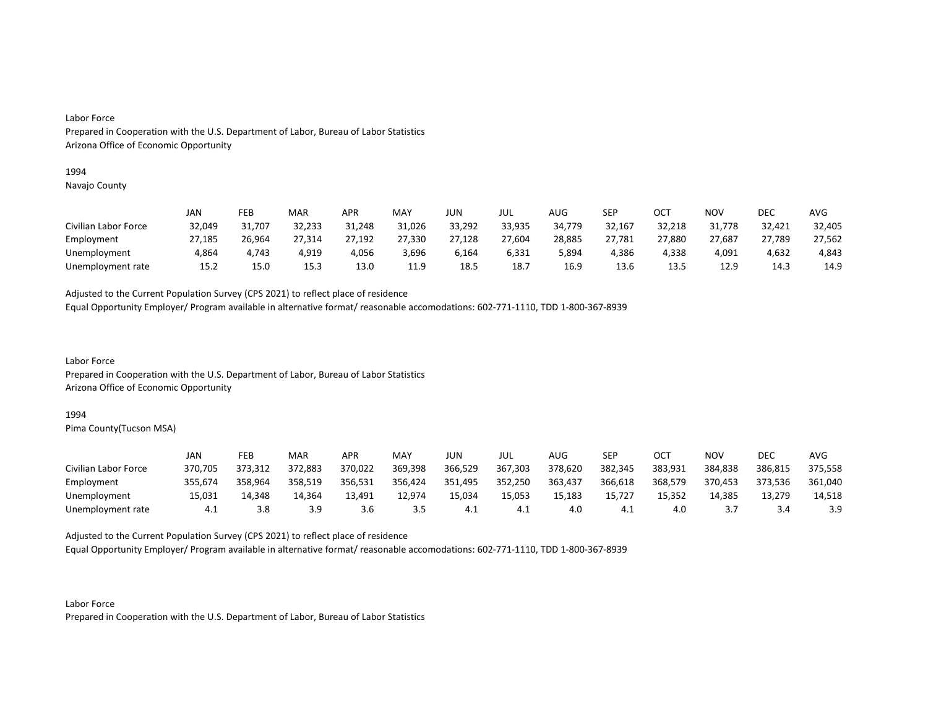#### 1994

Navajo County

|                      | JAN    | FEB    | MAR    | APR    | MAY    | JUN    | JUL    | AUG    | SEP    | OCT    | NOV    | DEC    | AVG    |
|----------------------|--------|--------|--------|--------|--------|--------|--------|--------|--------|--------|--------|--------|--------|
| Civilian Labor Force | 32,049 | 31,707 | 32,233 | 31,248 | 31,026 | 33,292 | 33,935 | 34,779 | 32,167 | 32,218 | 31,778 | 32,421 | 32,405 |
| Employment           | 27,185 | 26,964 | 27,314 | 27,192 | 27,330 | 27,128 | 27,604 | 28,885 | 27,781 | 27,880 | 27,687 | 27,789 | 27,562 |
| Unemployment         | 4,864  | 4.743  | 4.919  | 4,056  | 3,696  | 6,164  | 6,331  | 5,894  | 4,386  | 4.338  | 4,091  | 4.632  | 4,843  |
| Unemployment rate    | 15.2   | 15.0   | 15.3   | 13.0   | 11.9   | 18.5   | 18.7   | 16.9   | 13.6   | 13.5   | 12.9   | 14.3   | 14.9   |

Adjusted to the Current Population Survey (CPS 2021) to reflect place of residence

Equal Opportunity Employer/ Program available in alternative format/ reasonable accomodations: 602-771-1110, TDD 1-800-367-8939

Labor Force Prepared in Cooperation with the U.S. Department of Labor, Bureau of Labor Statistics Arizona Office of Economic Opportunity

### 1994

Pima County(Tucson MSA)

|                      | JAN     | FEB     | MAR     | APR     | MAY     | JUN     | JUL     | AUG     | <b>SEP</b> | ост     | NOV     | DEC     | AVG     |
|----------------------|---------|---------|---------|---------|---------|---------|---------|---------|------------|---------|---------|---------|---------|
| Civilian Labor Force | 370.705 | 373,312 | 372,883 | 370,022 | 369,398 | 366,529 | 367,303 | 378,620 | 382,345    | 383,931 | 384,838 | 386,815 | 375,558 |
| Employment           | 355.674 | 358.964 | 358,519 | 356.531 | 356,424 | 351,495 | 352,250 | 363.437 | 366,618    | 368,579 | 370.453 | 373.536 | 361,040 |
| Unemployment         | 15,031  | 14,348  | 14,364  | 13,491  | 12,974  | 15,034  | 15,053  | 15,183  | 15,727     | 15,352  | 14,385  | 13,279  | 14,518  |
| Unemployment rate    | 4.⊥     | 3.8     | 3.9     | 3.6     | 3.5     |         | - 4.⊥   | 4.0     | 4.1        | 4.0     |         |         | 3.9     |

Adjusted to the Current Population Survey (CPS 2021) to reflect place of residence

Equal Opportunity Employer/ Program available in alternative format/ reasonable accomodations: 602-771-1110, TDD 1-800-367-8939

Labor Force Prepared in Cooperation with the U.S. Department of Labor, Bureau of Labor Statistics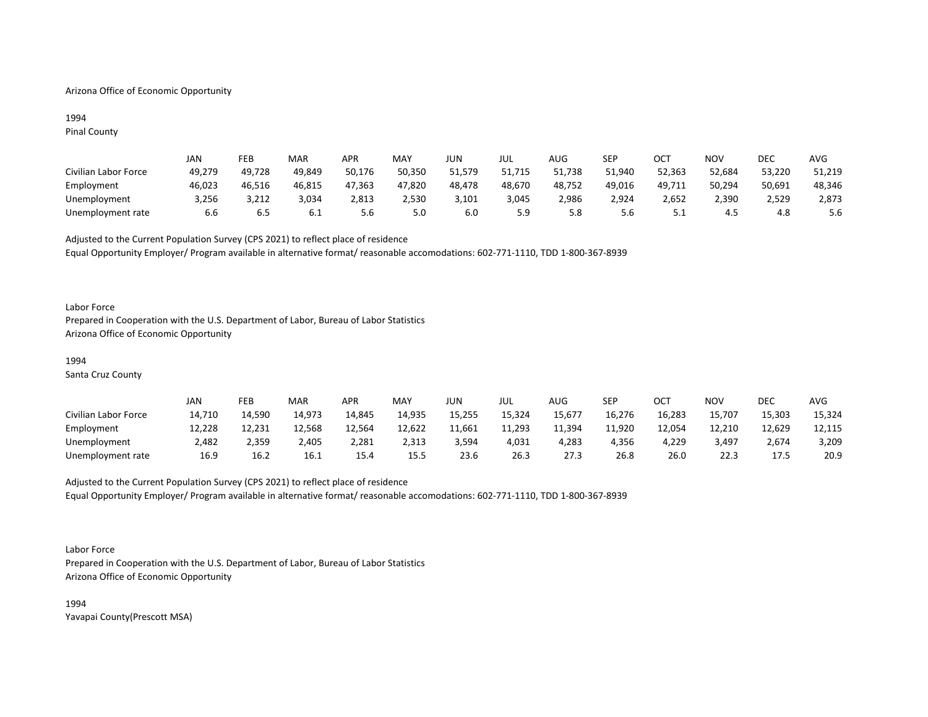## Arizona Office of Economic Opportunity

## 1994 Pinal County

|                      | JAN    | FEB    | MAR    | APR    | <b>MAY</b> | JUN    | JUL    | AUG    | SEP    | ОСТ      | <b>NOV</b> | DEC    | <b>AVG</b> |
|----------------------|--------|--------|--------|--------|------------|--------|--------|--------|--------|----------|------------|--------|------------|
| Civilian Labor Force | 49,279 | 49,728 | 49,849 | 50,176 | 50,350     | 51,579 | 51,715 | 51,738 | 51.940 | 52,363   | 52,684     | 53,220 | 51,219     |
| Employment           | 46,023 | 46.516 | 46,815 | 47,363 | 47,820     | 48,478 | 48,670 | 48,752 | 49,016 | 49,711   | 50,294     | 50,691 | 48,346     |
| Unemployment         | 3,256  | 3,212  | 3,034  | 2,813  | 2,530      | 3,101  | 3,045  | 2,986  | 2,924  | 2,652    | 2,390      | 2,529  | 2,873      |
| Unemployment rate    | 6.6    | b.5    | 0.⊥    | 5.6    | 5.0        | 6.C    | 5.9    | 5.8    | 5.6    | <u>.</u> | 4.5        | 4.8    | 5.6        |

Adjusted to the Current Population Survey (CPS 2021) to reflect place of residence Equal Opportunity Employer/ Program available in alternative format/ reasonable accomodations: 602-771-1110, TDD 1-800-367-8939

### Labor Force

Prepared in Cooperation with the U.S. Department of Labor, Bureau of Labor Statistics Arizona Office of Economic Opportunity

## 1994

Santa Cruz County

|                      | JAN    | FEB    | MAR    | APR    | <b>MAY</b> | JUN    | JUL    | AUG    | SEP    | ост    | <b>NOV</b> | <b>DEC</b> | <b>AVG</b> |
|----------------------|--------|--------|--------|--------|------------|--------|--------|--------|--------|--------|------------|------------|------------|
| Civilian Labor Force | 14,710 | 14,590 | 14,973 | 14,845 | 14,935     | 15,255 | 15,324 | 15,677 | 16,276 | 16,283 | 15,707     | 15,303     | 15,324     |
| Employment           | 12,228 | 12,231 | 12,568 | 12.564 | 12,622     | 11,661 | 11,293 | 11,394 | 11,920 | 12,054 | 12,210     | 12,629     | 12,115     |
| Unemployment         | 2,482  | 2,359  | 2,405  | 2,281  | 2,313      | 3,594  | 4,031  | 4,283  | 4,356  | 4,229  | 3,497      | 2,674      | 3,209      |
| Unemployment rate    | 16.9   | 16.2   | 16.1   | 15.4   | 15.5       | 23.6   | 26.3   | 27.3   | 26.8   | 26.0   | 22.3       | 17.5       | 20.9       |

# Adjusted to the Current Population Survey (CPS 2021) to reflect place of residence Equal Opportunity Employer/ Program available in alternative format/ reasonable accomodations: 602-771-1110, TDD 1-800-367-8939

#### Labor Force

Prepared in Cooperation with the U.S. Department of Labor, Bureau of Labor Statistics Arizona Office of Economic Opportunity

1994 Yavapai County(Prescott MSA)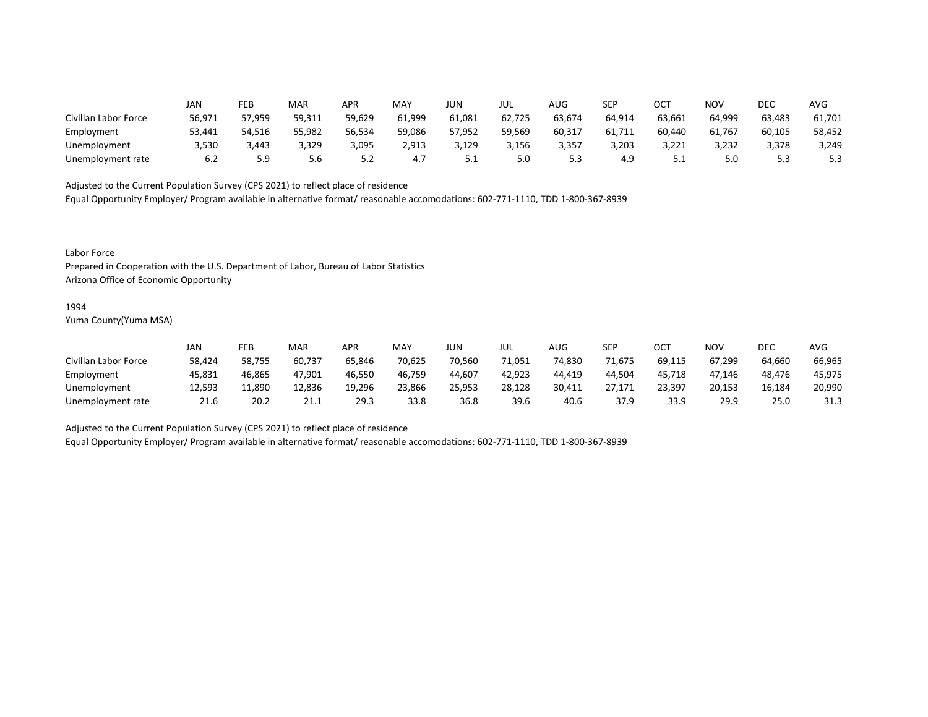|                      | JAN    | FEB    | MAR    | APR    | MAY    | <b>JUN</b> | JUL    | AUG    | SEP    | ост    | <b>NOV</b> | DEC    | <b>AVG</b> |
|----------------------|--------|--------|--------|--------|--------|------------|--------|--------|--------|--------|------------|--------|------------|
| Civilian Labor Force | 56,971 | 57,959 | 59,311 | 59,629 | 61,999 | 61,081     | 62,725 | 63,674 | 64,914 | 63,661 | 64,999     | 63,483 | 61,701     |
| Employment           | 53,441 | 54,516 | 55,982 | 56,534 | 59,086 | 57,952     | 59,569 | 60,317 | 61,711 | 60,440 | 61,767     | 60,105 | 58,452     |
| Unemployment         | 3,530  | 3,443  | 3,329  | 3,095  | 2,913  | 3,129      | 3,156  | 3,357  | 3,203  | 3,221  | 3,232      | 3,378  | 3,249      |
| Unemployment rate    | 6.2    | 5.9    | 5.6    | 5.2    | 4.7    | ـ . ـ      | 5.0    | ر.ر    | 4.9    |        | 5.0        | 5.3    | 5.3        |

Equal Opportunity Employer/ Program available in alternative format/ reasonable accomodations: 602-771-1110, TDD 1-800-367-8939

Labor Force

Prepared in Cooperation with the U.S. Department of Labor, Bureau of Labor Statistics Arizona Office of Economic Opportunity

#### 1994

Yuma County(Yuma MSA)

|                      | JAN    | FEB    | MAR    | APR    | MAY    | JUN    | JUL    | AUG    | <b>SEP</b> | ∩∩⊤<br>UC. | NOV    | DEC    | AVG    |
|----------------------|--------|--------|--------|--------|--------|--------|--------|--------|------------|------------|--------|--------|--------|
| Civilian Labor Force | 58,424 | 58,755 | 60,737 | 65,846 | 70,625 | 70,560 | 71,051 | 74,830 | 71,675     | 69,115     | 67,299 | 64,660 | 66,965 |
| Employment           | 45,831 | 46,865 | 47,901 | 46,550 | 46,759 | 44,607 | 42,923 | 44,419 | 44.504     | 45,718     | 47.146 | 48,476 | 45,975 |
| Unemployment         | 12,593 | 11,890 | 12,836 | 19,296 | 23,866 | 25,953 | 28,128 | 30,411 | 27,171     | 23,397     | 20,153 | 16.184 | 20,990 |
| Unemployment rate    | 21.6   | 20.2   | 21.1   | 29.3   | 33.8   | 36.8   | 39.6   | 40.6   | 37.9       | 33.9       | 29.9   | 25.0   | 31.3   |

Adjusted to the Current Population Survey (CPS 2021) to reflect place of residence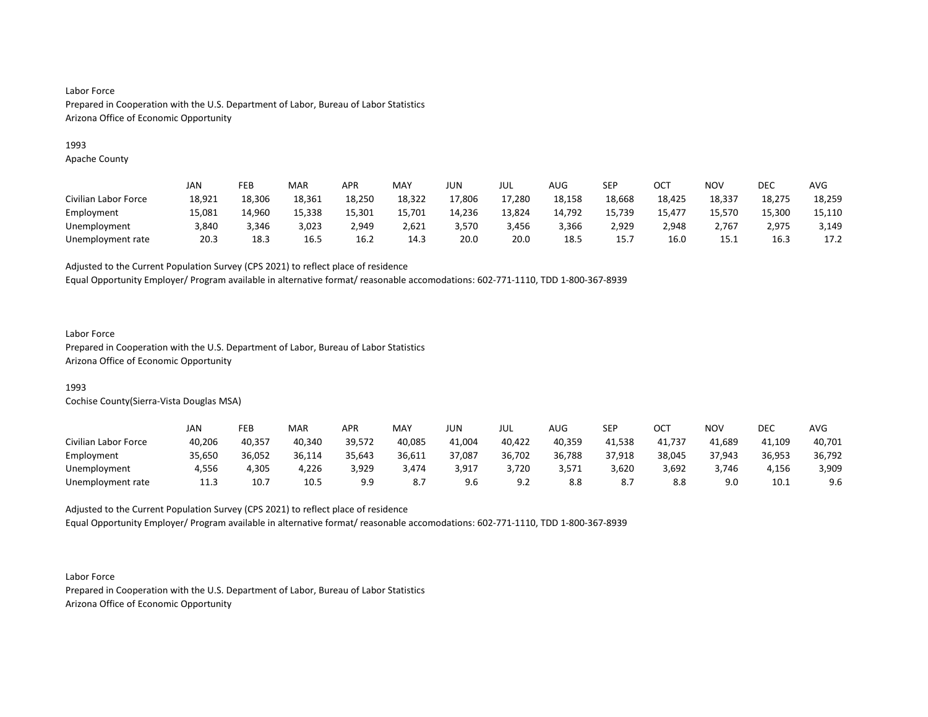## 1993

Apache County

|                      | JAN    | FEB    | <b>MAR</b> | APR    | MAY    | JUN    | JUL    | AUG    | SEP    | ОСТ    | <b>NOV</b> | DEC    | AVG    |
|----------------------|--------|--------|------------|--------|--------|--------|--------|--------|--------|--------|------------|--------|--------|
| Civilian Labor Force | 18,921 | 18,306 | 18,361     | 18,250 | 18,322 | 17,806 | 17,280 | 18,158 | 18,668 | 18,425 | 18,337     | 18,275 | 18,259 |
| Employment           | 15,081 | 14,960 | 15,338     | 15,301 | 15,701 | 14,236 | 13,824 | 14,792 | 15,739 | 15,477 | 15,570     | 15,300 | 15,110 |
| Unemployment         | 3.840  | 3.346  | 3,023      | 2.949  | 2.621  | 3.570  | 3,456  | 3,366  | 2,929  | 2,948  | 767ء       | 2,975  | 3,149  |
| Unemployment rate    | 20.3   | 18.3   | 16.5       | 16.2   | 14.3   | 20.0   | 20.0   | 18.5   | 15.7   | 16.0   | 15.1       | 16.3   | 17.2   |

Adjusted to the Current Population Survey (CPS 2021) to reflect place of residence

Equal Opportunity Employer/ Program available in alternative format/ reasonable accomodations: 602-771-1110, TDD 1-800-367-8939

## Labor Force

Prepared in Cooperation with the U.S. Department of Labor, Bureau of Labor Statistics Arizona Office of Economic Opportunity

# 1993

Cochise County(Sierra-Vista Douglas MSA)

|                      | JAN    | FEB    | <b>MAR</b> | APR    | MAY    | JUN    | JUL        | AUG    | SEP    | ост    | NOV    | DEC    | AVG    |
|----------------------|--------|--------|------------|--------|--------|--------|------------|--------|--------|--------|--------|--------|--------|
| Civilian Labor Force | 40,206 | 40,357 | 40,340     | 39,572 | 40,085 | 41,004 | 40,422     | 40,359 | 41.538 | 41,737 | 41,689 | 41,109 | 40,701 |
| Employment           | 35,650 | 36,052 | 36,114     | 35,643 | 36,611 | 37,087 | 36,702     | 36,788 | 37,918 | 38,045 | 37,943 | 36,953 | 36,792 |
| Unemployment         | 4,556  | 4,305  | 4,226      | 3,929  | 3,474  | 3,917  | 3,720      | 3,571  | 3,620  | 3,692  | 3,746  | 4,156  | 3,909  |
| Unemployment rate    | 11.3   | 10.7   | 10.5       | 9.9    | 8.7    | 9.6    | ດ າ<br>J.L |        |        | 8.8    | 9.0    | 10.1   | 9.6    |

Adjusted to the Current Population Survey (CPS 2021) to reflect place of residence Equal Opportunity Employer/ Program available in alternative format/ reasonable accomodations: 602-771-1110, TDD 1-800-367-8939

Labor Force Prepared in Cooperation with the U.S. Department of Labor, Bureau of Labor Statistics Arizona Office of Economic Opportunity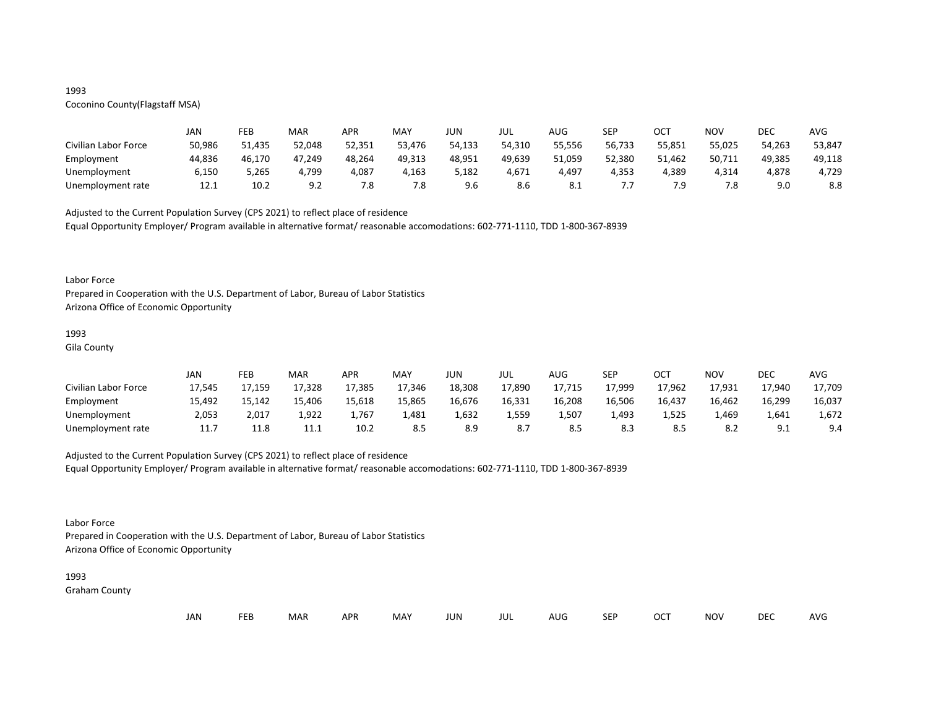## 1993

# Coconino County(Flagstaff MSA)

|                      | JAN    | FEB    | MAR    | APR    | MAY    | JUN    | JUL    | AUG    | <b>SEP</b> | ост    | NOV    | DEC    | AVG    |
|----------------------|--------|--------|--------|--------|--------|--------|--------|--------|------------|--------|--------|--------|--------|
| Civilian Labor Force | 50,986 | 51,435 | 52,048 | 52,351 | 53,476 | 54,133 | 54,310 | 55,556 | 56,733     | 55,851 | 55,025 | 54,263 | 53,847 |
| Employment           | 44,836 | 46,170 | 47,249 | 48,264 | 49,313 | 48,951 | 49,639 | 51,059 | 52,380     | 51,462 | 50,711 | 49,385 | 49,118 |
| Unemployment         | 6,150  | 5,265  | 4,799  | 4,087  | 4,163  | 5,182  | 4,671  | 4,497  | 4,353      | 4,389  | 4,314  | 4,878  | 4,729  |
| Unemployment rate    | 12.1   | 10.2   | 9.2    | 7.8    | 7.8    | 9.6    | 8.6    | 8.1    | .          | 7 Q    | 7.8    | 9.0    | 8.8    |

Adjusted to the Current Population Survey (CPS 2021) to reflect place of residence

Equal Opportunity Employer/ Program available in alternative format/ reasonable accomodations: 602-771-1110, TDD 1-800-367-8939

#### Labor Force

Prepared in Cooperation with the U.S. Department of Labor, Bureau of Labor Statistics Arizona Office of Economic Opportunity

# 1993

Gila County

|                      | JAN    | FEB    | MAR     | APR    | MAY    | JUN    | JUL    | AUG    | <b>SEP</b> | OCT    | <b>NOV</b> | DEC         | <b>AVG</b> |
|----------------------|--------|--------|---------|--------|--------|--------|--------|--------|------------|--------|------------|-------------|------------|
| Civilian Labor Force | 17,545 | 17,159 | 17,328  | 17,385 | 17,346 | 18,308 | 17,890 | 17,715 | 17,999     | 17,962 | 17,931     | 17,940      | 17,709     |
| Employment           | 15,492 | 15,142 | 15,406  | 15,618 | 15,865 | 16,676 | 16,331 | 16,208 | 16,506     | 16,437 | 16,462     | 16,299      | 16,037     |
| Unemployment         | 2,053  | 2,017  | 1,922   | 1,767  | 1,481  | 1,632  | 1,559  | 1,507  | 1,493      | 1,525  | 1,469      | 1,641       | 1,672      |
| Unemployment rate    | 11.7   | 11.8   | <b></b> | 10.2   | 8.5    | 8.9    | 8.7    |        | 8.3        |        | 8.2        | q.<br>ـ . ـ | 9.4        |

## Adjusted to the Current Population Survey (CPS 2021) to reflect place of residence

Equal Opportunity Employer/ Program available in alternative format/ reasonable accomodations: 602-771-1110, TDD 1-800-367-8939

## Labor Force

Prepared in Cooperation with the U.S. Department of Labor, Bureau of Labor Statistics Arizona Office of Economic Opportunity

#### 1993

Graham County

| JAN<br><b>FEB</b><br><b>OCT</b><br>MAR<br>MAY<br><b>APR</b><br><b>NOV</b><br>JUN<br><b>SEP</b><br>AUG<br>jul |  |  |  |  |  |  |  |  |  |  |  | DEC | <b>AVG</b> |
|--------------------------------------------------------------------------------------------------------------|--|--|--|--|--|--|--|--|--|--|--|-----|------------|
|--------------------------------------------------------------------------------------------------------------|--|--|--|--|--|--|--|--|--|--|--|-----|------------|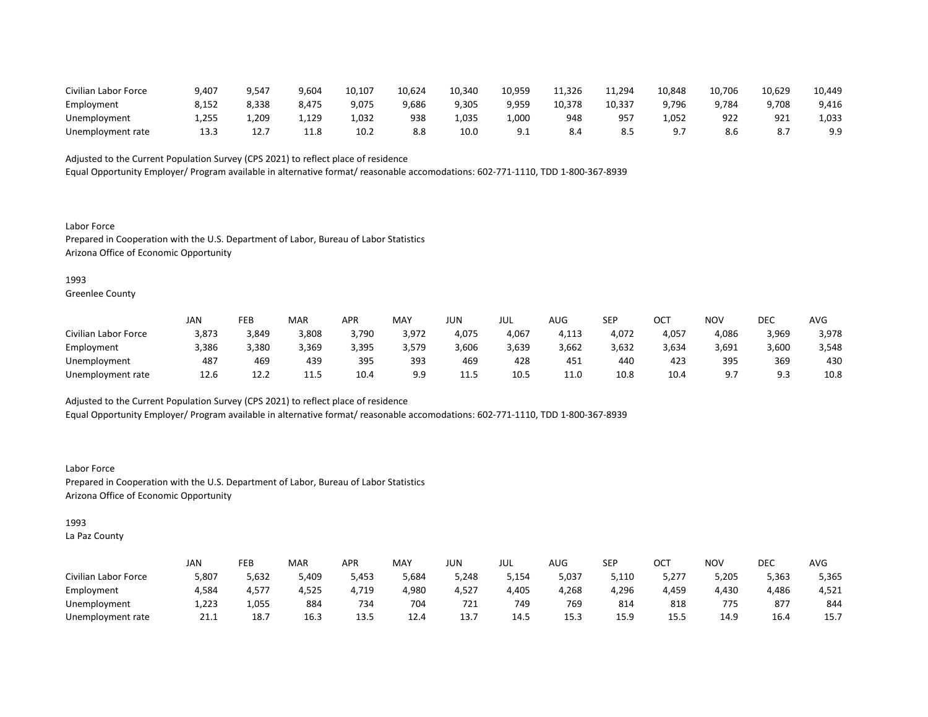| Civilian Labor Force | 9,407 | 9,547 | 9,604 | 10,107 | 10.624 | 10.340 | 10.959          | 11,326 | 1,294        | 10,848 | 10,706 | 10.629 | 10,449 |
|----------------------|-------|-------|-------|--------|--------|--------|-----------------|--------|--------------|--------|--------|--------|--------|
| Employment           | 8.152 | 8,338 | 8,475 | 9,075  | 9,686  | 9,305  | 9,959           | 10,378 | 10,337       | 9.796  | 9,784  | 9,708  | 9,416  |
| Unemployment         | 255,  | 1,209 | 1,129 | 1.032  | 938    | .035,  | 1,000           | 948    | $95^{\circ}$ | 1,052  | 922    | 921    | 1,033  |
| Unemployment rate    | 13.3  | 14.,  | 11.8  | 10.2   | 8.8    | 10.0   | Q 1<br><u>.</u> | 8.4    | 8.L          |        | 8.6    |        | 9.9    |

Equal Opportunity Employer/ Program available in alternative format/ reasonable accomodations: 602-771-1110, TDD 1-800-367-8939

Labor Force Prepared in Cooperation with the U.S. Department of Labor, Bureau of Labor Statistics Arizona Office of Economic Opportunity

### 1993

Greenlee County

|                      | JAN   | FEB   | <b>MAR</b> | APR   | MAY   | JUN   | JUL   | AUG   | <b>SEP</b> | ост   | NOV               | DEC     | AVG   |
|----------------------|-------|-------|------------|-------|-------|-------|-------|-------|------------|-------|-------------------|---------|-------|
| Civilian Labor Force | 3,873 | 3,849 | 3,808      | 3,790 | 3,972 | 4,075 | 4,067 | 4,113 | 4.072      | 4,057 | 4,086             | 3,969   | 3,978 |
| Employment           | 3,386 | 3,380 | 3,369      | 3,395 | 3,579 | 606,  | 3,639 | 3,662 | 3,632      | 3,634 | 3,691             | 3,600   | 3,548 |
| Unemployment         | 487   | 469   | 439        | 395   | 393   | 469   | 428   | 451   | 440        | 423   | 395               | 369     | 430   |
| Unemployment rate    | 12.6  | 12.2  | ---        | 10.4  | 9.9   | .     | 10.5  | 11.0  | 10.8       | 10.4  | - a -<br><u>.</u> | a s<br> | 10.8  |

Adjusted to the Current Population Survey (CPS 2021) to reflect place of residence

Equal Opportunity Employer/ Program available in alternative format/ reasonable accomodations: 602-771-1110, TDD 1-800-367-8939

Labor Force Prepared in Cooperation with the U.S. Department of Labor, Bureau of Labor Statistics Arizona Office of Economic Opportunity

## 1993

La Paz County

|                      | JAN   | FEB   | MAR   | APR   | MAY   | JUN   | JUL   | AUG   | SEP   | ОСТ   | <b>NOV</b> | DEC   | AVG   |
|----------------------|-------|-------|-------|-------|-------|-------|-------|-------|-------|-------|------------|-------|-------|
| Civilian Labor Force | 5,807 | 5,632 | 5,409 | 5,453 | 5,684 | 5,248 | 154,د | 5,037 | 5,110 | 5,277 | 5,205      | 5,363 | 5,365 |
| Employment           | 4,584 | 4,577 | 4,525 | 4,719 | 4,980 | 4,527 | 4,405 | 4,268 | 4,296 | 4,459 | 4,430      | 4,486 | 4,521 |
| Unemployment         | 1,223 | 1,055 | 884   | 734   | 704   | 721   | 749   | 769   | 814   | 818   | 775        | 877   | 844   |
| Unemployment rate    | 21.1  | 18.7  | 16.3  | 13.5  | 12.4  | 13.7  | 14.5  | 15.3  | 15.9  | 15.5  | 14.9       | 16.4  | 15.7  |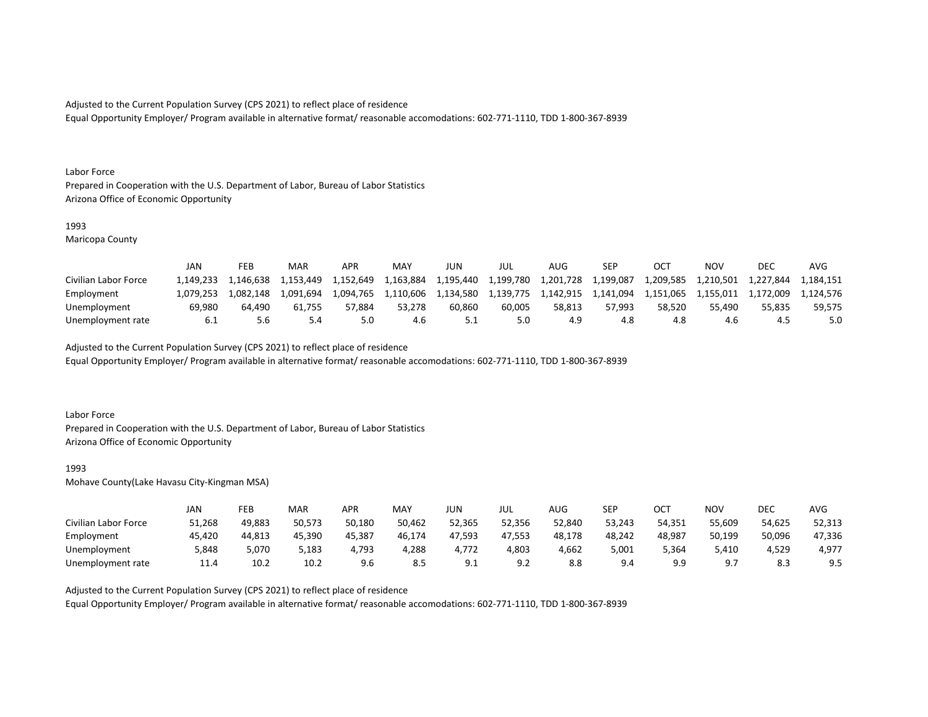Equal Opportunity Employer/ Program available in alternative format/ reasonable accomodations: 602-771-1110, TDD 1-800-367-8939

#### Labor Force

Prepared in Cooperation with the U.S. Department of Labor, Bureau of Labor Statistics Arizona Office of Economic Opportunity

## 1993

Maricopa County

|                      | JAN       | FEB       | MAR       | <b>APR</b> | <b>MAY</b> | JUN       | JUL       | AUG.      | SEP       |           | NOV       | DEC       | AVG       |
|----------------------|-----------|-----------|-----------|------------|------------|-----------|-----------|-----------|-----------|-----------|-----------|-----------|-----------|
| Civilian Labor Force | 1.149.233 | 1.146.638 | 1.153.449 | 1,152,649  | 1,163,884  | 1,195,440 | 1,199,780 | 1,201,728 | 1,199,087 | 1,209,585 | 1,210,501 | 1,227,844 | 1,184,151 |
| Employment           | 1.079.253 | 1.082.148 | 1.091.694 | 1.094.765  | 1.110.606  | 1,134,580 | 1.139.775 | 1.142.915 | 1,141,094 | 1.151.065 | 1.155.011 | 1.172.009 | l.124.576 |
| Unemployment         | 69.980    | 64.490    | 61.755    | 57.884     | 53.278     | 60.860    | 60.005    | 58.813    | 57.993    | 58.520    | 55.490    | 55.835    | 59.575    |
| Unemployment rate    | -6.1      | 5.6       | 5.4       |            | 4.6        |           | 5.0       | 4.9       | 4.8       | 4.8       | 4.6       |           | 5.0       |

Adjusted to the Current Population Survey (CPS 2021) to reflect place of residence

Equal Opportunity Employer/ Program available in alternative format/ reasonable accomodations: 602-771-1110, TDD 1-800-367-8939

### Labor Force

Prepared in Cooperation with the U.S. Department of Labor, Bureau of Labor Statistics Arizona Office of Economic Opportunity

#### 1993

Mohave County(Lake Havasu City-Kingman MSA)

|                      | JAN    | FEB    | MAR    | APR    | <b>MAY</b> | JUN              | JUL    | AUG    | <b>SEP</b> | ост    | NOV    | DEC      | AVG    |
|----------------------|--------|--------|--------|--------|------------|------------------|--------|--------|------------|--------|--------|----------|--------|
| Civilian Labor Force | 51,268 | 49,883 | 50,573 | 50,180 | 50,462     | 52,365           | 52,356 | 52,840 | 53,243     | 54,351 | 55,609 | 54,625   | 52,313 |
| Employment           | 45,420 | 44,813 | 45,390 | 45,387 | 46,174     | 47,593           | 47,553 | 48,178 | 48,242     | 48,987 | 50,199 | 50,096   | 47,336 |
| Unemployment         | 5,848  | 5,070  | 5,183  | 1,793  | 4,288      | 4,772            | 4,803  | 4,662  | 5,001      | 5,364  | 5,410  | 4,529    | 4,977  |
| Unemployment rate    | 11.4   | 10.2   | 10.2   | 9.6    | 8.5        | a.<br><u>J.L</u> | 9.2    | 8.8    | 9.4        | g g    | 9 7    | െ<br>د.ه | 9.5    |

### Adjusted to the Current Population Survey (CPS 2021) to reflect place of residence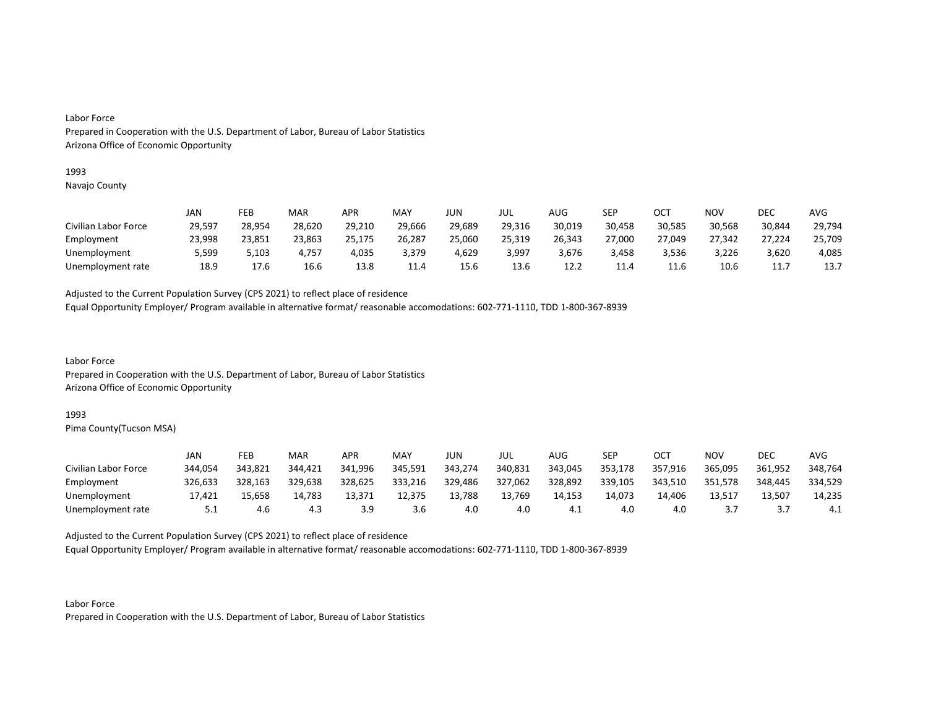#### 1993

Navajo County

|                      | JAN    | FEB    | MAR    | APR    | MAY    | JUN    | JUL    | AUG    | SEP    | OCT    | NOV    | DEC    | AVG    |
|----------------------|--------|--------|--------|--------|--------|--------|--------|--------|--------|--------|--------|--------|--------|
| Civilian Labor Force | 29,597 | 28,954 | 28,620 | 29,210 | 29,666 | 29,689 | 29,316 | 30,019 | 30,458 | 30,585 | 30,568 | 30,844 | 29,794 |
| Employment           | 23,998 | 23,851 | 23,863 | 25,175 | 26,287 | 25,060 | 25,319 | 26,343 | 27,000 | 27,049 | 27,342 | 27,224 | 25,709 |
| Unemployment         | 5,599  | 5.103  | 4.757  | 4,035  | 3,379  | 4,629  | 3,997  | 3,676  | 3,458  | 3.536  | 3,226  | 3,620  | 4,085  |
| Unemployment rate    | 18.9   | 17.6   | 16.6   | 13.8   | 11.4   | 15.6   | 13.6   | 12.2   | 11.4   | 11.6   | 10.6   | 11.    | 13.7   |

Adjusted to the Current Population Survey (CPS 2021) to reflect place of residence

Equal Opportunity Employer/ Program available in alternative format/ reasonable accomodations: 602-771-1110, TDD 1-800-367-8939

Labor Force Prepared in Cooperation with the U.S. Department of Labor, Bureau of Labor Statistics Arizona Office of Economic Opportunity

#### 1993

Pima County(Tucson MSA)

|                      | JAN     | FEB     | MAR     | APR     | MAY     | JUN     | JUL     | AUG     | <b>SEP</b> | ост     | NOV     | DEC     | AVG     |
|----------------------|---------|---------|---------|---------|---------|---------|---------|---------|------------|---------|---------|---------|---------|
| Civilian Labor Force | 344.054 | 343,821 | 344.421 | 341,996 | 345,591 | 343,274 | 340,831 | 343,045 | 353,178    | 357,916 | 365,095 | 361,952 | 348,764 |
| Employment           | 326.633 | 328.163 | 329.638 | 328.625 | 333,216 | 329,486 | 327,062 | 328,892 | 339,105    | 343.510 | 351,578 | 348.445 | 334,529 |
| Unemployment         | 17,421  | 15,658  | 14,783  | 13,371  | 12,375  | 13,788  | 13,769  | 14,153  | 14,073     | 14,406  | 13,517  | 13,507  | 14,235  |
| Unemployment rate    | 5.1     | 4.6     | 4.3     | 3.9     | 3.6     | 4.0     | 4.0     | - 4.⊥   | 4.0        |         |         |         | ב.4     |

Adjusted to the Current Population Survey (CPS 2021) to reflect place of residence

Equal Opportunity Employer/ Program available in alternative format/ reasonable accomodations: 602-771-1110, TDD 1-800-367-8939

Labor Force Prepared in Cooperation with the U.S. Department of Labor, Bureau of Labor Statistics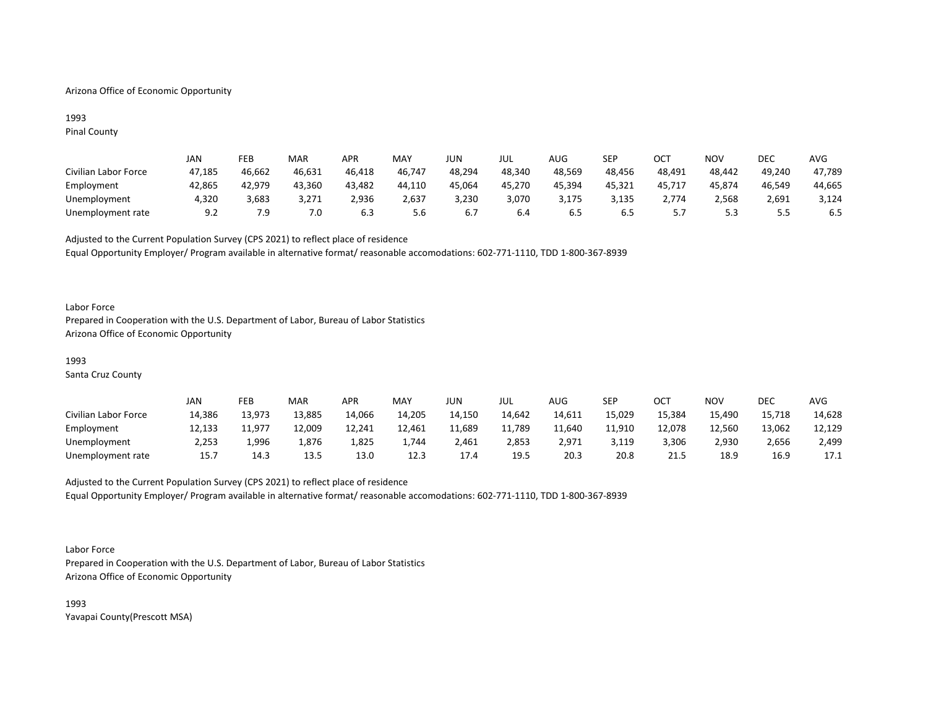## Arizona Office of Economic Opportunity

## 1993 Pinal County

|                      | JAN    | FEB    | MAR    | <b>APR</b> | MAY    | JUN    | JUL    | AUG    | SEP    | OCT    | NOV    | DEC     | AVG    |
|----------------------|--------|--------|--------|------------|--------|--------|--------|--------|--------|--------|--------|---------|--------|
| Civilian Labor Force | 47,185 | 46,662 | 46,631 | 46,418     | 46,747 | 48,294 | 48,340 | 48,569 | 48,456 | 48,491 | 48,442 | 49,240  | 47,789 |
| Employment           | 42,865 | 42,979 | 43,360 | 43,482     | 44,110 | 45,064 | 45,270 | 45,394 | 45,321 | 45,717 | 45,874 | 46,549  | 44,665 |
| Unemployment         | 4,320  | 3,683  | 3,271  | 2,936      | 2,637  | 3,230  | 3,070  | 3,175  | 3,135  | 2,774  | 2,568  | 2,691   | 3,124  |
| Unemployment rate    | 9.2    | 7.9    | 7.0    | 6.3        | 5.6    |        | 6.4    | 6.5    | 6.5    |        |        | <u></u> | 6.5    |

Adjusted to the Current Population Survey (CPS 2021) to reflect place of residence Equal Opportunity Employer/ Program available in alternative format/ reasonable accomodations: 602-771-1110, TDD 1-800-367-8939

### Labor Force

Prepared in Cooperation with the U.S. Department of Labor, Bureau of Labor Statistics Arizona Office of Economic Opportunity

## 1993

Santa Cruz County

|                      | JAN    | FEB    | MAR    | APR    | MAY    | JUN    | JUL    | AUG    | SEP    | ост    | <b>NOV</b> | <b>DEC</b> | <b>AVG</b> |
|----------------------|--------|--------|--------|--------|--------|--------|--------|--------|--------|--------|------------|------------|------------|
| Civilian Labor Force | 14,386 | 13,973 | 13,885 | 14,066 | 14,205 | 14,150 | 14.642 | 14,611 | 15,029 | 15,384 | 15,490     | 15,718     | 14,628     |
| Employment           | 12,133 | 11.977 | 12,009 | 12,241 | 12,461 | 11,689 | 11,789 | 11.640 | 11,910 | 12,078 | 12.560     | 13,062     | 12,129     |
| Unemployment         | 2,253  | 996,ء  | 1.876  | 1,825  | 1,744  | 2,461  | 2,853  | 2.971  | 3,119  | 3.306  | 2,930      | 2,656      | 2,499      |
| Unemployment rate    | 15.7   | 14.3   | 13.5   | 13.0   | 12.3   | 17.4   | 19.5   | 20.3   | 20.8   | 21.5   | 18.9       | 16.9       | 17.1       |

# Adjusted to the Current Population Survey (CPS 2021) to reflect place of residence Equal Opportunity Employer/ Program available in alternative format/ reasonable accomodations: 602-771-1110, TDD 1-800-367-8939

#### Labor Force

Prepared in Cooperation with the U.S. Department of Labor, Bureau of Labor Statistics Arizona Office of Economic Opportunity

1993 Yavapai County(Prescott MSA)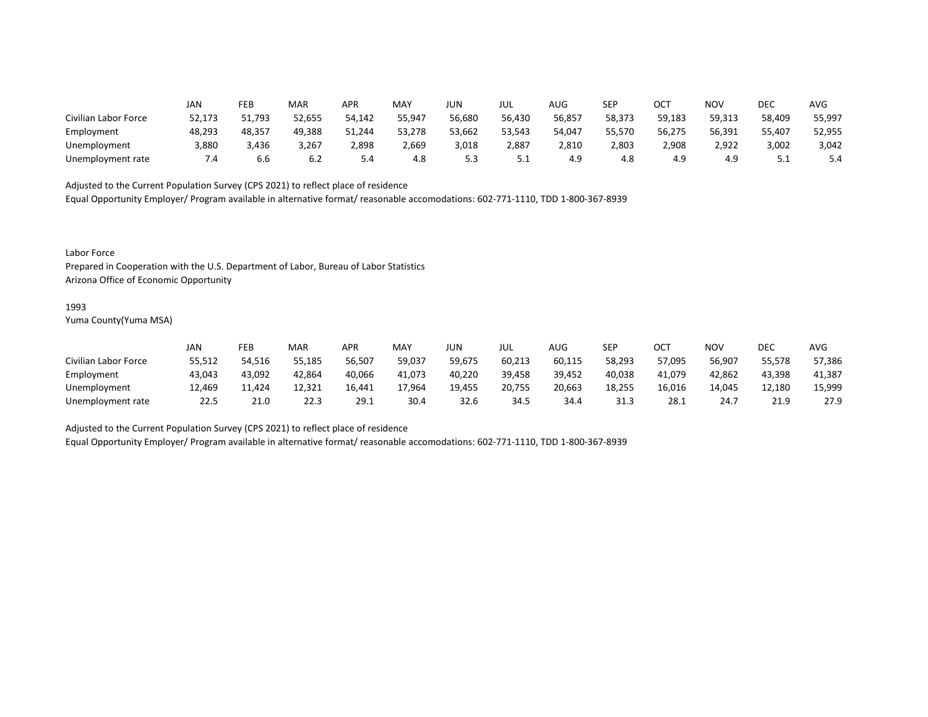|                      | JAN    | FEB    | MAR    | APR    | <b>MAY</b> | JUN    | JUL    | <b>AUG</b> | <b>SEP</b> | ОСТ    | <b>NOV</b> | DEC      | <b>AVG</b> |
|----------------------|--------|--------|--------|--------|------------|--------|--------|------------|------------|--------|------------|----------|------------|
| Civilian Labor Force | 52,173 | 51,793 | 52,655 | 54,142 | 55,947     | 56,680 | 56,430 | 56,857     | 58,373     | 59,183 | 59,313     | 58,409   | 55,997     |
| Employment           | 48,293 | 48,357 | 49,388 | 51,244 | 53,278     | 53,662 | 53,543 | 54,047     | 55,570     | 56,275 | 56,391     | 55,407   | 52,955     |
| Unemployment         | 3,880  | 3,436  | 3,267  | 2,898  | 2,669      | 3,018  | 2,887  | 2,810      | 2,803      | 2,908  | 2,922      | 3,002    | 3,042      |
| Unemployment rate    | 4. ا   | 6.6    | 6.2    | 5.4    | 4.8        | 5.3    | ـ . ـ  | 4.9        | 4.8        | 4.9    | 4.9        | <u>.</u> | 5.4        |

Equal Opportunity Employer/ Program available in alternative format/ reasonable accomodations: 602-771-1110, TDD 1-800-367-8939

Labor Force

Prepared in Cooperation with the U.S. Department of Labor, Bureau of Labor Statistics Arizona Office of Economic Opportunity

#### 1993

Yuma County(Yuma MSA)

|                      | Jan    | FEB    | <b>MAR</b> | APR    | MAY    | JUN    | JUL    | AUG    | SEP    | ОСТ    | <b>NOV</b> | <b>DEC</b> | AVG    |
|----------------------|--------|--------|------------|--------|--------|--------|--------|--------|--------|--------|------------|------------|--------|
| Civilian Labor Force | 55,512 | 54.516 | 55.185     | 56,507 | 59,037 | 59,675 | 60,213 | 60,115 | 58,293 | 57,095 | 56,907     | 55,578     | 57,386 |
| Employment           | 43,043 | 43,092 | 42,864     | 40,066 | 41.073 | 40,220 | 39,458 | 39,452 | 40,038 | 41,079 | 42,862     | 43,398     | 41,387 |
| Unemployment         | 12,469 | 11.424 | 12,321     | 16,441 | 17,964 | 19,455 | 20,755 | 20,663 | 18,255 | 16,016 | 14.045     | 12,180     | 15,999 |
| Unemployment rate    | 22.5   | 21.0   | 22.3       | 29.1   | 30.4   | 32.6   | 34.5   | 34.4   | 31.3   | 28.1   | 24.7       | 21.9       | 27.9   |

Adjusted to the Current Population Survey (CPS 2021) to reflect place of residence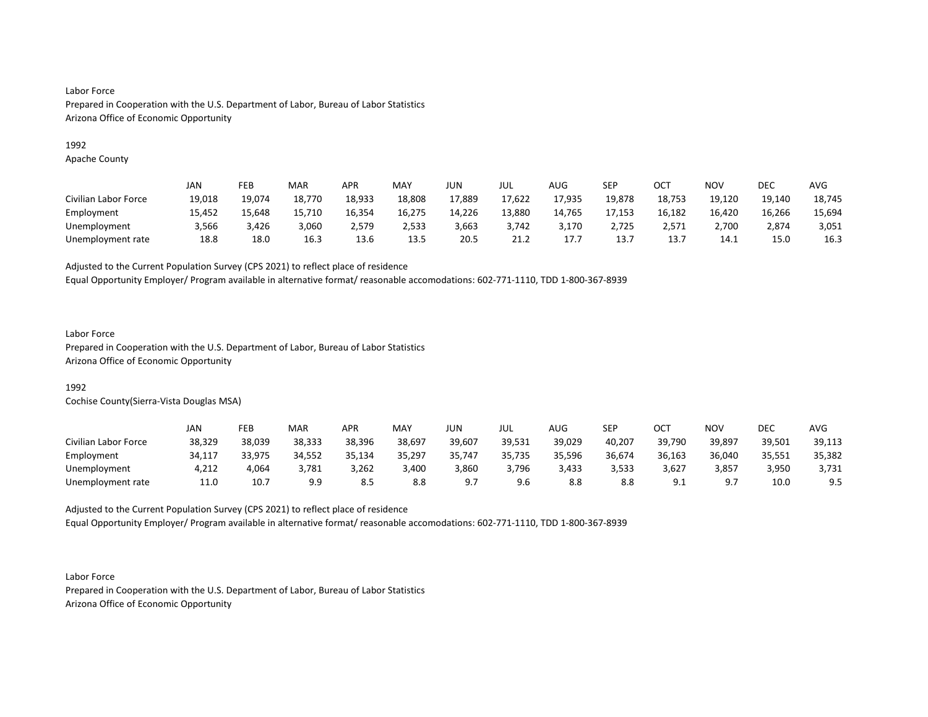## 1992

Apache County

|                      | JAN    | FEB    | <b>MAR</b> | APR    | <b>MAY</b> | JUN    | JUL    | <b>AUG</b> | SEP    | ОСТ    | NOV    | DEC    | <b>AVG</b> |
|----------------------|--------|--------|------------|--------|------------|--------|--------|------------|--------|--------|--------|--------|------------|
| Civilian Labor Force | 19,018 | 19,074 | 18,770     | 18,933 | 18,808     | 17,889 | 17,622 | 17,935     | 19,878 | 18,753 | 19,120 | 19,140 | 18,745     |
| Employment           | 15,452 | 15,648 | 15,710     | 16,354 | 16,275     | 14,226 | 13,880 | 14,765     | 17,153 | 16,182 | 16,420 | 16,266 | 15,694     |
| Unemployment         | 3,566  | 3.426  | 3,060      | 2.579  | 2,533      | 3,663  | 3.742  | 3.170      | 2,725  | 2.571  | 2,700  | 2,874  | 3,051      |
| Unemployment rate    | 18.8   | 18.0   | 16.3       | 13.6   | 13.5       | 20.5   | 21.2   | 17.7       | 13.7   | 13.7   | 14.1   | 15.0   | 16.3       |

Adjusted to the Current Population Survey (CPS 2021) to reflect place of residence

Equal Opportunity Employer/ Program available in alternative format/ reasonable accomodations: 602-771-1110, TDD 1-800-367-8939

## Labor Force

Prepared in Cooperation with the U.S. Department of Labor, Bureau of Labor Statistics Arizona Office of Economic Opportunity

# 1992

Cochise County(Sierra-Vista Douglas MSA)

|                      | JAN    | FEB    | <b>MAR</b> | APR    | MAY    | JUN    | JUL    | AUG    | SEP    | ост            | NOV    | DEC    | AVG    |
|----------------------|--------|--------|------------|--------|--------|--------|--------|--------|--------|----------------|--------|--------|--------|
| Civilian Labor Force | 38,329 | 38,039 | 38,333     | 38,396 | 38,697 | 39,607 | 39,531 | 39,029 | 40,207 | 39,790         | 39,897 | 39,501 | 39,113 |
| Employment           | 34,117 | 33,975 | 34,552     | 35,134 | 35,297 | 35,747 | 35,735 | 35,596 | 36,674 | 36,163         | 36,040 | 35,551 | 35,382 |
| Unemployment         | 4,212  | 4,064  | 3,781      | 3,262  | 3,400  | 3,860  | 3,796  | 3,433  | 3,533  | 3,627          | 3,857  | 3,950  | 3,731  |
| Unemployment rate    | 11.0   | 10.7   | 9.9        | 8.5    | 8.8    | Q 7    | 9.6    |        | 8.8    | Q.<br><u>.</u> | - Q 7  | 10.0   | 9.5    |

Adjusted to the Current Population Survey (CPS 2021) to reflect place of residence Equal Opportunity Employer/ Program available in alternative format/ reasonable accomodations: 602-771-1110, TDD 1-800-367-8939

Labor Force Prepared in Cooperation with the U.S. Department of Labor, Bureau of Labor Statistics Arizona Office of Economic Opportunity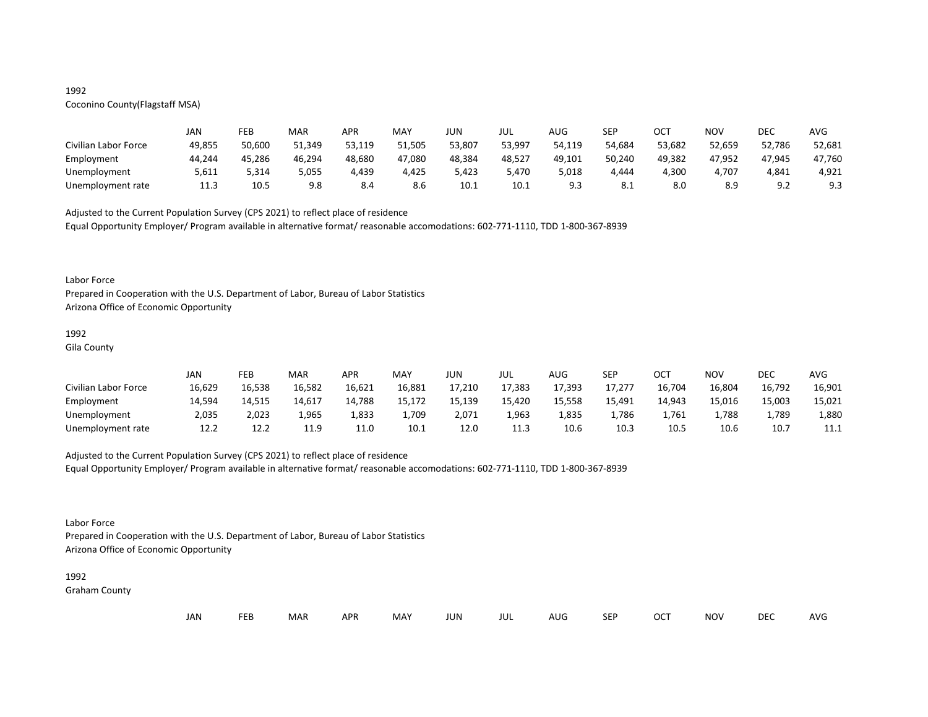## 1992

# Coconino County(Flagstaff MSA)

|                      | JAN    | FEB    | MAR    | APR    | <b>MAY</b> | JUN    | JUL    | AUG    | <b>SEP</b> | ост    | NOV    | DEC                        | AVG    |
|----------------------|--------|--------|--------|--------|------------|--------|--------|--------|------------|--------|--------|----------------------------|--------|
| Civilian Labor Force | 49,855 | 50,600 | 51,349 | 53.119 | 51.505     | 53,807 | 53,997 | 54,119 | 54.684     | 53,682 | 52,659 | 52,786                     | 52,681 |
| Employment           | 44,244 | 45,286 | 46,294 | 48,680 | 47,080     | 48,384 | 48,527 | 49,101 | 50,240     | 49,382 | 47,952 | 47,945                     | 47,760 |
| Unemployment         | 5,611  | 5,314  | 5,055  | 4,439  | 4,425      | 5,423  | 5,470  | 018,د  | 4,444      | 4,300  | 4,707  | 4,841                      | 4,921  |
| Unemployment rate    | 11.3   | 10.5   | 9.8    | 8.4    | 8.6        | 10.1   | 10.1   | 9.3    | 8.1        |        | 8.9    | Q <sub>0</sub><br><u>.</u> | 9.3    |

Adjusted to the Current Population Survey (CPS 2021) to reflect place of residence

Equal Opportunity Employer/ Program available in alternative format/ reasonable accomodations: 602-771-1110, TDD 1-800-367-8939

#### Labor Force

Prepared in Cooperation with the U.S. Department of Labor, Bureau of Labor Statistics Arizona Office of Economic Opportunity

# 1992

Gila County

|                      | JAN    | FEB    | MAR    | <b>APR</b> | MAY    | JUN    | JUL    | AUG    | SEP    | OCT    | <b>NOV</b> | DEC    | <b>AVG</b> |
|----------------------|--------|--------|--------|------------|--------|--------|--------|--------|--------|--------|------------|--------|------------|
| Civilian Labor Force | 16,629 | 16,538 | 16,582 | 16,621     | 16,881 | 17,210 | 17,383 | 17,393 | 17,277 | 16,704 | 16,804     | 16,792 | 16,901     |
| Employment           | 14,594 | 14,515 | 14,617 | 14,788     | 15,172 | 15,139 | 15,420 | 15,558 | 15,491 | 14,943 | 15,016     | 15,003 | 15,021     |
| Unemployment         | 2,035  | 2,023  | 1,965  | 1,833      | 1,709  | 2,071  | 1,963  | 1,835  | ⊥,786  | 1,761  | 1,788      | 1,789  | 1,880      |
| Unemployment rate    | 12.2   | 12.2   | 11.9   | 11.0       | 10.1   | 12.0   | 11.3   | 10.6   | 10.3   | 10.5   | 10.6       | 10.7   | 11.1       |

## Adjusted to the Current Population Survey (CPS 2021) to reflect place of residence

Equal Opportunity Employer/ Program available in alternative format/ reasonable accomodations: 602-771-1110, TDD 1-800-367-8939

## Labor Force

Prepared in Cooperation with the U.S. Department of Labor, Bureau of Labor Statistics Arizona Office of Economic Opportunity

#### 1992

Graham County

| JAN<br><b>FEB</b><br><b>OCT</b><br>MAR<br>MAY<br><b>APR</b><br><b>NOV</b><br>JUN<br><b>SEP</b><br>AUG<br>jul |  |  |  |  |  |  |  |  |  |  |  | DEC | <b>AVG</b> |
|--------------------------------------------------------------------------------------------------------------|--|--|--|--|--|--|--|--|--|--|--|-----|------------|
|--------------------------------------------------------------------------------------------------------------|--|--|--|--|--|--|--|--|--|--|--|-----|------------|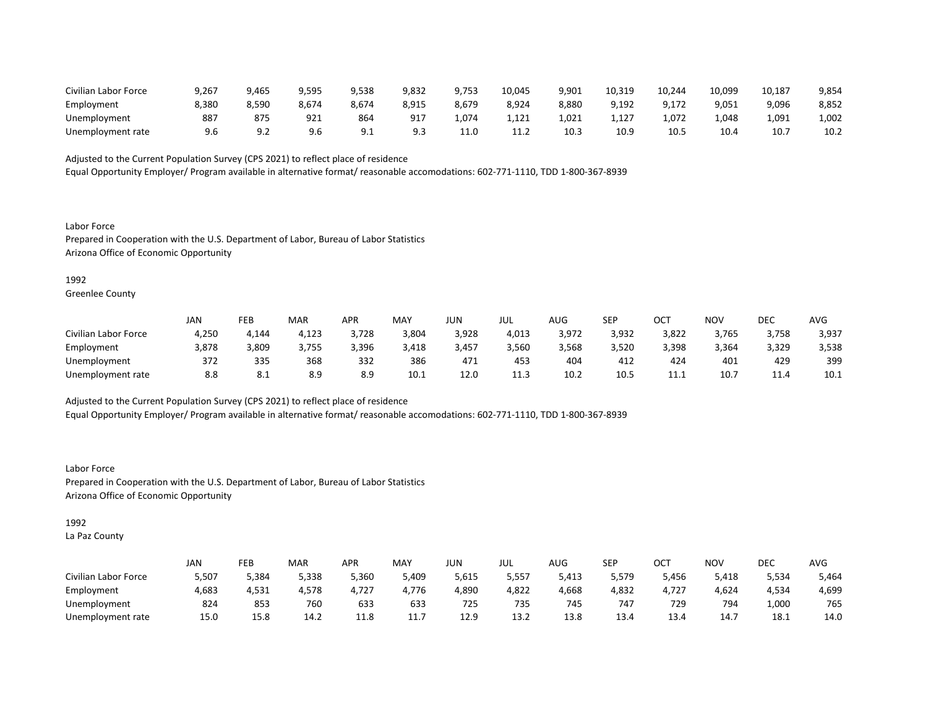| Civilian Labor Force | 9,267 | 465,( | 9,595 | 9,538        | 9,832   | 9,753 | 10,045 | 9,901 | 10.319 | 10,244 | 10,099 | 10,187 | 9,854 |
|----------------------|-------|-------|-------|--------------|---------|-------|--------|-------|--------|--------|--------|--------|-------|
| Employment           | 8,380 | 3,590 | 8,674 | 8.674        | 8,915   | 8,679 | 8,924  | 8,880 | 9,192  | 9,172  | 9,051  | 9,096  | 8,852 |
| Unemployment         | 887   | 87.   | 921   | 864          | -91     | 4.074 | 1,121  | 1,021 | 1,127  | 1.072  | 1.048  | 1,091  | 1,002 |
| Unemployment rate    |       |       | 9.6   | <u>_ . _</u> | 9 3<br> | 11.0  | .      | 10.3  | 10.9   | 10.5   | 10.4   | 10.7   | 10.2  |

Equal Opportunity Employer/ Program available in alternative format/ reasonable accomodations: 602-771-1110, TDD 1-800-367-8939

Labor Force Prepared in Cooperation with the U.S. Department of Labor, Bureau of Labor Statistics Arizona Office of Economic Opportunity

### 1992

Greenlee County

|                      | <b>JAN</b> | FEB                 | <b>MAR</b> | APR   | MAY   | JUN   | JUL   | AUG   | <b>SEP</b> | ост   | NOV   | DEC       | AVG   |
|----------------------|------------|---------------------|------------|-------|-------|-------|-------|-------|------------|-------|-------|-----------|-------|
| Civilian Labor Force | 4,250      | 4,144               | 4,123      | 3,728 | 3,804 | 3,928 | 4,013 | 3,972 | 3,932      | 3,822 | 3,765 | 3,758     | 3,937 |
| Employment           | 3,878      | 809,ر               | 3,755      | 3,396 | 3,418 | 3,457 | 3,560 | 3,568 | 3,520      | 3,398 | 3,364 | 3,329     | 3,538 |
| Unemployment         | 372        | 335                 | 368        | 332   | 386   | 471   | 453   | 404   | 412        | 424   | 401   | 429       | 399   |
| Unemployment rate    | 8.8        | $^{\circ}$ 1<br>O.L | 8.9        | 8.9   | 10.1  | 12.0  | 11.3  | 10.2  | 10.5       | ----  | 10.7  | $\pm 1.4$ | 10.1  |

Adjusted to the Current Population Survey (CPS 2021) to reflect place of residence

Equal Opportunity Employer/ Program available in alternative format/ reasonable accomodations: 602-771-1110, TDD 1-800-367-8939

Labor Force Prepared in Cooperation with the U.S. Department of Labor, Bureau of Labor Statistics Arizona Office of Economic Opportunity

## 1992

La Paz County

|                      | <b>JAN</b> | FEB   | MAR   | APR   | <b>MAY</b>   | JUN   | JUL   | $\sqrt{1+\sqrt{2}}$<br>AUG | <b>SEP</b> | ⌒⌒⊤<br>UC. | <b>NOV</b> | DEC   | <b>AVG</b> |
|----------------------|------------|-------|-------|-------|--------------|-------|-------|----------------------------|------------|------------|------------|-------|------------|
| Civilian Labor Force | 5,507      | 384,د | 5,338 | 5,360 | 5,409        | 5,615 | 5,557 | 5,413                      | 5,579      | 5,456      | 5,418      | 5,534 | 5,464      |
| Employment           | 4,683      | 4,531 | 4,578 | 4,727 | 4.776        | 4,890 | 4,822 | 4,668                      | 4,832      | 4,727      | 4,624      | 4,534 | 4,699      |
| Unemployment         | 824        | 853   | 760   | 633   | 633          | 725   | 735   | 745                        | 747        | 729        | 794        | 1,000 | 765        |
| Unemployment rate    | 15.0       | 15.8  | 14.2  | 11.U  | . <i>. .</i> | 12.9  | 13.2  | 13.8                       | 13.4       | 13.4       | 14.7       | 18.1  | 14.0       |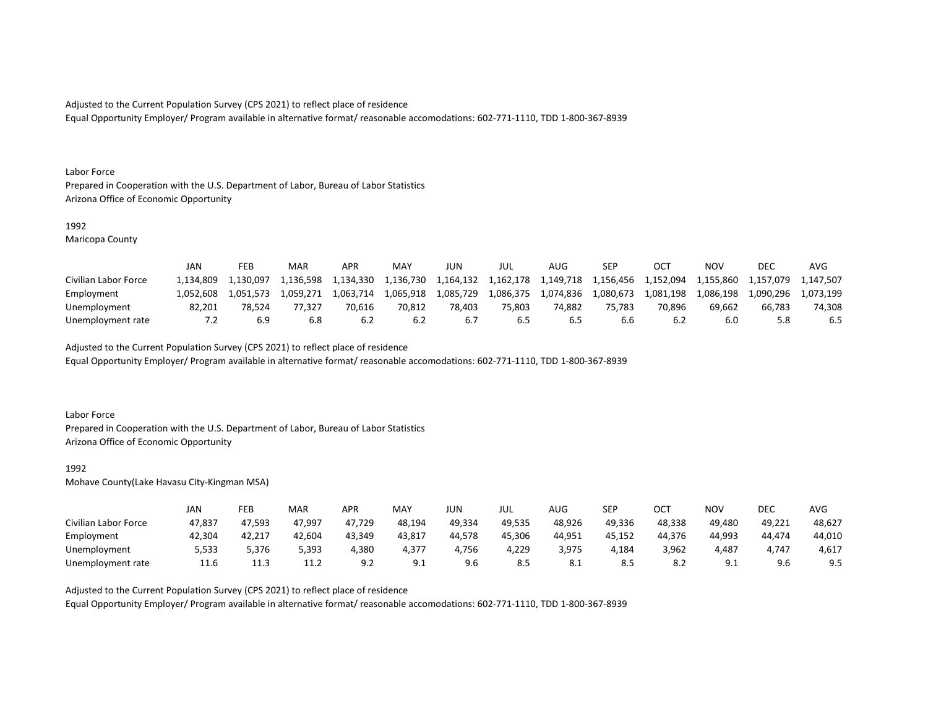Equal Opportunity Employer/ Program available in alternative format/ reasonable accomodations: 602-771-1110, TDD 1-800-367-8939

#### Labor Force

Prepared in Cooperation with the U.S. Department of Labor, Bureau of Labor Statistics Arizona Office of Economic Opportunity

## 1992

Maricopa County

|                      | JAN       | FEB       | MAR       | APR       | MAY       | JUN       | JUL       | AUG       | <b>SEP</b> |           | ΝΟν       | DEC       | <b>AVC</b> |
|----------------------|-----------|-----------|-----------|-----------|-----------|-----------|-----------|-----------|------------|-----------|-----------|-----------|------------|
| Civilian Labor Force | 1.134.809 | L.130.097 | 1,136,598 | 1,134,330 | 1,136,730 | 1,164,132 | 1.162.178 | 1,149,718 | 1,156,456  | 1,152,094 | 1,155,860 | 1,157,079 | 1.147.507  |
| Employment           | 1.052.608 | 1.051.573 | 1.059.271 | 1.063.714 | 1.065.918 | 1,085,729 | 1,086,375 | 1,074,836 | 1.080.673  | 1.081.198 | 1,086,198 | 1.090.296 | 1.073.199  |
| Unemployment         | 82.201    | 78.524    | 77.327    | 70.616    | 70.812    | 78.403    | 75.803    | 74.882    | 75.783     | 70.896    | 69.662    | 66.783    | 74.308     |
| Unemployment rate    | 7.2       | 6.9       | 6.8       | 6.2       | 6.2       |           | 6.5       | 6.S       | b.b        |           | 6.0       |           | 6.5        |

Adjusted to the Current Population Survey (CPS 2021) to reflect place of residence

Equal Opportunity Employer/ Program available in alternative format/ reasonable accomodations: 602-771-1110, TDD 1-800-367-8939

### Labor Force

Prepared in Cooperation with the U.S. Department of Labor, Bureau of Labor Statistics Arizona Office of Economic Opportunity

#### 1992

Mohave County(Lake Havasu City-Kingman MSA)

|                      | JAN    | FEB    | MAR    | APR    | <b>MAY</b> | JUN    | JUL    | AUG    | <b>SEP</b> | ост    | NOV            | DEC    | AVG    |
|----------------------|--------|--------|--------|--------|------------|--------|--------|--------|------------|--------|----------------|--------|--------|
| Civilian Labor Force | 47,837 | 47,593 | 47,997 | 47,729 | 48,194     | 49,334 | 49,535 | 48,926 | 49,336     | 48,338 | 49.480         | 49,221 | 48,627 |
| Employment           | 42,304 | 42,217 | 42,604 | 43,349 | 43,817     | 44,578 | 45,306 | 44,951 | 45,152     | 44,376 | 44,993         | 44,474 | 44,010 |
| Unemployment         | 5,533  | 5,376  | 5,393  | 4,380  | 4,377      | 4,756  | 4,229  | 3,975  | 4,184      | 3,962  | 4,487          | 4,747  | 4,617  |
| Unemployment rate    | 11.6   | 11.3   | 11.2   | 9.2    | ◡.         | 9.6    | -8.5   | 8.1    | 8.5        |        | a.<br><u>.</u> | 9.6    | 9.5    |

Adjusted to the Current Population Survey (CPS 2021) to reflect place of residence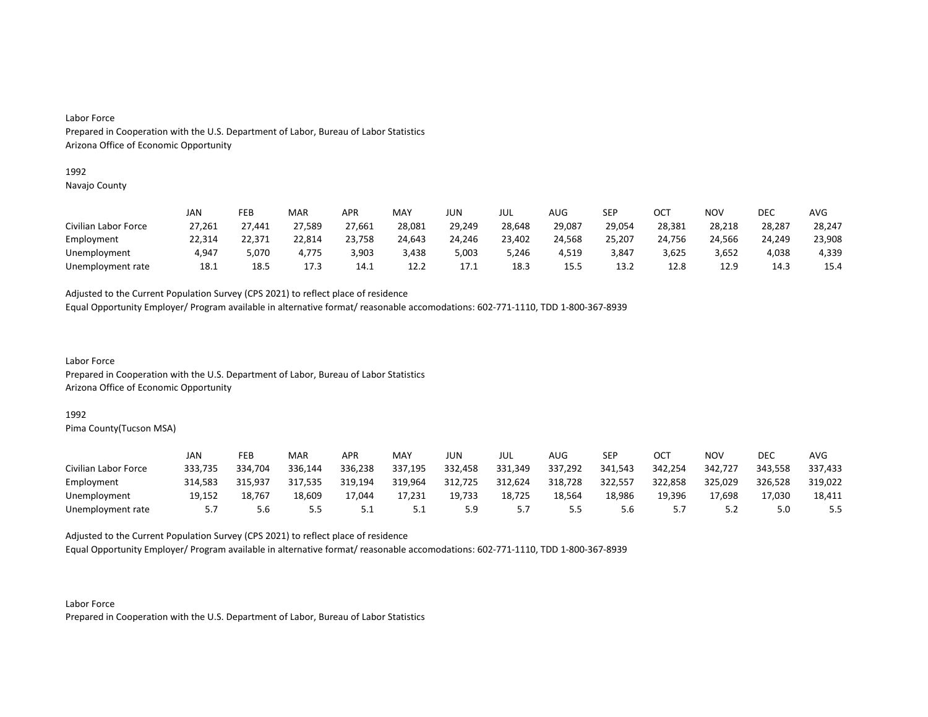#### 1992

Navajo County

|                      | JAN    | FEB    | MAR    | APR    | MAY    | JUN    | JUL    | AUG    | SEP    | OCT    | NOV    | DEC    | AVG    |
|----------------------|--------|--------|--------|--------|--------|--------|--------|--------|--------|--------|--------|--------|--------|
| Civilian Labor Force | 27,261 | 27,441 | 27,589 | 27,661 | 28,081 | 29,249 | 28,648 | 29,087 | 29,054 | 28,381 | 28,218 | 28,287 | 28,247 |
| Employment           | 22,314 | 22,371 | 22,814 | 23,758 | 24,643 | 24,246 | 23,402 | 24,568 | 25,207 | 24,756 | 24,566 | 24,249 | 23,908 |
| Unemployment         | 4,947  | 5.070  | 4.775  | 3,903  | 3,438  | 5,003  | 5,246  | 4,519  | 3.847  | 3,625  | 3.652  | 4,038  | 4,339  |
| Unemployment rate    | 18.1   | 18.5   | 17.3   | 14.1   | 12.2   | 17.1   | 18.3   | 15.5   | 13.2   | 12.8   | 12.9   | 14.3   | 15.4   |

Adjusted to the Current Population Survey (CPS 2021) to reflect place of residence

Equal Opportunity Employer/ Program available in alternative format/ reasonable accomodations: 602-771-1110, TDD 1-800-367-8939

Labor Force Prepared in Cooperation with the U.S. Department of Labor, Bureau of Labor Statistics Arizona Office of Economic Opportunity

### 1992

Pima County(Tucson MSA)

|                      | JAN     | FEB     | MAR     | APR     | MAY     | JUN     | JUL     | AUG     | <b>SEP</b> | ост     | <b>NOV</b> | DEC     | AVG     |
|----------------------|---------|---------|---------|---------|---------|---------|---------|---------|------------|---------|------------|---------|---------|
| Civilian Labor Force | 333,735 | 334,704 | 336,144 | 336,238 | 337,195 | 332,458 | 331,349 | 337,292 | 341.543    | 342,254 | 342,727    | 343,558 | 337,433 |
| Employment           | 314.583 | 315.937 | 317.535 | 319,194 | 319,964 | 312,725 | 312,624 | 318,728 | 322,557    | 322,858 | 325,029    | 326,528 | 319,022 |
| Unemployment         | 19,152  | 18,767  | 18,609  | 17,044  | 17,231  | 19,733  | 18,725  | 18,564  | 18,986     | 19,396  | 17,698     | 17,030  | 18,411  |
| Unemployment rate    |         | 5.6     | 5.5     | 5.1     | J.L     | 5.9     | ,       |         | 5.6        |         | ے . د      | 5.0     | 5.5     |

Adjusted to the Current Population Survey (CPS 2021) to reflect place of residence

Equal Opportunity Employer/ Program available in alternative format/ reasonable accomodations: 602-771-1110, TDD 1-800-367-8939

Labor Force Prepared in Cooperation with the U.S. Department of Labor, Bureau of Labor Statistics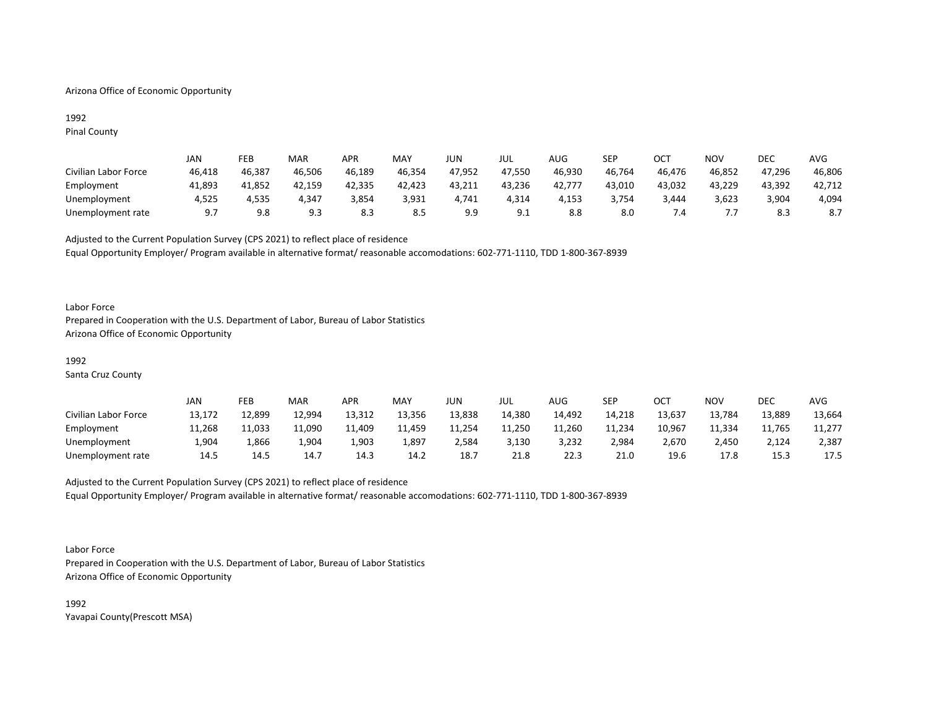## Arizona Office of Economic Opportunity

## 1992 Pinal County

|                      | JAN    | FEB    | MAR    | <b>APR</b> | MAY    | JUN    | JUL    | AUG    | SEP    | OCT    | NOV    | DEC    | AVG    |
|----------------------|--------|--------|--------|------------|--------|--------|--------|--------|--------|--------|--------|--------|--------|
| Civilian Labor Force | 46,418 | 46,387 | 46,506 | 46,189     | 46,354 | 47,952 | 47,550 | 46,930 | 46,764 | 46,476 | 46,852 | 47,296 | 46,806 |
| Employment           | 41,893 | 41,852 | 42,159 | 42,335     | 42,423 | 43,211 | 43,236 | 42,777 | 43,010 | 43,032 | 43,229 | 43,392 | 42,712 |
| Unemployment         | 4,525  | 4,535  | 4,347  | 3,854      | 3,931  | 4,741  | 4,314  | 4,153  | 3,754  | 3,444  | 3,623  | 3,904  | 4,094  |
| Unemployment rate    | 9.7    | 9.8    | 9.3    | 8.3        | 8.5    | 9.9    | 9.1    | 8.8    | 8.0    |        | .      | 8.3    | 8.7    |

Adjusted to the Current Population Survey (CPS 2021) to reflect place of residence Equal Opportunity Employer/ Program available in alternative format/ reasonable accomodations: 602-771-1110, TDD 1-800-367-8939

### Labor Force

Prepared in Cooperation with the U.S. Department of Labor, Bureau of Labor Statistics Arizona Office of Economic Opportunity

## 1992

Santa Cruz County

|                      | JAN    | FEB    | MAR    | APR    | MAY    | JUN    | JUL    | AUG    | SEP    | ОСТ    | NOV    | DEC    | AVG    |
|----------------------|--------|--------|--------|--------|--------|--------|--------|--------|--------|--------|--------|--------|--------|
| Civilian Labor Force | 13,172 | 12,899 | 12,994 | 13,312 | 13,356 | 13,838 | 14,380 | 14,492 | 14,218 | 13,637 | 13,784 | 13,889 | 13,664 |
| Employment           | 11,268 | 11,033 | 11,090 | 11,409 | 11,459 | 11,254 | 11,250 | 11,260 | 11,234 | 10,967 | 11,334 | 11,765 | 11,277 |
| Unemployment         | 4,90⊥  | L,866  | 1,904  | 1,903  | 1,897  | 2,584  | 3,130  | 3,232  | 2,984  | 2.670  | 2,450  | 2,124  | 2,387  |
| Unemployment rate    | 14.5   | 14.5   | 14.7   | 14.3   | 14.2   | 18.7   | 21.8   | 22.3   | 21.0   | 19.6   | 17.8   | 15.3   | 17.5   |

# Adjusted to the Current Population Survey (CPS 2021) to reflect place of residence Equal Opportunity Employer/ Program available in alternative format/ reasonable accomodations: 602-771-1110, TDD 1-800-367-8939

#### Labor Force

Prepared in Cooperation with the U.S. Department of Labor, Bureau of Labor Statistics Arizona Office of Economic Opportunity

1992 Yavapai County(Prescott MSA)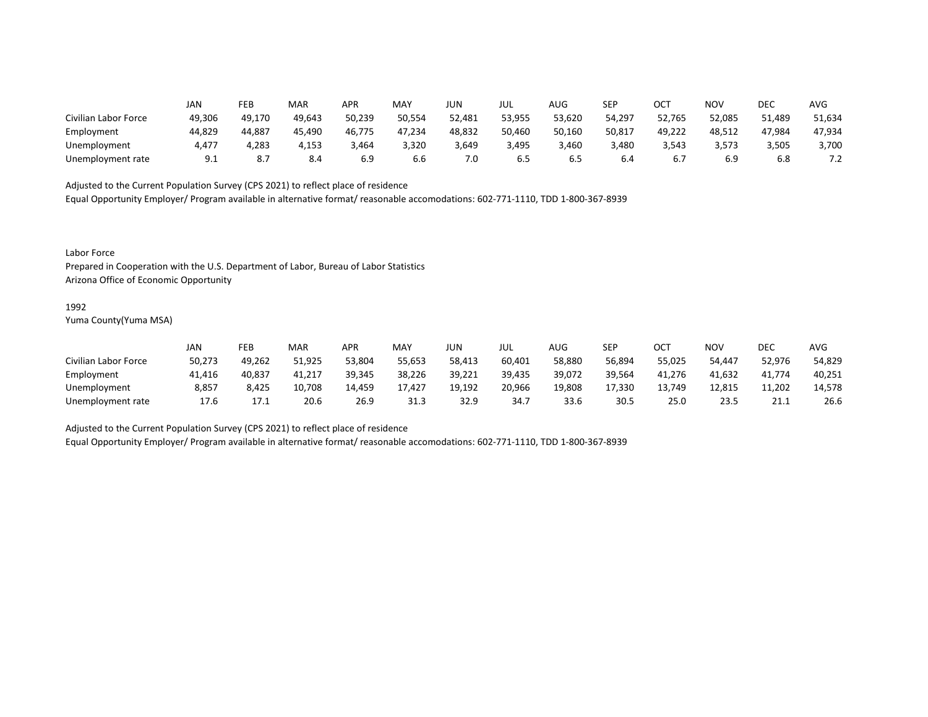|                      | JAN    | FEB    | MAR    | APR    | <b>MAY</b> | <b>JUN</b> | JUL    | AUG    | <b>SEP</b> | OCT    | <b>NOV</b> | DEC    | <b>AVG</b> |
|----------------------|--------|--------|--------|--------|------------|------------|--------|--------|------------|--------|------------|--------|------------|
| Civilian Labor Force | 49,306 | 49.170 | 49,643 | 50,239 | 50,554     | 52,481     | 53,955 | 53,620 | 54,297     | 52,765 | 52,085     | 51,489 | 51,634     |
| Employment           | 44,829 | 44,887 | 45,490 | 46,775 | 47,234     | 48,832     | 50,460 | 50,160 | 50,817     | 49,222 | 48,512     | 47,984 | 47,934     |
| Unemployment         | 4,477  | 4,283  | 4,153  | 464,د  | 3,320      | 3,649      | 3,495  | 3,460  | 3,480      | 3,543  | 3,573      | 3,505  | 3,700      |
| Unemployment rate    | 9.1    | 8.7    | 8.4    | 6.9    | b.b        | 7.0        | 6.5    | כ.ס    | 6.4        | ס.,    | 6.9        | 6.8    | 7.Z        |

Equal Opportunity Employer/ Program available in alternative format/ reasonable accomodations: 602-771-1110, TDD 1-800-367-8939

Labor Force

Prepared in Cooperation with the U.S. Department of Labor, Bureau of Labor Statistics Arizona Office of Economic Opportunity

#### 1992

Yuma County(Yuma MSA)

|                      | JAN    | FEB    | <b>MAR</b> | APR    | MA۱    | JUN    | JUL    | AUG    | SEP    | ОСТ    | NOV    | DEC    | AVG    |
|----------------------|--------|--------|------------|--------|--------|--------|--------|--------|--------|--------|--------|--------|--------|
| Civilian Labor Force | 50,273 | 49,262 | 51,925     | 53,804 | 55,653 | 58,413 | 60,401 | 58,880 | 56,894 | 55,025 | 54.447 | 52,976 | 54,829 |
| Employment           | 41,416 | 40,837 | 41,217     | 39,345 | 38,226 | 39,221 | 39,435 | 39,072 | 39,564 | 41,276 | 41,632 | 41,774 | 40,251 |
| Unemployment         | 8,857  | 8,425  | 10,708     | 14.459 | 17,427 | 19,192 | 20,966 | 19,808 | 17,330 | 13,749 | 12,815 | 11,202 | 14,578 |
| Unemployment rate    | 17.6   | 17.1   | 20.6       | 26.9   | 31.3   | 32.9   | 34.7   | 33.6   | 30.5   | 25.0   | 23.5   | 21.1   | 26.6   |

Adjusted to the Current Population Survey (CPS 2021) to reflect place of residence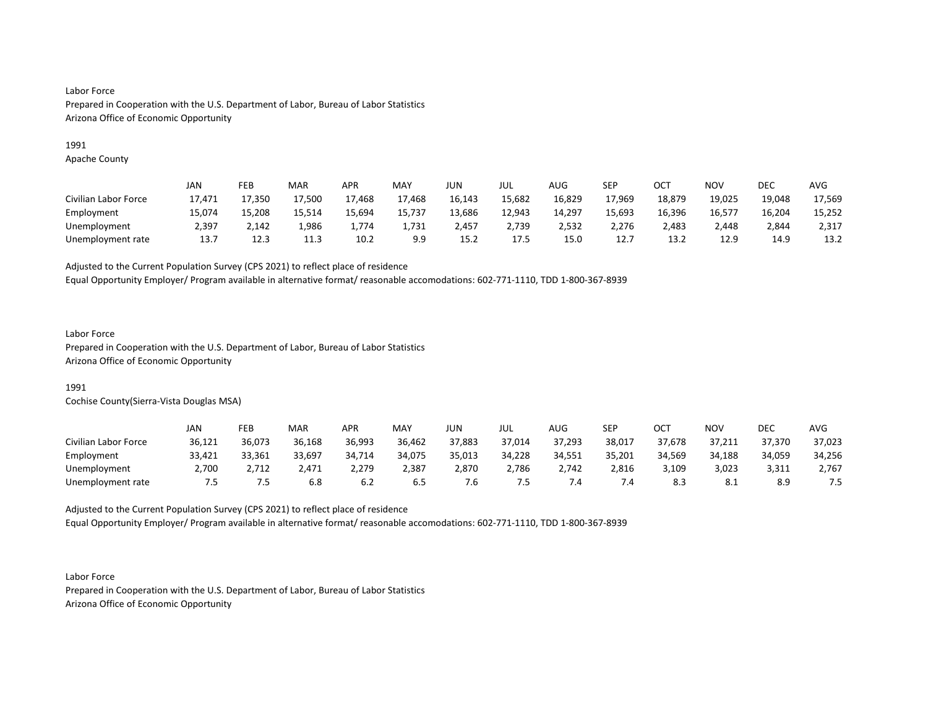## 1991

Apache County

|                      | JAN    | FEB    | <b>MAR</b> | APR    | MAY    | JUN    | JUL    | AUG    | SEP    | OCT    | <b>NOV</b> | DEC    | AVG    |
|----------------------|--------|--------|------------|--------|--------|--------|--------|--------|--------|--------|------------|--------|--------|
| Civilian Labor Force | 17.471 | 17.350 | 17,500     | 17,468 | 17,468 | 16,143 | 15,682 | 16,829 | 17,969 | 18,879 | 19,025     | 19,048 | 17,569 |
| Employment           | 15.074 | 15,208 | 15.514     | 15,694 | 15,737 | 13,686 | 12,943 | 14,297 | 15,693 | 16,396 | 16,577     | 16,204 | 15,252 |
| Unemployment         | 2,397  | 2,142  | 1,986      | 1.774  | 1,731  | 2,457  | 2,739  | 2,532  | 2,276  | 2,483  | 2,448      | 2,844  | 2,317  |
| Unemployment rate    | 13.7   | 12.3   | 11.3       | 10.2   | 9.9    | 15.2   | 17.5   | 15.0   | 12.7   | 13.2   | 12.9       | 14.9   | 13.2   |

Adjusted to the Current Population Survey (CPS 2021) to reflect place of residence

Equal Opportunity Employer/ Program available in alternative format/ reasonable accomodations: 602-771-1110, TDD 1-800-367-8939

## Labor Force

Prepared in Cooperation with the U.S. Department of Labor, Bureau of Labor Statistics Arizona Office of Economic Opportunity

# 1991

Cochise County(Sierra-Vista Douglas MSA)

|                      | JAN    | FEB    | <b>MAR</b> | APR    | MAY    | JUN    | JUL    | AUG    | SEP    | ост    | NOV        | DEC    | AVG    |
|----------------------|--------|--------|------------|--------|--------|--------|--------|--------|--------|--------|------------|--------|--------|
| Civilian Labor Force | 36,121 | 36,073 | 36,168     | 36,993 | 36,462 | 37,883 | 37,014 | 37,293 | 38,017 | 37,678 | 37,211     | 37,370 | 37,023 |
| Employment           | 33,421 | 33,361 | 33,697     | 34,714 | 34,075 | 35,013 | 34,228 | 34,551 | 35,201 | 34,569 | 34,188     | 34,059 | 34,256 |
| Unemployment         | 2,700  | 2,712  | ∆471.∠     | 2,279  | 2,387  | 2,870  | 2,786  | 2,742  | 2,816  | 3,109  | 3,023      | 3,311  | 2,767  |
| Unemployment rate    | כ.'    | כ. '   | 6.8        | 6.2    | 6.5    | o.'    | כ. ז   |        | .4     | 8.3    | <b>8.1</b> | 8.9    | 7.5    |

Adjusted to the Current Population Survey (CPS 2021) to reflect place of residence Equal Opportunity Employer/ Program available in alternative format/ reasonable accomodations: 602-771-1110, TDD 1-800-367-8939

Labor Force Prepared in Cooperation with the U.S. Department of Labor, Bureau of Labor Statistics Arizona Office of Economic Opportunity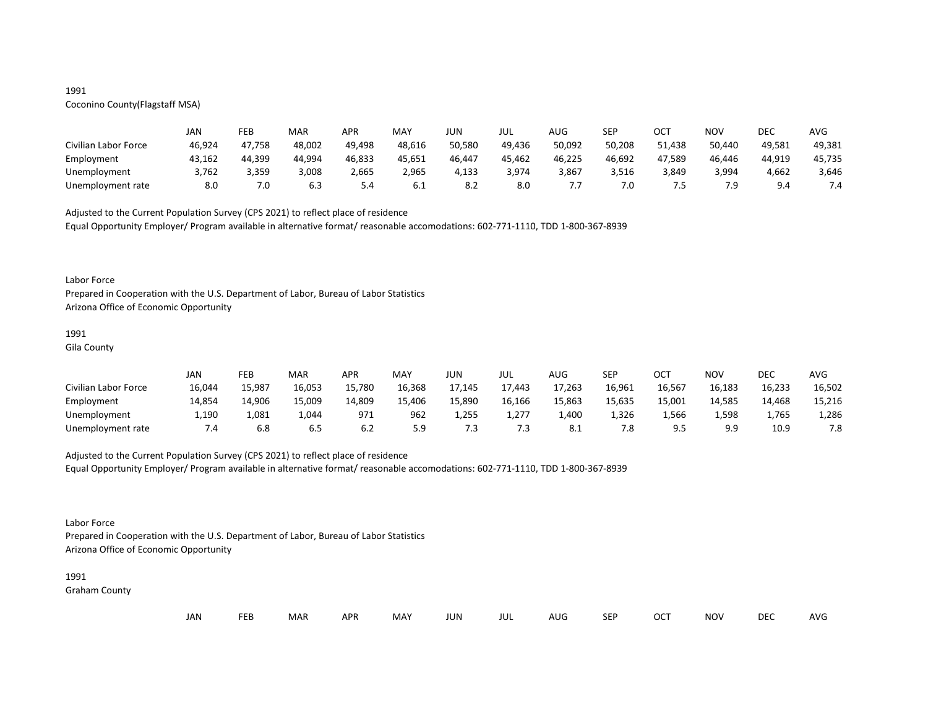## 1991

# Coconino County(Flagstaff MSA)

|                      | JAN    | FEB    | MAR    | APR    | MAY    | JUN    | JUL    | AUG    | <b>SEP</b> | ост    | NOV    | DEC    | AVG    |
|----------------------|--------|--------|--------|--------|--------|--------|--------|--------|------------|--------|--------|--------|--------|
| Civilian Labor Force | 46,924 | 47,758 | 48,002 | 49,498 | 48,616 | 50,580 | 49,436 | 50,092 | 50,208     | 51.438 | 50,440 | 49,581 | 49,381 |
| Employment           | 43,162 | 44,399 | 44,994 | 46,833 | 45,651 | 46,447 | 45,462 | 46,225 | 46,692     | 47,589 | 46,446 | 44,919 | 45,735 |
| Unemployment         | 3,762  | 3,359  | 3,008  | 2,665  | 2,965  | 4,133  | 3,974  | 3,867  | 3,516      | 3,849  | 3,994  | 4,662  | 3,646  |
| Unemployment rate    | 8.0    | 7.0    | 6.3    | 5.4    | 6.1    | 8.Z    | 8.0    |        | 7.0        | . .    | 7.9    | 9 A    | 7.4    |

Adjusted to the Current Population Survey (CPS 2021) to reflect place of residence

Equal Opportunity Employer/ Program available in alternative format/ reasonable accomodations: 602-771-1110, TDD 1-800-367-8939

#### Labor Force

Prepared in Cooperation with the U.S. Department of Labor, Bureau of Labor Statistics Arizona Office of Economic Opportunity

# 1991

Gila County

|                      | JAN    | FEB    | MAR    | <b>APR</b> | <b>MAY</b> | JUN    | JUL    | AUG    | SEP    | OCT    | <b>NOV</b> | DEC    | <b>AVG</b> |
|----------------------|--------|--------|--------|------------|------------|--------|--------|--------|--------|--------|------------|--------|------------|
| Civilian Labor Force | 16,044 | 15,987 | 16,053 | 15,780     | 16,368     | 17,145 | 17,443 | 17,263 | 16,961 | 16,567 | 16,183     | 16,233 | 16,502     |
| Employment           | 14,854 | 14,906 | 15,009 | 14,809     | 15,406     | 15,890 | 16,166 | 15,863 | 15,635 | 15,001 | 14,585     | 14,468 | 15,216     |
| Unemployment         | 1,190  | 1,081  | 1,044  | 971        | 962        | 1,255  | 1,277  | 1,400  | 1,326  | 566, 1 | 1,598      | 1,765  | 1,286      |
| Unemployment rate    | 7.4    | 6.8    | 6.5    | 6.2        | 5.9        | .3     | 7.3    | -8.1   | 7.8    |        | 9.9        | 10.9   | 7.8        |

## Adjusted to the Current Population Survey (CPS 2021) to reflect place of residence

Equal Opportunity Employer/ Program available in alternative format/ reasonable accomodations: 602-771-1110, TDD 1-800-367-8939

## Labor Force

Prepared in Cooperation with the U.S. Department of Labor, Bureau of Labor Statistics Arizona Office of Economic Opportunity

#### 1991

Graham County

| JAN<br><b>FEB</b><br><b>OCT</b><br>MAR<br>MAY<br><b>APR</b><br><b>NOV</b><br>JUN<br><b>SEP</b><br>AUG<br>jul |  |  |  |  |  |  |  |  |  |  |  | DEC | <b>AVG</b> |
|--------------------------------------------------------------------------------------------------------------|--|--|--|--|--|--|--|--|--|--|--|-----|------------|
|--------------------------------------------------------------------------------------------------------------|--|--|--|--|--|--|--|--|--|--|--|-----|------------|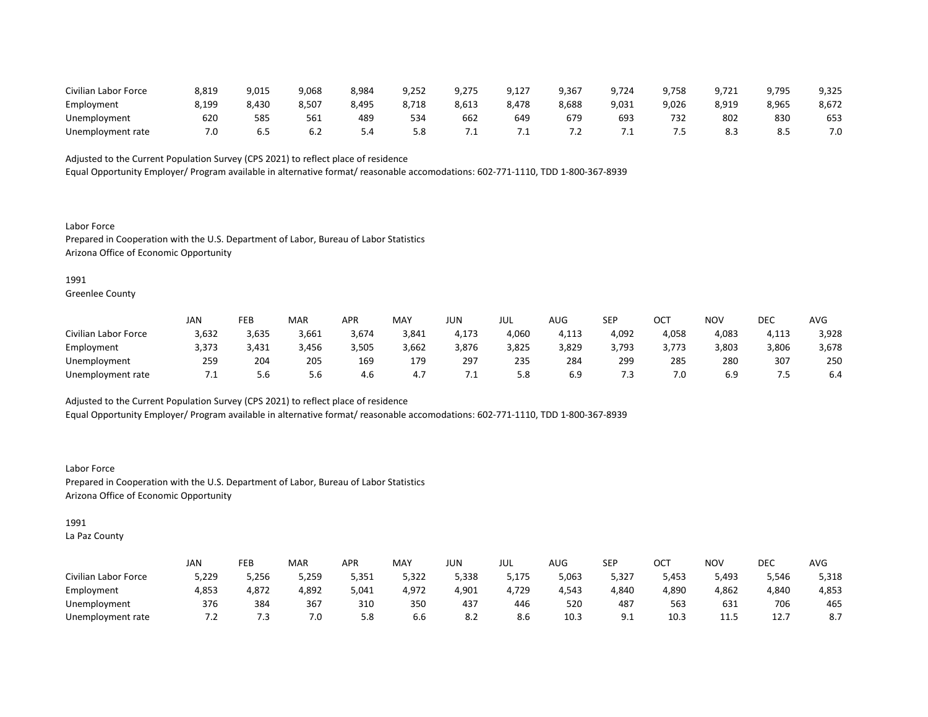| Civilian Labor Force | 8,819 | 9,015 | 9,068 | 8,984 | 9,252 | 9,275 | 9,127 | 9,367     | 9,724 | 9.758 | 9,721      | 9,795 | 9,325 |
|----------------------|-------|-------|-------|-------|-------|-------|-------|-----------|-------|-------|------------|-------|-------|
| Employment           | 8,199 | 8,430 | 8,507 | 3,495 | 8,718 | 8,613 | 8,478 | 8,688     | 9,031 | 9,026 | 8,919      | 8,965 | 8,672 |
| Unemployment         | 620   | 585   | 561   | 489   | 534   | 662   | 649   | 679       | 693   |       | 802        | 830   | 653   |
| Unemployment rate    | υ.    | ხ.5   |       |       | 5.8   |       | ـــ   | $\cdot$ . | . .   |       | o s<br>د.ه | .c    | 7.0   |

Equal Opportunity Employer/ Program available in alternative format/ reasonable accomodations: 602-771-1110, TDD 1-800-367-8939

Labor Force Prepared in Cooperation with the U.S. Department of Labor, Bureau of Labor Statistics Arizona Office of Economic Opportunity

1991

Greenlee County

|                      | JAN   | FEB   | <b>MAR</b> | APR    | MAY   | JUN   | JUL   | AUG   | <b>SEP</b> | OCT        | NOV   | <b>DEC</b> | <b>AVG</b> |
|----------------------|-------|-------|------------|--------|-------|-------|-------|-------|------------|------------|-------|------------|------------|
| Civilian Labor Force | 3,632 | 3,635 | 3,661      | -674,د | 3,841 | 4,173 | 4,060 | I,113 | 4,092      | 4,058      | 4,083 | I,113      | 3,928      |
| Employment           | 3,373 | 3,431 | 3,456      | 3,505  | 3,662 | 3,876 | 3,825 | 3,829 | 3,793      | 3.773<br>. | 3,803 | 3,806      | 3,678      |
| Unemployment         | 259   | 204   | 205        | 169    | 179   | 297   | 235   | 284   | 299        | 285        | 280   | 307        | 250        |
| Unemployment rate    | ـ ، ا | 5.6   | 5.6        | 4.b    | 4.,   | . .   | 5.8   | 6.9   | 7.3        | 7.0        | 6.9   |            | 6.4        |

Adjusted to the Current Population Survey (CPS 2021) to reflect place of residence

Equal Opportunity Employer/ Program available in alternative format/ reasonable accomodations: 602-771-1110, TDD 1-800-367-8939

Labor Force Prepared in Cooperation with the U.S. Department of Labor, Bureau of Labor Statistics Arizona Office of Economic Opportunity

1991

La Paz County

|                      | <b>JAN</b> | FEB   | MAR   | APR   | MAY   | JUN   | JUL   | <b>AUG</b> | SEP        | ⌒⌒⊤<br>◡◡ | <b>NOV</b> | DEC   | AVG                                           |
|----------------------|------------|-------|-------|-------|-------|-------|-------|------------|------------|-----------|------------|-------|-----------------------------------------------|
| Civilian Labor Force | 5,229      | 5,256 | 5,259 | 5,351 | 5,322 | 5,338 | 5,175 | 5,063      | 5,327      | 5,453     | 5,493      | 5,546 | 5,318                                         |
| Employment           | 4,853      | 4,872 | 4,892 | 5,041 | 4,972 | 4,901 | 4,729 | 4,543      | 4,840      | 4,890     | 4,862      | 4,840 | 4,853                                         |
| Unemployment         | 376        | 384   | 367   | 310   | 350   | 437   | 446   | 520        | 487        | 563       | 631        | 706   | 465                                           |
| Unemployment rate    | . L        | ر.'   | 7.0   | 5.8   | b.b   | 8.2   | 8.6   | 10.3       | <u>J.L</u> | 10.3      | 11.5       | 12.7  | $\circ$ $\overline{\phantom{0}}$<br>$\circ$ . |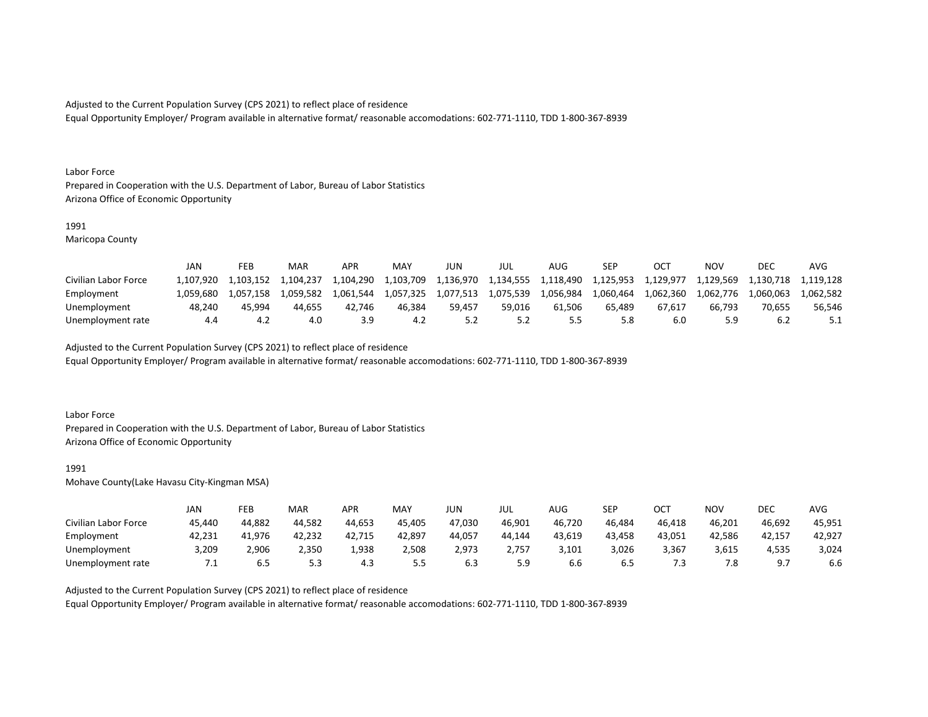Equal Opportunity Employer/ Program available in alternative format/ reasonable accomodations: 602-771-1110, TDD 1-800-367-8939

#### Labor Force

Prepared in Cooperation with the U.S. Department of Labor, Bureau of Labor Statistics Arizona Office of Economic Opportunity

## 1991

Maricopa County

|                      | JAN       | FEB       | MAR       | <b>APR</b> | <b>MAY</b> | JUN       | JUL       | AUG.      | SEP       |           | NOV       | DEC       | AVG       |
|----------------------|-----------|-----------|-----------|------------|------------|-----------|-----------|-----------|-----------|-----------|-----------|-----------|-----------|
| Civilian Labor Force | L.107.920 | 1.103.152 | 1.104.237 | 1.104.290  | 1,103,709  | 1,136,970 | 1,134,555 | 1,118,490 | 1,125,953 | 1,129,977 | 1,129,569 | 1,130,718 | 1.119.128 |
| Employment           | 1.059.680 | 1.057.158 | 1.059.582 | 1.061.544  | 1.057.325  | 1,077,513 | 1,075,539 | 1,056,984 | 1.060.464 | 1,062,360 | 1.062.776 | 1.060.063 | 1.062.582 |
| Unemployment         | 48.240    | 45.994    | 44.655    | 42.746     | 46.384     | 59.457    | 59.016    | 61.506    | 65.489    | 67.617    | 66.793    | 70.655    | 56,546    |
| Unemployment rate    | 4.4       | 4.2       | 4.0       | 3.9        |            |           | 5.2       |           | 5.8       |           | 5.9       |           |           |

Adjusted to the Current Population Survey (CPS 2021) to reflect place of residence

Equal Opportunity Employer/ Program available in alternative format/ reasonable accomodations: 602-771-1110, TDD 1-800-367-8939

### Labor Force

Prepared in Cooperation with the U.S. Department of Labor, Bureau of Labor Statistics Arizona Office of Economic Opportunity

#### 1991

Mohave County(Lake Havasu City-Kingman MSA)

|                      | JAN    | FEB    | MAR    | APR    | <b>MAY</b> | JUN        | JUL    | AUG    | <b>SEP</b> | ост    | NOV       | DEC    | AVG    |
|----------------------|--------|--------|--------|--------|------------|------------|--------|--------|------------|--------|-----------|--------|--------|
| Civilian Labor Force | 45.440 | 44,882 | 44,582 | 44,653 | 45.405     | 47,030     | 46,901 | 46,720 | 46.484     | 46.418 | 46,201    | 46,692 | 45,951 |
| Employment           | 42,231 | 41,976 | 42,232 | 42,715 | 42,897     | 44,057     | 44,144 | 43,619 | 43,458     | 43,051 | 42,586    | 42,157 | 42,927 |
| Unemployment         | 3,209  | 2,906  | 2,350  | 1,938  | 2,508      | 2,973      | 2,757  | 3,101  | 3,026      | 3,367  | 3,615     | 4,535  | 3,024  |
| Unemployment rate    | . .    | ხ.5    | 5.3    | 4.3    | 5.5        | <b>b.3</b> | 5.9    | b.b    | 6.5        | . .    | ה ד<br>ه. | Q      | 6.6    |

Adjusted to the Current Population Survey (CPS 2021) to reflect place of residence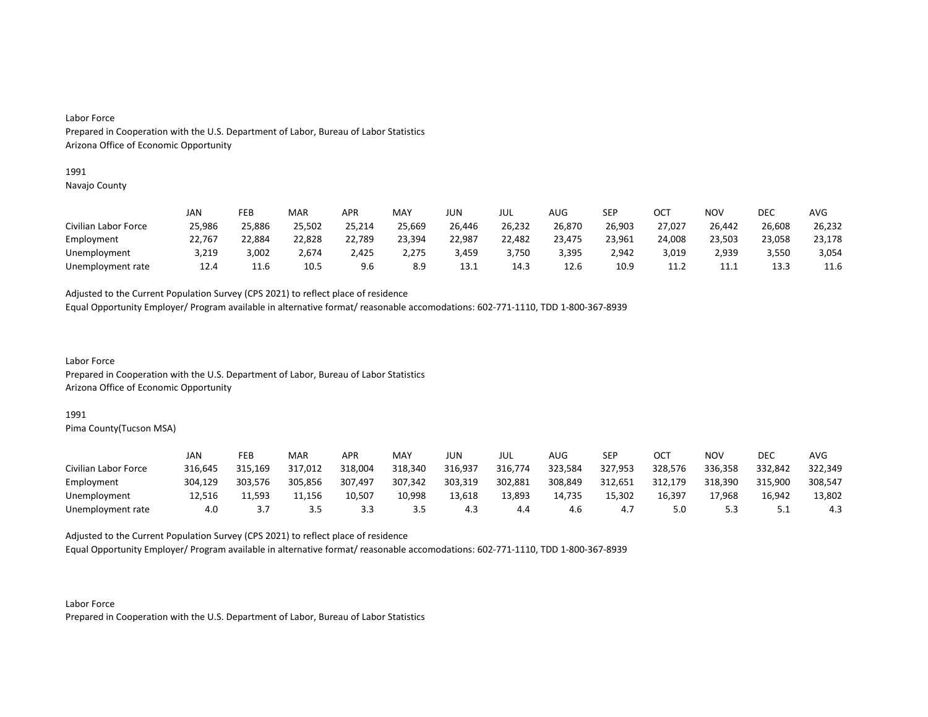### 1991

Navajo County

|                      | JAN    | FEB    | MAR    | APR    | MAY    | JUN    | JUL    | AUG    | SEP    | OCT    | NO٧    | DEC    | AVG    |
|----------------------|--------|--------|--------|--------|--------|--------|--------|--------|--------|--------|--------|--------|--------|
| Civilian Labor Force | 25,986 | 25,886 | 25,502 | 25,214 | 25,669 | 26,446 | 26,232 | 26,870 | 26,903 | 27,027 | 26,442 | 26,608 | 26,232 |
| Employment           | 22,767 | 22,884 | 22,828 | 22,789 | 23,394 | 22,987 | 22,482 | 23,475 | 23,961 | 24,008 | 23,503 | 23,058 | 23,178 |
| Unemployment         | 3,219  | 3,002  | 2,674  | 2,425  | 2,275  | 3,459  | 3,750  | 3,395  | 2.942  | 3,019  | 2,939  | 3,550  | 3,054  |
| Unemployment rate    | 12.4   | 11.6   | 10.5   | 9.6    | 8.9    | 13.1   | 14.3   | 12.6   | 10.9   | 11.2   | 11.1   | 13.3   | 11.6   |

Adjusted to the Current Population Survey (CPS 2021) to reflect place of residence

Equal Opportunity Employer/ Program available in alternative format/ reasonable accomodations: 602-771-1110, TDD 1-800-367-8939

Labor Force Prepared in Cooperation with the U.S. Department of Labor, Bureau of Labor Statistics Arizona Office of Economic Opportunity

### 1991

Pima County(Tucson MSA)

|                      | JAN     | FEB     | MAR     | APR     | MAY     | JUN     | JUL     | AUG     | <b>SEP</b> | ост     | NOV     | DEC      | AVG     |
|----------------------|---------|---------|---------|---------|---------|---------|---------|---------|------------|---------|---------|----------|---------|
| Civilian Labor Force | 316,645 | 315,169 | 317,012 | 318,004 | 318,340 | 316,937 | 316,774 | 323,584 | 327,953    | 328,576 | 336,358 | 332,842  | 322,349 |
| Employment           | 304.129 | 303.576 | 305.856 | 307,497 | 307,342 | 303,319 | 302,881 | 308,849 | 312,651    | 312.179 | 318.390 | 315.900  | 308,547 |
| Unemployment         | 12,516  | 11,593  | 11.156  | 10,507  | 10,998  | 13,618  | 13,893  | 14,735  | 15,302     | 16,397  | 17,968  | 16,942   | 13,802  |
| Unemployment rate    | 4.0     |         | 3.5     | 3.3     | 3.5     | 4.3     | 4.4     | 4.6     |            | 5.0     |         | <u>.</u> | 4.3     |

Adjusted to the Current Population Survey (CPS 2021) to reflect place of residence

Equal Opportunity Employer/ Program available in alternative format/ reasonable accomodations: 602-771-1110, TDD 1-800-367-8939

Labor Force Prepared in Cooperation with the U.S. Department of Labor, Bureau of Labor Statistics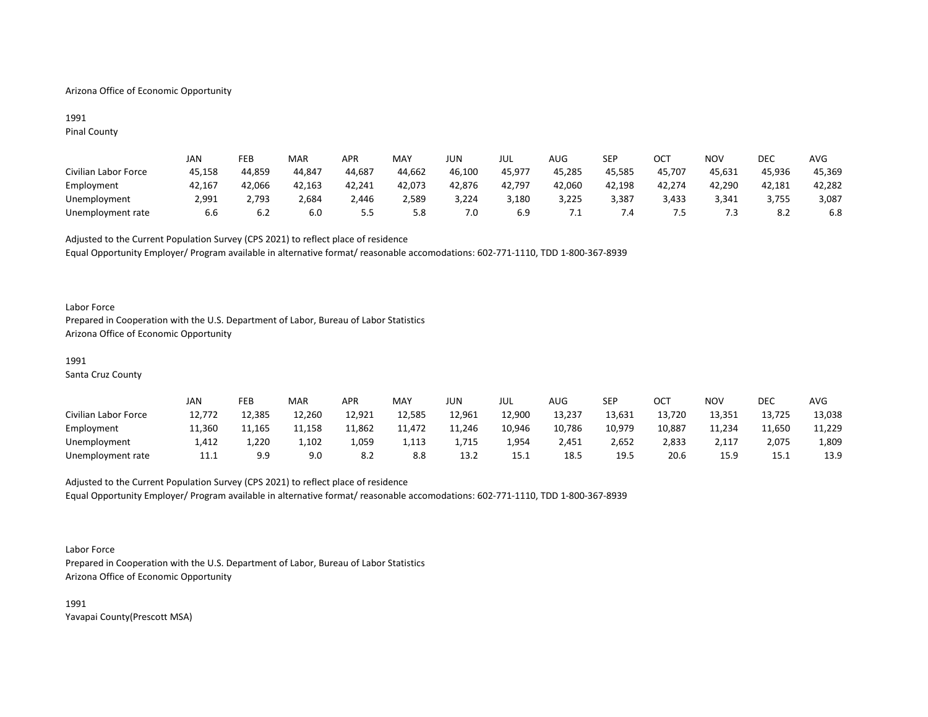## Arizona Office of Economic Opportunity

## 1991 Pinal County

|                      | JAN    | FEB    | MAR    | APR    | MAY    | JUN    | JUL    | AUG    | SEP    | OCT    | <b>NOV</b> | <b>DEC</b> | AVG    |
|----------------------|--------|--------|--------|--------|--------|--------|--------|--------|--------|--------|------------|------------|--------|
| Civilian Labor Force | 45,158 | 44,859 | 44,847 | 44,687 | 44,662 | 46,100 | 45,977 | 45,285 | 45,585 | 45,707 | 45,631     | 45,936     | 45,369 |
| Employment           | 42,167 | 42,066 | 42,163 | 42,241 | 42,073 | 42,876 | 42,797 | 42,060 | 42,198 | 42,274 | 42,290     | 42,181     | 42,282 |
| Unemployment         | 2,991  | 2,793  | 2,684  | 2,446  | 2,589  | 3,224  | 3,180  | 3,225  | 3,387  | 3,433  | 3,341      | 3,755      | 3,087  |
| Unemployment rate    | 6.b    | b.Z    | 6.0    | כ.כ    | 5.8    | 7.0    | 6.9    | . .    |        |        |            | 8.2        | 6.8    |

Adjusted to the Current Population Survey (CPS 2021) to reflect place of residence Equal Opportunity Employer/ Program available in alternative format/ reasonable accomodations: 602-771-1110, TDD 1-800-367-8939

### Labor Force

Prepared in Cooperation with the U.S. Department of Labor, Bureau of Labor Statistics Arizona Office of Economic Opportunity

### 1991

Santa Cruz County

|                      | JAN    | FEB    | <b>MAR</b> | APR    | MAY    | JUN    | JUL    | AUG    | SEP    | ОСТ    | <b>NOV</b> | <b>DEC</b> | <b>AVG</b> |
|----------------------|--------|--------|------------|--------|--------|--------|--------|--------|--------|--------|------------|------------|------------|
| Civilian Labor Force | 12,772 | 12,385 | 12,260     | 12,921 | 12,585 | 12,961 | 12,900 | 13,237 | 13,631 | 13,720 | 13,351     | 13,725     | 13,038     |
| Employment           | 11,360 | 11,165 | 11,158     | 11,862 | 11,472 | 11,246 | 10,946 | 10,786 | 10.979 | 10,887 | 11,234     | 11.650     | 11,229     |
| Unemployment         | 1,412  | 1,220  | 1,102      | 1,059  | 1,113  | 1,715  | 954ء   | 2,451  | 2,652  | 2,833  | 2,117      | 2,075      | 1,809      |
| Unemployment rate    | 11.1   | 9.9    | 9.0        |        | 8.8    | 13.2   | 15.1   | 18.5   | 19.5   | 20.6   | 15.9       | 15.1       | 13.9       |

# Adjusted to the Current Population Survey (CPS 2021) to reflect place of residence Equal Opportunity Employer/ Program available in alternative format/ reasonable accomodations: 602-771-1110, TDD 1-800-367-8939

Labor Force

Prepared in Cooperation with the U.S. Department of Labor, Bureau of Labor Statistics Arizona Office of Economic Opportunity

1991 Yavapai County(Prescott MSA)